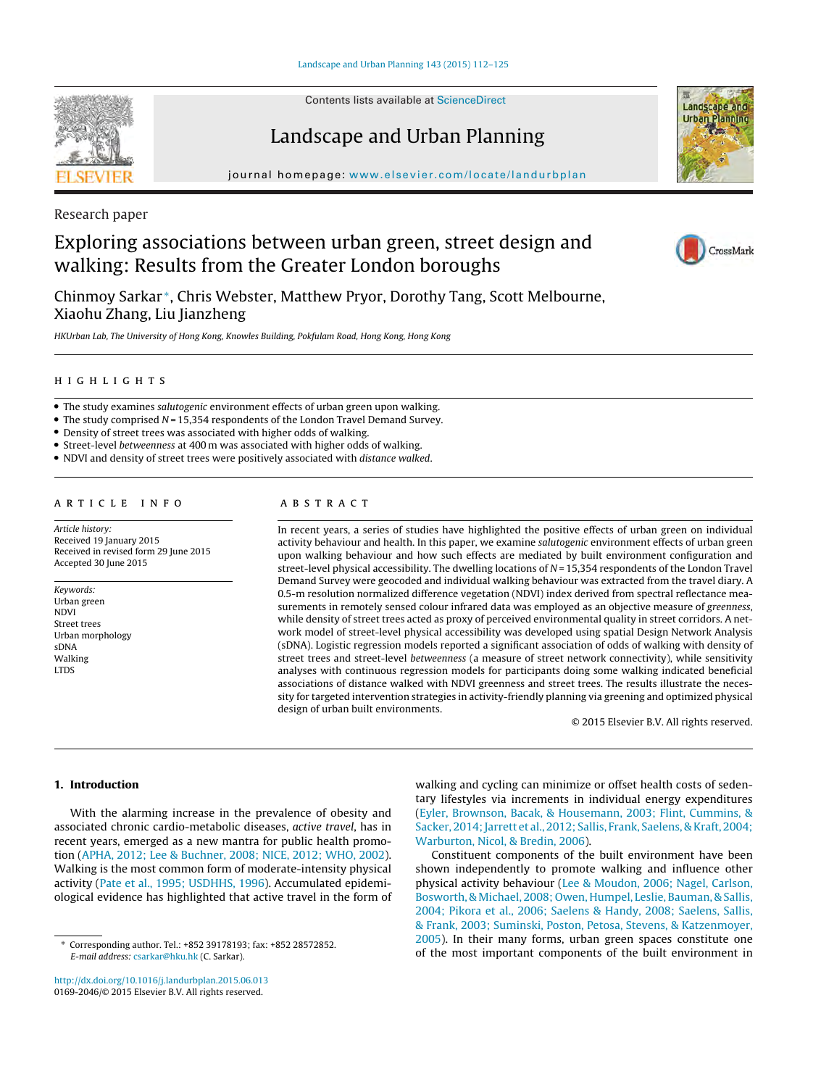Contents lists available at [ScienceDirect](http://www.sciencedirect.com/science/journal/01692046)

# Landscape and Urban Planning

iournal homepage: [www.elsevier.com/locate/landurbplan](http://www.elsevier.com/locate/landurbplan)

Research paper

# Exploring associations between urban green, street design and walking: Results from the Greater London boroughs

Chinmoy Sarkar <sup>∗</sup>, Chris Webster, Matthew Pryor, Dorothy Tang, Scott Melbourne, Xiaohu Zhang, Liu Jianzheng

HKUrban Lab, The University of Hong Kong, Knowles Building, Pokfulam Road, Hong Kong, Hong Kong

- The study examines salutogenic environment effects of urban green upon walking.
- $\bullet$  The study comprised  $N = 15,354$  respondents of the London Travel Demand Survey.
- Density of street trees was associated with higher odds of walking.
- Street-level betweenness at 400 m was associated with higher odds of walking.
- NDVI and density of street trees were positively associated with distance walked.

Article history: Received 19 January 2015 Received in revised form 29 June 2015 Accepted 30 June 2015

Keywords: Urban green NDVI Street trees Urban morphology sDNA **Walking** LTDS

# ABSTRACT

In recent years, a series of studies have highlighted the positive effects of urban green on individual activity behaviour and health. In this paper, we examine salutogenic environment effects of urban green upon walking behaviour and how such effects are mediated by built environment configuration and street-level physical accessibility. The dwelling locations of  $N = 15,354$  respondents of the London Travel Demand Survey were geocoded and individual walking behaviour was extracted from the travel diary. A 0.5-m resolution normalized difference vegetation (NDVI) index derived from spectral reflectance measurements in remotely sensed colour infrared data was employed as an objective measure of greenness, while density of street trees acted as proxy of perceived environmental quality in street corridors. A network model of street-level physical accessibility was developed using spatial Design Network Analysis (sDNA). Logistic regression models reported a significant association of odds of walking with density of street trees and street-level betweenness (a measure of street network connectivity), while sensitivity analyses with continuous regression models for participants doing some walking indicated beneficial associations of distance walked with NDVI greenness and street trees. The results illustrate the necessity for targeted intervention strategies in activity-friendly planning via greening and optimized physical design of urban built environments.

© 2015 Elsevier B.V. All rights reserved.

# **1. Introduction**

With the alarming increase in the prevalence of obesity and associated chronic cardio-metabolic diseases, active travel, has in recent years, emerged as a new mantra for public health promotion ([APHA,](#page-12-0) [2012;](#page-12-0) [Lee](#page-12-0) [&](#page-12-0) [Buchner,](#page-12-0) [2008;](#page-12-0) [NICE,](#page-13-0) [2012;](#page-13-0) [WHO,](#page-13-0) [2002\).](#page-13-0) Walking is the most common form of moderate-intensity physical activity ([Pate](#page-13-0) et [al.,](#page-13-0) [1995;](#page-13-0) [USDHHS,](#page-13-0) [1996\).](#page-13-0) Accumulated epidemiological evidence has highlighted that active travel in the form of

[http://dx.doi.org/10.1016/j.landurbplan.2015.06.013](dx.doi.org/10.1016/j.landurbplan.2015.06.013) 0169-2046/© 2015 Elsevier B.V. All rights reserved.

walking and cycling can minimize or offset health costs of sedentary lifestyles via increments in individual energy expenditures [\(Eyler,](#page-12-0) [Brownson,](#page-12-0) [Bacak,](#page-12-0) [&](#page-12-0) [Housemann,](#page-12-0) [2003;](#page-12-0) [Flint,](#page-12-0) [Cummins,](#page-12-0) [&](#page-12-0) [Sacker,](#page-12-0) 2014; Jarrett et [al.,](#page-12-0) [2012;](#page-12-0) [Sallis,](#page-12-0) [Frank,](#page-12-0) [Saelens,](#page-12-0) [&](#page-12-0) [Kraft,](#page-12-0) [2004;](#page-12-0) [Warburton,](#page-12-0) [Nicol,](#page-12-0) [&](#page-12-0) [Bredin,](#page-12-0) [2006\).](#page-12-0)

Constituent components of the built environment have been shown independently to promote walking and influence other physical activity behaviour ([Lee](#page-12-0) [&](#page-12-0) [Moudon,](#page-12-0) [2006;](#page-12-0) [Nagel,](#page-12-0) [Carlson,](#page-12-0) [Bosworth,](#page-12-0) [&](#page-12-0) [Michael,](#page-12-0) [2008;](#page-12-0) [Owen,](#page-12-0) [Humpel,](#page-12-0) [Leslie,](#page-12-0) [Bauman,](#page-12-0) [&](#page-12-0) [Sallis,](#page-12-0) [2004;](#page-12-0) [Pikora](#page-13-0) et [al.,](#page-13-0) [2006;](#page-13-0) [Saelens](#page-13-0) [&](#page-13-0) [Handy,](#page-13-0) [2008;](#page-13-0) [Saelens,](#page-13-0) [Sallis,](#page-13-0) [&](#page-13-0) [Frank,](#page-13-0) [2003;](#page-13-0) [Suminski,](#page-13-0) [Poston,](#page-13-0) [Petosa,](#page-13-0) [Stevens,](#page-13-0) [&](#page-13-0) [Katzenmoyer,](#page-13-0) [2005\).](#page-13-0) In their many forms, urban green spaces constitute one of the most important components of the built environment in







<sup>∗</sup> Corresponding author. Tel.: +852 39178193; fax: +852 28572852. E-mail address: [csarkar@hku.hk](mailto:csarkar@hku.hk) (C. Sarkar).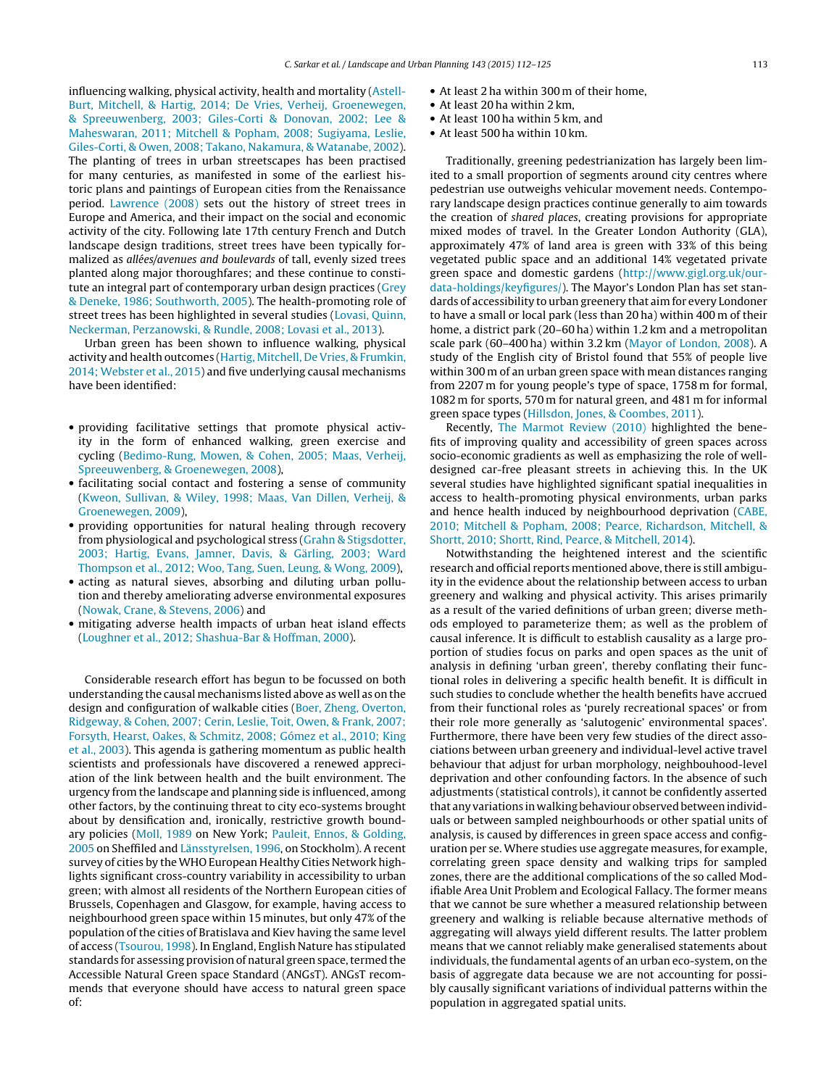influencing walking, physical activity, health and mortality [\(Astell-](#page-12-0)Burt, [Mitchell,](#page-12-0) [&](#page-12-0) [Hartig,](#page-12-0) [2014;](#page-12-0) [De](#page-12-0) [Vries,](#page-12-0) [Verheij,](#page-12-0) [Groenewegen,](#page-12-0) [&](#page-12-0) [Spreeuwenberg,](#page-12-0) [2003;](#page-12-0) [Giles-Corti](#page-12-0) [&](#page-12-0) [Donovan,](#page-12-0) [2002;](#page-12-0) [Lee](#page-12-0) [&](#page-12-0) [Maheswaran,](#page-12-0) [2011;](#page-12-0) [Mitchell](#page-12-0) [&](#page-12-0) [Popham,](#page-12-0) [2008;](#page-12-0) [Sugiyama,](#page-12-0) [Leslie,](#page-12-0) [Giles-Corti,](#page-12-0) [&](#page-12-0) [Owen,](#page-12-0) [2008;](#page-12-0) [Takano,](#page-12-0) [Nakamura,](#page-12-0) [&](#page-12-0) [Watanabe,](#page-12-0) [2002\).](#page-12-0) The planting of trees in urban streetscapes has been practised for many centuries, as manifested in some of the earliest historic plans and paintings of European cities from the Renaissance period. [Lawrence](#page-12-0) [\(2008\)](#page-12-0) sets out the history of street trees in Europe and America, and their impact on the social and economic activity of the city. Following late 17th century French and Dutch landscape design traditions, street trees have been typically formalized as allées/avenues and boulevards of tall, evenly sized trees planted along major thoroughfares; and these continue to constitute an integral part of contemporary urban design practices [\(Grey](#page-12-0) [&](#page-12-0) [Deneke,](#page-12-0) [1986;](#page-12-0) [Southworth,](#page-13-0) [2005\).](#page-13-0) The health-promoting role of street trees has been highlighted in several studies [\(Lovasi,](#page-12-0) [Quinn,](#page-12-0) [Neckerman,](#page-12-0) [Perzanowski,](#page-12-0) [&](#page-12-0) [Rundle,](#page-12-0) [2008;](#page-12-0) [Lovasi](#page-12-0) et [al.,](#page-12-0) [2013\).](#page-12-0)

Urban green has been shown to influence walking, physical activity and health outcomes ([Hartig,](#page-12-0) [Mitchell,](#page-12-0) [De](#page-12-0) [Vries,](#page-12-0) [&](#page-12-0) [Frumkin,](#page-12-0) [2014;](#page-12-0) [Webster](#page-13-0) et [al.,](#page-13-0) [2015\)](#page-13-0) and five underlying causal mechanisms have been identified:

- providing facilitative settings that promote physical activity in the form of enhanced walking, green exercise and cycling [\(Bedimo-Rung,](#page-12-0) [Mowen,](#page-12-0) [&](#page-12-0) [Cohen,](#page-12-0) [2005;](#page-12-0) [Maas,](#page-12-0) [Verheij,](#page-12-0) [Spreeuwenberg,](#page-12-0) [&](#page-12-0) [Groenewegen,](#page-12-0) [2008\),](#page-12-0)
- facilitating social contact and fostering a sense of community [\(Kweon,](#page-12-0) [Sullivan,](#page-12-0) [&](#page-12-0) [Wiley,](#page-12-0) [1998;](#page-12-0) [Maas,](#page-12-0) [Van](#page-12-0) [Dillen,](#page-12-0) [Verheij,](#page-12-0) [&](#page-12-0) [Groenewegen,](#page-12-0) [2009\),](#page-12-0)
- providing opportunities for natural healing through recovery from physiological and psychological stress [\(Grahn](#page-12-0) [&](#page-12-0) [Stigsdotter,](#page-12-0) [2003;](#page-12-0) [Hartig,](#page-12-0) [Evans,](#page-12-0) [Jamner,](#page-12-0) [Davis,](#page-12-0) [&](#page-12-0) [Gärling,](#page-12-0) [2003;](#page-12-0) [Ward](#page-13-0) [Thompson](#page-13-0) et [al.,](#page-13-0) [2012;](#page-13-0) [Woo,](#page-13-0) [Tang,](#page-13-0) [Suen,](#page-13-0) [Leung,](#page-13-0) [&](#page-13-0) [Wong,](#page-13-0) [2009\),](#page-13-0)
- acting as natural sieves, absorbing and diluting urban pollution and thereby ameliorating adverse environmental exposures [\(Nowak,](#page-13-0) [Crane,](#page-13-0) [&](#page-13-0) [Stevens,](#page-13-0) [2006\)](#page-13-0) and
- mitigating adverse health impacts of urban heat island effects [\(Loughner](#page-12-0) et [al.,](#page-12-0) [2012;](#page-12-0) [Shashua-Bar](#page-12-0) [&](#page-12-0) [Hoffman,](#page-12-0) [2000\).](#page-12-0)

Considerable research effort has begun to be focussed on both understanding the causal mechanisms listed above as well as on the design and configuration of walkable cities ([Boer,](#page-12-0) [Zheng,](#page-12-0) [Overton,](#page-12-0) [Ridgeway,](#page-12-0) [&](#page-12-0) [Cohen,](#page-12-0) [2007;](#page-12-0) [Cerin,](#page-12-0) [Leslie,](#page-12-0) [Toit,](#page-12-0) [Owen,](#page-12-0) [&](#page-12-0) [Frank,](#page-12-0) [2007;](#page-12-0) [Forsyth,](#page-12-0) [Hearst,](#page-12-0) [Oakes,](#page-12-0) [&](#page-12-0) [Schmitz,](#page-12-0) [2008;](#page-12-0) [Gómez](#page-12-0) et [al.,](#page-12-0) [2010;](#page-12-0) [King](#page-12-0) et [al.,](#page-12-0) [2003\).](#page-12-0) This agenda is gathering momentum as public health scientists and professionals have discovered a renewed appreciation of the link between health and the built environment. The urgency from the landscape and planning side is influenced, among other factors, by the continuing threat to city eco-systems brought about by densification and, ironically, restrictive growth boundary policies [\(Moll,](#page-13-0) [1989](#page-13-0) on New York; [Pauleit,](#page-13-0) [Ennos,](#page-13-0) [&](#page-13-0) [Golding,](#page-13-0) [2005](#page-13-0) on Sheffiled and [Länsstyrelsen,](#page-12-0) [1996,](#page-12-0) on Stockholm). A recent survey of cities by the WHO European Healthy Cities Network highlights significant cross-country variability in accessibility to urban green; with almost all residents of the Northern European cities of Brussels, Copenhagen and Glasgow, for example, having access to neighbourhood green space within 15 minutes, but only 47% of the population of the cities of Bratislava and Kiev having the same level of access [\(Tsourou,](#page-13-0) [1998\).](#page-13-0) In England, English Nature has stipulated standards for assessing provision of natural green space, termed the Accessible Natural Green space Standard (ANGsT). ANGsT recommends that everyone should have access to natural green space of:

- At least 2 ha within 300 m of their home,
- At least 20 ha within 2 km,
- At least 100 ha within 5 km, and
- At least 500 ha within 10 km.

Traditionally, greening pedestrianization has largely been limited to a small proportion of segments around city centres where pedestrian use outweighs vehicular movement needs. Contemporary landscape design practices continue generally to aim towards the creation of shared places, creating provisions for appropriate mixed modes of travel. In the Greater London Authority (GLA), approximately 47% of land area is green with 33% of this being vegetated public space and an additional 14% vegetated private green space and domestic gardens [\(http://www.gigl.org.uk/our](http://www.gigl.org.uk/our-data-holdings/keyfigures/)[data-holdings/keyfigures/\)](http://www.gigl.org.uk/our-data-holdings/keyfigures/). The Mayor's London Plan has set standards of accessibility to urban greenery that aim for every Londoner to have a small or local park (less than 20 ha) within 400 m of their home, a district park (20–60 ha) within 1.2 km and a metropolitan scale park (60–400 ha) within 3.2 km ([Mayor](#page-12-0) [of](#page-12-0) [London,](#page-12-0) [2008\).](#page-12-0) A study of the English city of Bristol found that 55% of people live within 300 m of an urban green space with mean distances ranging from 2207 m for young people's type of space, 1758 m for formal, 1082 m for sports, 570 m for natural green, and 481 m for informal green space types [\(Hillsdon,](#page-12-0) [Jones,](#page-12-0) [&](#page-12-0) [Coombes,](#page-12-0) [2011\).](#page-12-0)

Recently, [The](#page-13-0) [Marmot](#page-13-0) [Review](#page-13-0) [\(2010\)](#page-13-0) highlighted the benefits of improving quality and accessibility of green spaces across socio-economic gradients as well as emphasizing the role of welldesigned car-free pleasant streets in achieving this. In the UK several studies have highlighted significant spatial inequalities in access to health-promoting physical environments, urban parks and hence health induced by neighbourhood deprivation ([CABE,](#page-12-0) [2010;](#page-12-0) [Mitchell](#page-12-0) [&](#page-12-0) [Popham,](#page-12-0) [2008;](#page-12-0) [Pearce,](#page-12-0) [Richardson,](#page-12-0) [Mitchell,](#page-12-0) [&](#page-12-0) [Shortt,](#page-12-0) [2010;](#page-12-0) [Shortt,](#page-12-0) [Rind,](#page-12-0) [Pearce,](#page-12-0) [&](#page-12-0) [Mitchell,](#page-12-0) [2014\).](#page-12-0)

Notwithstanding the heightened interest and the scientific research and official reports mentioned above, there is still ambiguity in the evidence about the relationship between access to urban greenery and walking and physical activity. This arises primarily as a result of the varied definitions of urban green; diverse methods employed to parameterize them; as well as the problem of causal inference. It is difficult to establish causality as a large proportion of studies focus on parks and open spaces as the unit of analysis in defining 'urban green', thereby conflating their functional roles in delivering a specific health benefit. It is difficult in such studies to conclude whether the health benefits have accrued from their functional roles as 'purely recreational spaces' or from their role more generally as 'salutogenic' environmental spaces'. Furthermore, there have been very few studies of the direct associations between urban greenery and individual-level active travel behaviour that adjust for urban morphology, neighbouhood-level deprivation and other confounding factors. In the absence of such adjustments (statistical controls), it cannot be confidently asserted that any variations in walking behaviour observed between individuals or between sampled neighbourhoods or other spatial units of analysis, is caused by differences in green space access and configuration per se. Where studies use aggregate measures, for example, correlating green space density and walking trips for sampled zones, there are the additional complications of the so called Modifiable Area Unit Problem and Ecological Fallacy. The former means that we cannot be sure whether a measured relationship between greenery and walking is reliable because alternative methods of aggregating will always yield different results. The latter problem means that we cannot reliably make generalised statements about individuals, the fundamental agents of an urban eco-system, on the basis of aggregate data because we are not accounting for possibly causally significant variations of individual patterns within the population in aggregated spatial units.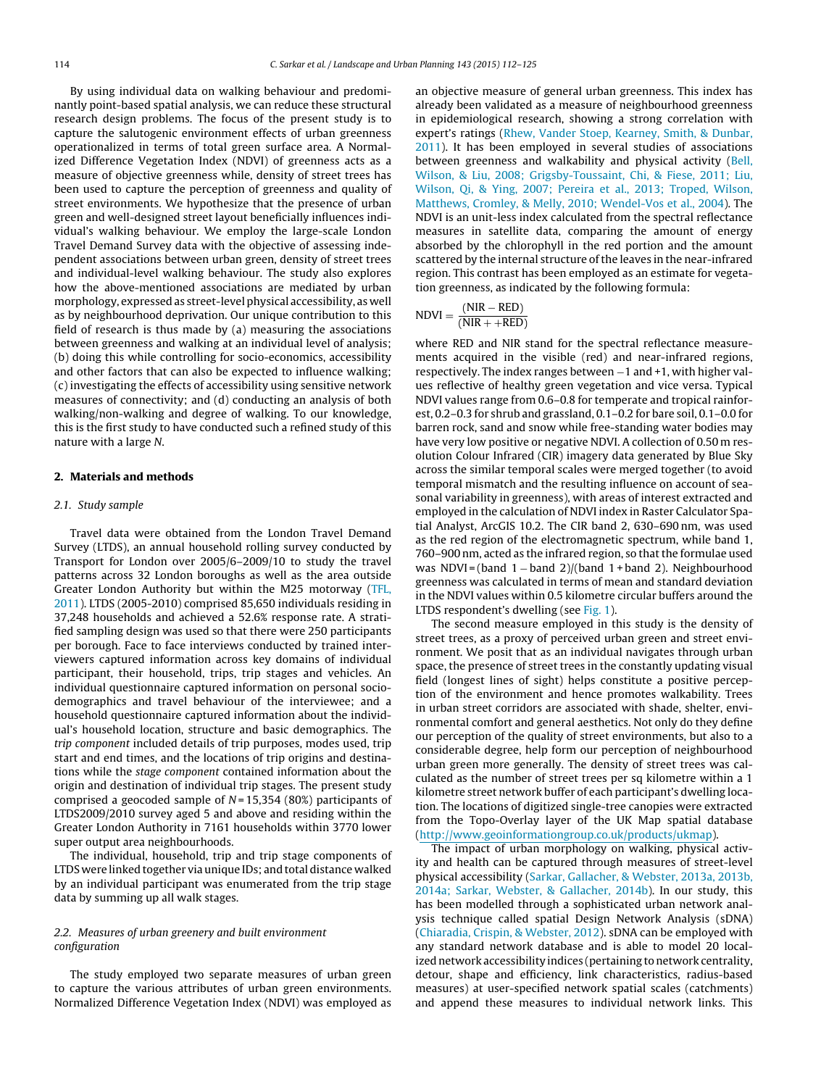By using individual data on walking behaviour and predominantly point-based spatial analysis, we can reduce these structural research design problems. The focus of the present study is to capture the salutogenic environment effects of urban greenness operationalized in terms of total green surface area. A Normalized Difference Vegetation Index (NDVI) of greenness acts as a measure of objective greenness while, density of street trees has been used to capture the perception of greenness and quality of street environments. We hypothesize that the presence of urban green and well-designed street layout beneficially influences individual's walking behaviour. We employ the large-scale London Travel Demand Survey data with the objective of assessing independent associations between urban green, density of street trees and individual-level walking behaviour. The study also explores how the above-mentioned associations are mediated by urban morphology, expressed as street-level physical accessibility, as well as by neighbourhood deprivation. Our unique contribution to this field of research is thus made by (a) measuring the associations between greenness and walking at an individual level of analysis; (b) doing this while controlling for socio-economics, accessibility and other factors that can also be expected to influence walking; (c) investigating the effects of accessibility using sensitive network measures of connectivity; and (d) conducting an analysis of both walking/non-walking and degree of walking. To our knowledge, this is the first study to have conducted such a refined study of this nature with a large N.

### **2. Materials and methods**

# 2.1. Study sample

Travel data were obtained from the London Travel Demand Survey (LTDS), an annual household rolling survey conducted by Transport for London over 2005/6–2009/10 to study the travel patterns across 32 London boroughs as well as the area outside Greater London Authority but within the M25 motorway ([TFL,](#page-13-0) [2011\).](#page-13-0) LTDS (2005-2010) comprised 85,650 individuals residing in 37,248 households and achieved a 52.6% response rate. A stratified sampling design was used so that there were 250 participants per borough. Face to face interviews conducted by trained interviewers captured information across key domains of individual participant, their household, trips, trip stages and vehicles. An individual questionnaire captured information on personal sociodemographics and travel behaviour of the interviewee; and a household questionnaire captured information about the individual's household location, structure and basic demographics. The trip component included details of trip purposes, modes used, trip start and end times, and the locations of trip origins and destinations while the stage component contained information about the origin and destination of individual trip stages. The present study comprised a geocoded sample of  $N = 15,354$  (80%) participants of LTDS2009/2010 survey aged 5 and above and residing within the Greater London Authority in 7161 households within 3770 lower super output area neighbourhoods.

The individual, household, trip and trip stage components of LTDS were linked together via unique IDs; and total distance walked by an individual participant was enumerated from the trip stage data by summing up all walk stages.

# 2.2. Measures of urban greenery and built environment configuration

The study employed two separate measures of urban green to capture the various attributes of urban green environments. Normalized Difference Vegetation Index (NDVI) was employed as an objective measure of general urban greenness. This index has already been validated as a measure of neighbourhood greenness in epidemiological research, showing a strong correlation with expert's ratings [\(Rhew,](#page-13-0) [Vander](#page-13-0) [Stoep,](#page-13-0) [Kearney,](#page-13-0) [Smith,](#page-13-0) [&](#page-13-0) [Dunbar,](#page-13-0) [2011\).](#page-13-0) It has been employed in several studies of associations between greenness and walkability and physical activity ([Bell,](#page-12-0) [Wilson,](#page-12-0) [&](#page-12-0) [Liu,](#page-12-0) [2008;](#page-12-0) [Grigsby-Toussaint,](#page-12-0) [Chi,](#page-12-0) [&](#page-12-0) [Fiese,](#page-12-0) [2011;](#page-12-0) [Liu,](#page-12-0) [Wilson,](#page-12-0) [Qi,](#page-12-0) [&](#page-12-0) [Ying,](#page-12-0) [2007;](#page-12-0) [Pereira](#page-13-0) et [al.,](#page-13-0) [2013;](#page-13-0) [Troped,](#page-13-0) [Wilson,](#page-13-0) [Matthews,](#page-13-0) [Cromley,](#page-13-0) [&](#page-13-0) [Melly,](#page-13-0) [2010;](#page-13-0) [Wendel-Vos](#page-13-0) et [al.,](#page-13-0) [2004\).](#page-13-0) The NDVI is an unit-less index calculated from the spectral reflectance measures in satellite data, comparing the amount of energy absorbed by the chlorophyll in the red portion and the amount scattered by the internal structure of the leaves in the near-infrared region. This contrast has been employed as an estimate for vegetation greenness, as indicated by the following formula:

$$
NDVI = \frac{(NIR - RED)}{(NIR + +RED)}
$$

where RED and NIR stand for the spectral reflectance measurements acquired in the visible (red) and near-infrared regions, respectively. The index ranges between −1 and +1, with higher values reflective of healthy green vegetation and vice versa. Typical NDVI values range from 0.6–0.8 for temperate and tropical rainforest, 0.2–0.3 for shrub and grassland, 0.1–0.2 for bare soil, 0.1–0.0 for barren rock, sand and snow while free-standing water bodies may have very low positive or negative NDVI. A collection of 0.50 m resolution Colour Infrared (CIR) imagery data generated by Blue Sky across the similar temporal scales were merged together (to avoid temporal mismatch and the resulting influence on account of seasonal variability in greenness), with areas of interest extracted and employed in the calculation of NDVI index in Raster Calculator Spatial Analyst, ArcGIS 10.2. The CIR band 2, 630–690 nm, was used as the red region of the electromagnetic spectrum, while band 1, 760–900 nm, acted as the infrared region, so that the formulae used was NDVI = (band 1 − band 2)/(band 1 + band 2). Neighbourhood greenness was calculated in terms of mean and standard deviation in the NDVI values within 0.5 kilometre circular buffers around the LTDS respondent's dwelling (see [Fig.](#page-3-0) 1).

The second measure employed in this study is the density of street trees, as a proxy of perceived urban green and street environment. We posit that as an individual navigates through urban space, the presence of street trees in the constantly updating visual field (longest lines of sight) helps constitute a positive perception of the environment and hence promotes walkability. Trees in urban street corridors are associated with shade, shelter, environmental comfort and general aesthetics. Not only do they define our perception of the quality of street environments, but also to a considerable degree, help form our perception of neighbourhood urban green more generally. The density of street trees was calculated as the number of street trees per sq kilometre within a 1 kilometre street network buffer of each participant's dwelling location. The locations of digitized single-tree canopies were extracted from the Topo-Overlay layer of the UK Map spatial database [\(http://www.geoinformationgroup.co.uk/products/ukmap\)](http://www.geoinformationgroup.co.uk/products/ukmap).

The impact of urban morphology on walking, physical activity and health can be captured through measures of street-level physical accessibility ([Sarkar,](#page-13-0) [Gallacher,](#page-13-0) [&](#page-13-0) [Webster,](#page-13-0) [2013a,](#page-13-0) [2013b,](#page-13-0) [2014a;](#page-13-0) [Sarkar,](#page-13-0) [Webster,](#page-13-0) [&](#page-13-0) [Gallacher,](#page-13-0) [2014b\).](#page-13-0) In our study, this has been modelled through a sophisticated urban network analysis technique called spatial Design Network Analysis (sDNA) [\(Chiaradia,](#page-12-0) [Crispin,](#page-12-0) [&](#page-12-0) [Webster,](#page-12-0) [2012\).](#page-12-0) sDNA can be employed with any standard network database and is able to model 20 localized network accessibility indices (pertaining to network centrality, detour, shape and efficiency, link characteristics, radius-based measures) at user-specified network spatial scales (catchments) and append these measures to individual network links. This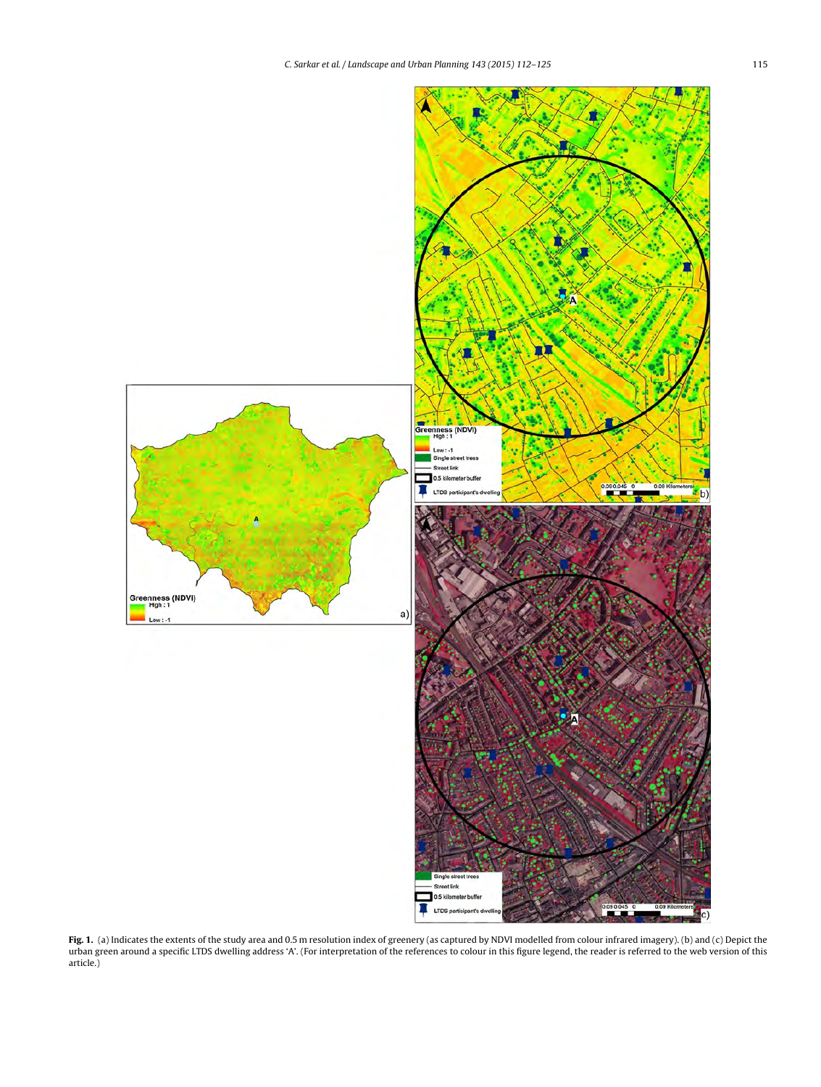<span id="page-3-0"></span>

**Fig. 1.** (a) Indicates the extents of the study area and 0.5 m resolution index of greenery (as captured by NDVI modelled from colour infrared imagery). (b) and (c) Depict the urban green around a specific LTDS dwelling address 'A'. (For interpretation of the references to colour in this figure legend, the reader is referred to the web version of this article.)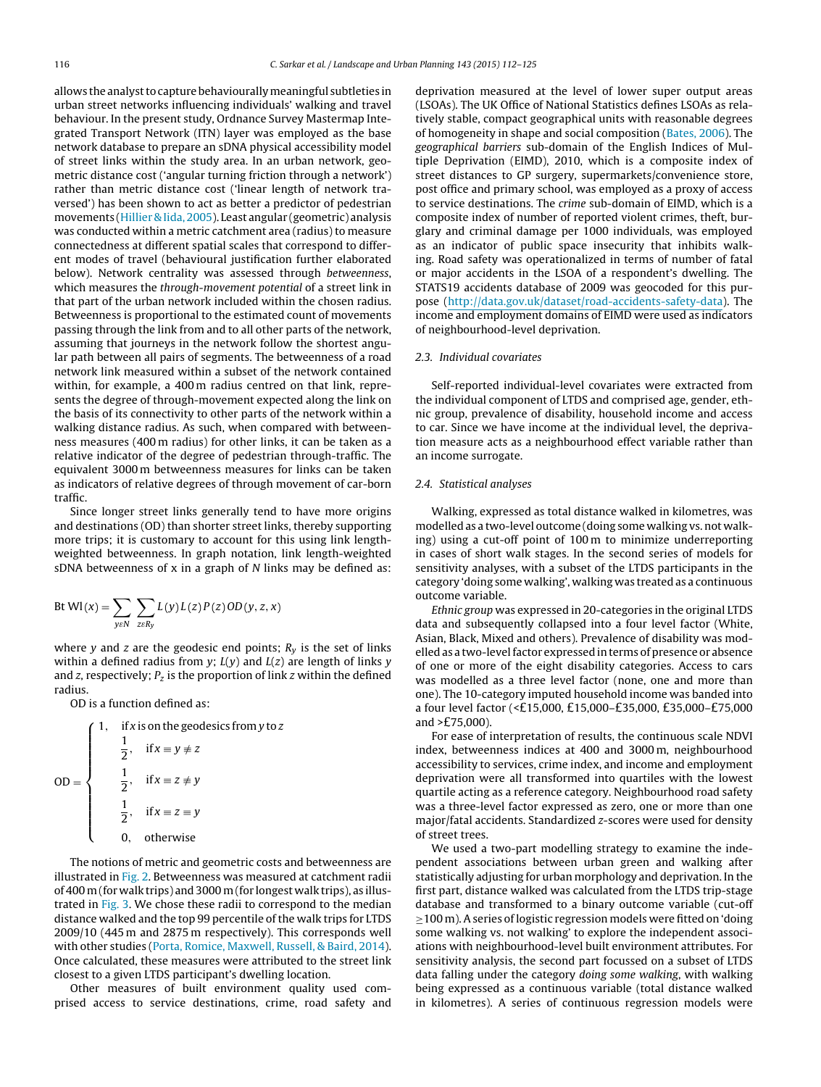allows the analyst to capture behaviourally meaningful subtleties in urban street networks influencing individuals' walking and travel behaviour. In the present study, Ordnance Survey Mastermap Integrated Transport Network (ITN) layer was employed as the base network database to prepare an sDNA physical accessibility model of street links within the study area. In an urban network, geometric distance cost ('angular turning friction through a network') rather than metric distance cost ('linear length of network traversed') has been shown to act as better a predictor of pedestrian movements [\(Hillier](#page-12-0) [&](#page-12-0) [Iida,](#page-12-0) [2005\).](#page-12-0) Least angular (geometric) analysis was conducted within a metric catchment area (radius) to measure connectedness at different spatial scales that correspond to different modes of travel (behavioural justification further elaborated below). Network centrality was assessed through betweenness, which measures the through-movement potential of a street link in that part of the urban network included within the chosen radius. Betweenness is proportional to the estimated count of movements passing through the link from and to all other parts of the network, assuming that journeys in the network follow the shortest angular path between all pairs of segments. The betweenness of a road network link measured within a subset of the network contained within, for example, a 400 m radius centred on that link, represents the degree of through-movement expected along the link on the basis of its connectivity to other parts of the network within a walking distance radius. As such, when compared with betweenness measures (400 m radius) for other links, it can be taken as a relative indicator of the degree of pedestrian through-traffic. The equivalent 3000 m betweenness measures for links can be taken as indicators of relative degrees of through movement of car-born traffic.

Since longer street links generally tend to have more origins and destinations (OD) than shorter street links, thereby supporting more trips; it is customary to account for this using link lengthweighted betweenness. In graph notation, link length-weighted sDNA betweenness of x in a graph of N links may be defined as:

$$
Bt W1(x) = \sum_{y \in N} \sum_{z \in R_y} L(y) L(z) P(z) OD(y, z, x)
$$

where y and z are the geodesic end points;  $R<sub>v</sub>$  is the set of links within a defined radius from  $y$ ;  $L(y)$  and  $L(z)$  are length of links  $y$ and z, respectively;  $P_z$  is the proportion of link z within the defined radius.

OD is a function defined as:

|        | if x is on the geodesics from y to z |                              |  |
|--------|--------------------------------------|------------------------------|--|
|        | $\overline{2}$ ,                     | $if x \equiv y \not\equiv z$ |  |
| $OD =$ | $\frac{1}{2}$ ,                      | if $x \equiv z \not\equiv y$ |  |
|        | $\frac{1}{2}$ ,                      | if $x \equiv z \equiv y$     |  |
|        | 0.                                   | otherwise                    |  |

The notions of metric and geometric costs and betweenness are illustrated in [Fig.](#page-5-0) 2. Betweenness was measured at catchment radii of 400 m(for walk trips) and3000 m(for longest walk trips), as illustrated in [Fig.](#page-6-0) 3. We chose these radii to correspond to the median distance walked and the top 99 percentile of the walk trips for LTDS 2009/10 (445 m and 2875 m respectively). This corresponds well with other studies [\(Porta,](#page-13-0) [Romice,](#page-13-0) [Maxwell,](#page-13-0) [Russell,](#page-13-0) [&](#page-13-0) [Baird,](#page-13-0) [2014\).](#page-13-0) Once calculated, these measures were attributed to the street link closest to a given LTDS participant's dwelling location.

Other measures of built environment quality used comprised access to service destinations, crime, road safety and deprivation measured at the level of lower super output areas (LSOAs). The UK Office of National Statistics defines LSOAs as relatively stable, compact geographical units with reasonable degrees of homogeneity in shape and social composition ([Bates,](#page-12-0) [2006\).](#page-12-0) The geographical barriers sub-domain of the English Indices of Multiple Deprivation (EIMD), 2010, which is a composite index of street distances to GP surgery, supermarkets/convenience store, post office and primary school, was employed as a proxy of access to service destinations. The crime sub-domain of EIMD, which is a composite index of number of reported violent crimes, theft, burglary and criminal damage per 1000 individuals, was employed as an indicator of public space insecurity that inhibits walking. Road safety was operationalized in terms of number of fatal or major accidents in the LSOA of a respondent's dwelling. The STATS19 accidents database of 2009 was geocoded for this purpose ([http://data.gov.uk/dataset/road-accidents-safety-data\)](http://data.gov.uk/dataset/road-accidents-safety-data). The income and employment domains of EIMD were used as indicators of neighbourhood-level deprivation.

### 2.3. Individual covariates

Self-reported individual-level covariates were extracted from the individual component of LTDS and comprised age, gender, ethnic group, prevalence of disability, household income and access to car. Since we have income at the individual level, the deprivation measure acts as a neighbourhood effect variable rather than an income surrogate.

# 2.4. Statistical analyses

Walking, expressed as total distance walked in kilometres, was modelled as a two-level outcome (doing some walking vs. not walking) using a cut-off point of 100 m to minimize underreporting in cases of short walk stages. In the second series of models for sensitivity analyses, with a subset of the LTDS participants in the category 'doing some walking', walking was treated as a continuous outcome variable.

Ethnic group was expressed in 20-categories in the original LTDS data and subsequently collapsed into a four level factor (White, Asian, Black, Mixed and others). Prevalence of disability was modelled as a two-level factor expressed in terms of presence or absence of one or more of the eight disability categories. Access to cars was modelled as a three level factor (none, one and more than one). The 10-category imputed household income was banded into a four level factor (<£15,000, £15,000–£35,000, £35,000–£75,000 and >£75,000).

For ease of interpretation of results, the continuous scale NDVI index, betweenness indices at 400 and 3000 m, neighbourhood accessibility to services, crime index, and income and employment deprivation were all transformed into quartiles with the lowest quartile acting as a reference category. Neighbourhood road safety was a three-level factor expressed as zero, one or more than one major/fatal accidents. Standardized z-scores were used for density of street trees.

We used a two-part modelling strategy to examine the independent associations between urban green and walking after statistically adjusting for urban morphology and deprivation. In the first part, distance walked was calculated from the LTDS trip-stage database and transformed to a binary outcome variable (cut-off ≥100 m). A series of logistic regression models were fitted on 'doing some walking vs. not walking' to explore the independent associations with neighbourhood-level built environment attributes. For sensitivity analysis, the second part focussed on a subset of LTDS data falling under the category doing some walking, with walking being expressed as a continuous variable (total distance walked in kilometres). A series of continuous regression models were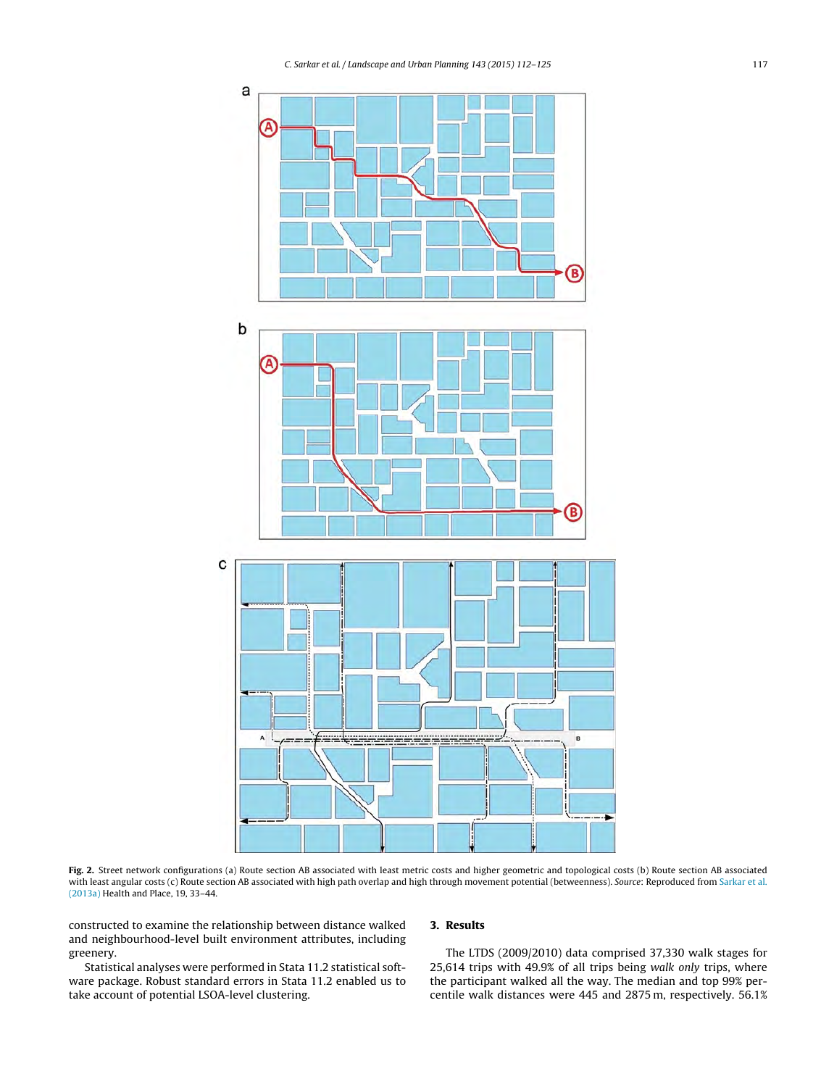<span id="page-5-0"></span>

**Fig. 2.** Street network configurations (a) Route section AB associated with least metric costs and higher geometric and topological costs (b) Route section AB associated with least angular costs (c) Route section AB associated with high path overlap and high through movement potential (betweenness). Source: Reproduced from [Sarkar](#page-13-0) et [al.](#page-13-0) [\(2013a\)](#page-13-0) Health and Place, 19, 33–44.

constructed to examine the relationship between distance walked and neighbourhood-level built environment attributes, including greenery.

Statistical analyses were performed in Stata 11.2 statistical software package. Robust standard errors in Stata 11.2 enabled us to take account of potential LSOA-level clustering.

# **3. Results**

The LTDS (2009/2010) data comprised 37,330 walk stages for 25,614 trips with 49.9% of all trips being walk only trips, where the participant walked all the way. The median and top 99% percentile walk distances were 445 and 2875 m, respectively. 56.1%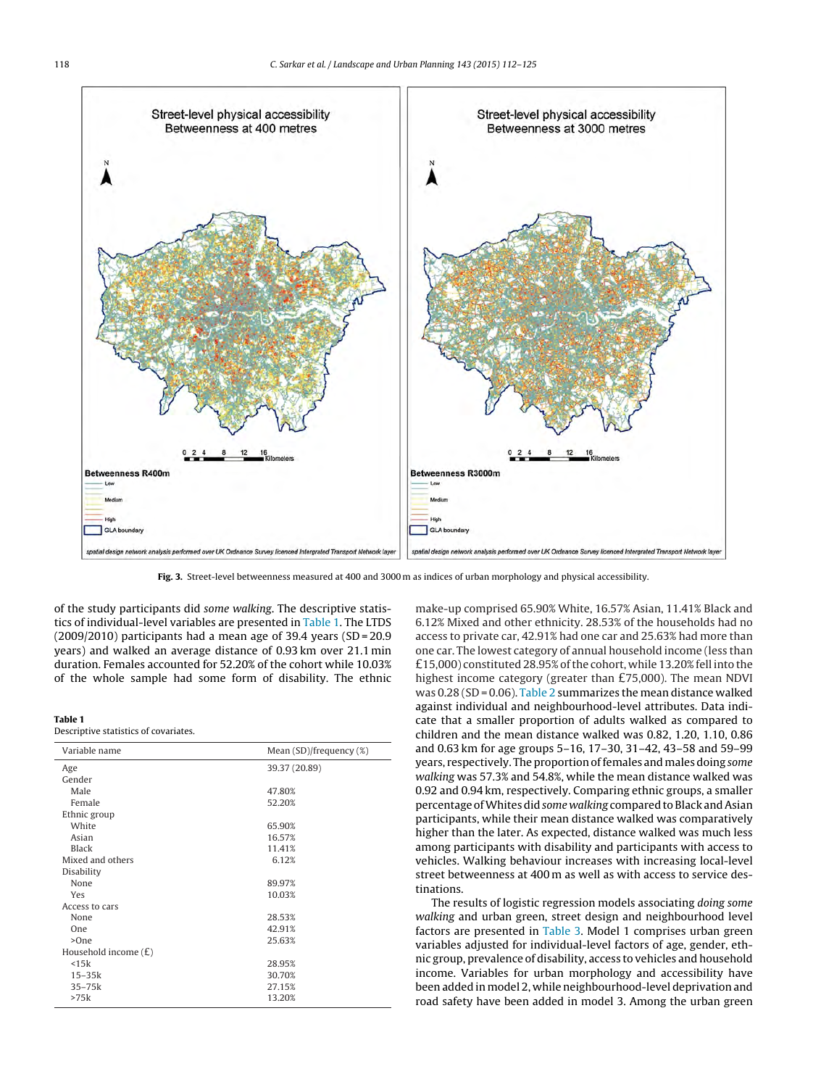<span id="page-6-0"></span>

**Fig. 3.** Street-level betweenness measured at 400 and 3000 m as indices of urban morphology and physical accessibility.

of the study participants did some walking. The descriptive statistics of individual-level variables are presented in Table 1. The LTDS (2009/2010) participants had a mean age of 39.4 years (SD = 20.9 years) and walked an average distance of 0.93 km over 21.1 min duration. Females accounted for 52.20% of the cohort while 10.03% of the whole sample had some form of disability. The ethnic

#### **Table 1**

Descriptive statistics of covariates.

| Variable name          | Mean $(SD)/$ frequency $(\%)$ |
|------------------------|-------------------------------|
| Age                    | 39.37 (20.89)                 |
| Gender                 |                               |
| Male                   | 47.80%                        |
| Female                 | 52.20%                        |
| Ethnic group           |                               |
| White                  | 65.90%                        |
| Asian                  | 16.57%                        |
| Black                  | 11.41%                        |
| Mixed and others       | 6.12%                         |
| Disability             |                               |
| None                   | 89.97%                        |
| Yes                    | 10.03%                        |
| Access to cars         |                               |
| None                   | 28.53%                        |
| <b>One</b>             | 42.91%                        |
| >One                   | 25.63%                        |
| Household income $(E)$ |                               |
| $<$ 15 $k$             | 28.95%                        |
| $15-35k$               | 30.70%                        |
| $35 - 75k$             | 27.15%                        |
| >75k                   | 13.20%                        |

make-up comprised 65.90% White, 16.57% Asian, 11.41% Black and 6.12% Mixed and other ethnicity. 28.53% of the households had no access to private car, 42.91% had one car and 25.63% had more than one car. The lowest category of annual household income (less than £15,000) constituted 28.95% of the cohort, while 13.20% fell into the highest income category (greater than £75,000). The mean NDVI was  $0.28$  (SD = 0.06). [Table](#page-7-0) 2 summarizes the mean distance walked against individual and neighbourhood-level attributes. Data indicate that a smaller proportion of adults walked as compared to children and the mean distance walked was 0.82, 1.20, 1.10, 0.86 and 0.63 km for age groups 5–16, 17–30, 31–42, 43–58 and 59–99 years, respectively. The proportion of females and males doing some walking was 57.3% and 54.8%, while the mean distance walked was 0.92 and 0.94 km, respectively. Comparing ethnic groups, a smaller percentage of Whites did some walking compared to Black and Asian participants, while their mean distance walked was comparatively higher than the later. As expected, distance walked was much less among participants with disability and participants with access to vehicles. Walking behaviour increases with increasing local-level street betweenness at 400 m as well as with access to service destinations.

The results of logistic regression models associating doing some walking and urban green, street design and neighbourhood level factors are presented in [Table](#page-8-0) 3. Model 1 comprises urban green variables adjusted for individual-level factors of age, gender, ethnic group, prevalence of disability, access to vehicles and household income. Variables for urban morphology and accessibility have been added in model 2, while neighbourhood-level deprivation and road safety have been added in model 3. Among the urban green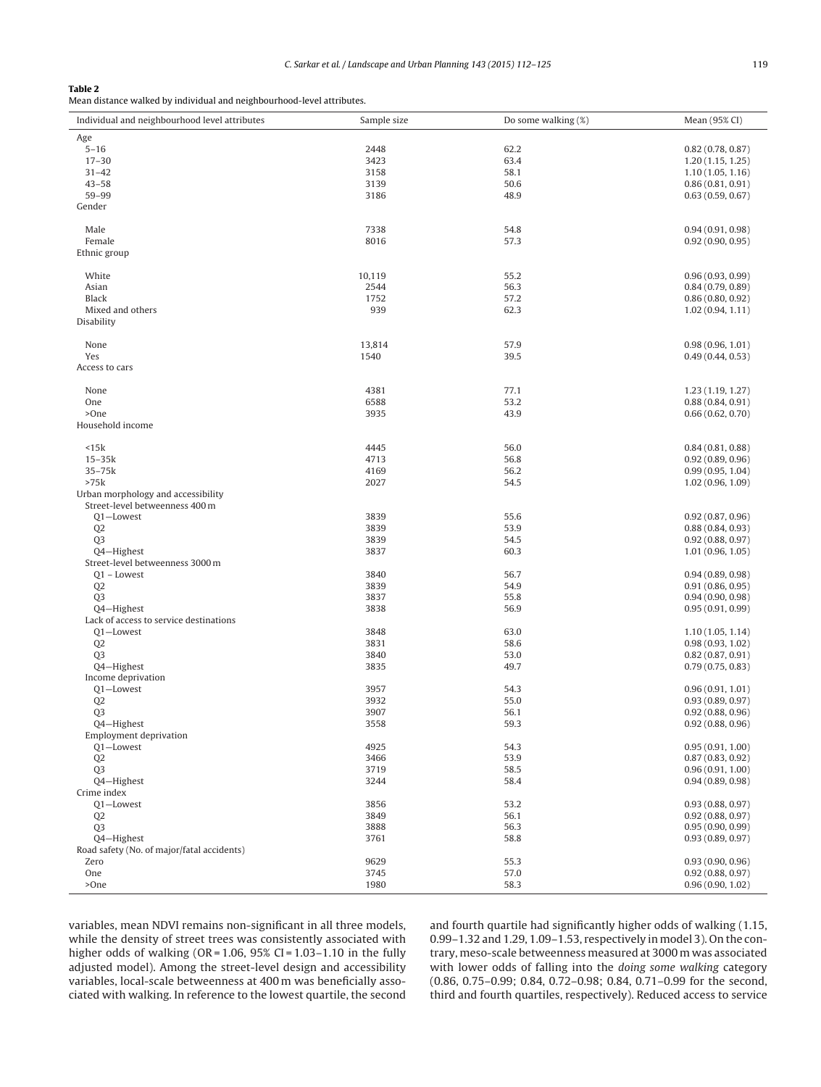# <span id="page-7-0"></span>**Table 2**

Mean distance walked by individual and neighbourhood-level attributes.

| Age<br>$5 - 16$<br>62.2<br>2448<br>0.82(0.78, 0.87)<br>3423<br>63.4<br>$17 - 30$<br>1.20(1.15, 1.25)<br>3158<br>58.1<br>$31 - 42$<br>1.10(1.05, 1.16)<br>$43 - 58$<br>50.6<br>3139<br>0.86(0.81, 0.91)<br>59-99<br>3186<br>48.9<br>0.63(0.59, 0.67)<br>Gender<br>Male<br>7338<br>54.8<br>0.94(0.91, 0.98)<br>57.3<br>Female<br>8016<br>0.92(0.90, 0.95)<br>Ethnic group<br>White<br>10,119<br>55.2<br>0.96(0.93, 0.99)<br>2544<br>Asian<br>56.3<br>0.84(0.79, 0.89)<br>Black<br>1752<br>57.2<br>0.86(0.80, 0.92)<br>939<br>Mixed and others<br>62.3<br>1.02(0.94, 1.11)<br>Disability<br>13,814<br>57.9<br>None<br>0.98(0.96, 1.01)<br>Yes<br>1540<br>39.5<br>0.49(0.44, 0.53)<br>Access to cars<br>None<br>4381<br>77.1<br>1.23(1.19, 1.27)<br>6588<br>53.2<br>One<br>0.88(0.84, 0.91)<br>>One<br>3935<br>43.9<br>0.66(0.62, 0.70)<br>Household income<br>56.0<br><15k<br>4445<br>0.84(0.81, 0.88)<br>56.8<br>$15 - 35k$<br>4713<br>0.92(0.89, 0.96)<br>35-75k<br>4169<br>56.2<br>0.99(0.95, 1.04)<br>>75k<br>2027<br>54.5<br>1.02(0.96, 1.09)<br>Urban morphology and accessibility<br>Street-level betweenness 400 m<br>3839<br>55.6<br>Q1-Lowest<br>0.92(0.87, 0.96)<br>53.9<br>Q <sub>2</sub><br>3839<br>0.88(0.84, 0.93)<br>Q <sub>3</sub><br>3839<br>54.5<br>0.92(0.88, 0.97)<br>Q4-Highest<br>3837<br>60.3<br>1.01(0.96, 1.05)<br>Street-level betweenness 3000 m<br>3840<br>56.7<br>Q1 - Lowest<br>0.94(0.89, 0.98)<br>Q <sub>2</sub><br>3839<br>54.9<br>0.91(0.86, 0.95)<br>Q <sub>3</sub><br>3837<br>55.8<br>0.94(0.90, 0.98)<br>Q4-Highest<br>3838<br>56.9<br>0.95(0.91, 0.99)<br>Lack of access to service destinations<br>Q1-Lowest<br>3848<br>63.0<br>1.10(1.05, 1.14)<br>Q <sub>2</sub><br>3831<br>58.6<br>0.98(0.93, 1.02)<br>3840<br>53.0<br>Q <sub>3</sub><br>0.82(0.87, 0.91)<br>Q4-Highest<br>3835<br>49.7<br>0.79(0.75, 0.83)<br>Income deprivation<br>Q1-Lowest<br>3957<br>54.3<br>0.96(0.91, 1.01)<br>3932<br>55.0<br>Q <sub>2</sub><br>0.93(0.89, 0.97)<br><b>Q3</b><br>3907<br>56.1<br>0.92(0.88, 0.96)<br>Q4-Highest<br>3558<br>59.3<br>0.92(0.88, 0.96)<br><b>Employment deprivation</b><br>Q1-Lowest<br>4925<br>54.3<br>0.95(0.91, 1.00)<br>Q <sub>2</sub><br>3466<br>53.9<br>0.87(0.83, 0.92)<br>Q <sub>3</sub><br>3719<br>58.5<br>0.96(0.91, 1.00)<br>Q4-Highest<br>3244<br>58.4<br>0.94(0.89, 0.98)<br>Crime index<br>Q1-Lowest<br>3856<br>53.2<br>0.93(0.88, 0.97)<br>Q <sub>2</sub><br>3849<br>56.1<br>0.92(0.88, 0.97)<br>Q <sub>3</sub><br>3888<br>56.3<br>0.95(0.90, 0.99)<br>Q4-Highest<br>3761<br>58.8<br>0.93(0.89, 0.97)<br>Road safety (No. of major/fatal accidents)<br>Zero<br>9629<br>55.3<br>0.93(0.90, 0.96)<br>One<br>3745<br>57.0<br>0.92(0.88, 0.97)<br>>One<br>58.3<br>1980<br>0.96(0.90, 1.02) | Individual and neighbourhood level attributes | Sample size | Do some walking (%) | Mean (95% CI) |
|----------------------------------------------------------------------------------------------------------------------------------------------------------------------------------------------------------------------------------------------------------------------------------------------------------------------------------------------------------------------------------------------------------------------------------------------------------------------------------------------------------------------------------------------------------------------------------------------------------------------------------------------------------------------------------------------------------------------------------------------------------------------------------------------------------------------------------------------------------------------------------------------------------------------------------------------------------------------------------------------------------------------------------------------------------------------------------------------------------------------------------------------------------------------------------------------------------------------------------------------------------------------------------------------------------------------------------------------------------------------------------------------------------------------------------------------------------------------------------------------------------------------------------------------------------------------------------------------------------------------------------------------------------------------------------------------------------------------------------------------------------------------------------------------------------------------------------------------------------------------------------------------------------------------------------------------------------------------------------------------------------------------------------------------------------------------------------------------------------------------------------------------------------------------------------------------------------------------------------------------------------------------------------------------------------------------------------------------------------------------------------------------------------------------------------------------------------------------------------------------------------------------------------------------------------------------------------------------------------------------------------------------------------------------------------------------------------------------------------------------------|-----------------------------------------------|-------------|---------------------|---------------|
|                                                                                                                                                                                                                                                                                                                                                                                                                                                                                                                                                                                                                                                                                                                                                                                                                                                                                                                                                                                                                                                                                                                                                                                                                                                                                                                                                                                                                                                                                                                                                                                                                                                                                                                                                                                                                                                                                                                                                                                                                                                                                                                                                                                                                                                                                                                                                                                                                                                                                                                                                                                                                                                                                                                                                    |                                               |             |                     |               |
|                                                                                                                                                                                                                                                                                                                                                                                                                                                                                                                                                                                                                                                                                                                                                                                                                                                                                                                                                                                                                                                                                                                                                                                                                                                                                                                                                                                                                                                                                                                                                                                                                                                                                                                                                                                                                                                                                                                                                                                                                                                                                                                                                                                                                                                                                                                                                                                                                                                                                                                                                                                                                                                                                                                                                    |                                               |             |                     |               |
|                                                                                                                                                                                                                                                                                                                                                                                                                                                                                                                                                                                                                                                                                                                                                                                                                                                                                                                                                                                                                                                                                                                                                                                                                                                                                                                                                                                                                                                                                                                                                                                                                                                                                                                                                                                                                                                                                                                                                                                                                                                                                                                                                                                                                                                                                                                                                                                                                                                                                                                                                                                                                                                                                                                                                    |                                               |             |                     |               |
|                                                                                                                                                                                                                                                                                                                                                                                                                                                                                                                                                                                                                                                                                                                                                                                                                                                                                                                                                                                                                                                                                                                                                                                                                                                                                                                                                                                                                                                                                                                                                                                                                                                                                                                                                                                                                                                                                                                                                                                                                                                                                                                                                                                                                                                                                                                                                                                                                                                                                                                                                                                                                                                                                                                                                    |                                               |             |                     |               |
|                                                                                                                                                                                                                                                                                                                                                                                                                                                                                                                                                                                                                                                                                                                                                                                                                                                                                                                                                                                                                                                                                                                                                                                                                                                                                                                                                                                                                                                                                                                                                                                                                                                                                                                                                                                                                                                                                                                                                                                                                                                                                                                                                                                                                                                                                                                                                                                                                                                                                                                                                                                                                                                                                                                                                    |                                               |             |                     |               |
|                                                                                                                                                                                                                                                                                                                                                                                                                                                                                                                                                                                                                                                                                                                                                                                                                                                                                                                                                                                                                                                                                                                                                                                                                                                                                                                                                                                                                                                                                                                                                                                                                                                                                                                                                                                                                                                                                                                                                                                                                                                                                                                                                                                                                                                                                                                                                                                                                                                                                                                                                                                                                                                                                                                                                    |                                               |             |                     |               |
|                                                                                                                                                                                                                                                                                                                                                                                                                                                                                                                                                                                                                                                                                                                                                                                                                                                                                                                                                                                                                                                                                                                                                                                                                                                                                                                                                                                                                                                                                                                                                                                                                                                                                                                                                                                                                                                                                                                                                                                                                                                                                                                                                                                                                                                                                                                                                                                                                                                                                                                                                                                                                                                                                                                                                    |                                               |             |                     |               |
|                                                                                                                                                                                                                                                                                                                                                                                                                                                                                                                                                                                                                                                                                                                                                                                                                                                                                                                                                                                                                                                                                                                                                                                                                                                                                                                                                                                                                                                                                                                                                                                                                                                                                                                                                                                                                                                                                                                                                                                                                                                                                                                                                                                                                                                                                                                                                                                                                                                                                                                                                                                                                                                                                                                                                    |                                               |             |                     |               |
|                                                                                                                                                                                                                                                                                                                                                                                                                                                                                                                                                                                                                                                                                                                                                                                                                                                                                                                                                                                                                                                                                                                                                                                                                                                                                                                                                                                                                                                                                                                                                                                                                                                                                                                                                                                                                                                                                                                                                                                                                                                                                                                                                                                                                                                                                                                                                                                                                                                                                                                                                                                                                                                                                                                                                    |                                               |             |                     |               |
|                                                                                                                                                                                                                                                                                                                                                                                                                                                                                                                                                                                                                                                                                                                                                                                                                                                                                                                                                                                                                                                                                                                                                                                                                                                                                                                                                                                                                                                                                                                                                                                                                                                                                                                                                                                                                                                                                                                                                                                                                                                                                                                                                                                                                                                                                                                                                                                                                                                                                                                                                                                                                                                                                                                                                    |                                               |             |                     |               |
|                                                                                                                                                                                                                                                                                                                                                                                                                                                                                                                                                                                                                                                                                                                                                                                                                                                                                                                                                                                                                                                                                                                                                                                                                                                                                                                                                                                                                                                                                                                                                                                                                                                                                                                                                                                                                                                                                                                                                                                                                                                                                                                                                                                                                                                                                                                                                                                                                                                                                                                                                                                                                                                                                                                                                    |                                               |             |                     |               |
|                                                                                                                                                                                                                                                                                                                                                                                                                                                                                                                                                                                                                                                                                                                                                                                                                                                                                                                                                                                                                                                                                                                                                                                                                                                                                                                                                                                                                                                                                                                                                                                                                                                                                                                                                                                                                                                                                                                                                                                                                                                                                                                                                                                                                                                                                                                                                                                                                                                                                                                                                                                                                                                                                                                                                    |                                               |             |                     |               |
|                                                                                                                                                                                                                                                                                                                                                                                                                                                                                                                                                                                                                                                                                                                                                                                                                                                                                                                                                                                                                                                                                                                                                                                                                                                                                                                                                                                                                                                                                                                                                                                                                                                                                                                                                                                                                                                                                                                                                                                                                                                                                                                                                                                                                                                                                                                                                                                                                                                                                                                                                                                                                                                                                                                                                    |                                               |             |                     |               |
|                                                                                                                                                                                                                                                                                                                                                                                                                                                                                                                                                                                                                                                                                                                                                                                                                                                                                                                                                                                                                                                                                                                                                                                                                                                                                                                                                                                                                                                                                                                                                                                                                                                                                                                                                                                                                                                                                                                                                                                                                                                                                                                                                                                                                                                                                                                                                                                                                                                                                                                                                                                                                                                                                                                                                    |                                               |             |                     |               |
|                                                                                                                                                                                                                                                                                                                                                                                                                                                                                                                                                                                                                                                                                                                                                                                                                                                                                                                                                                                                                                                                                                                                                                                                                                                                                                                                                                                                                                                                                                                                                                                                                                                                                                                                                                                                                                                                                                                                                                                                                                                                                                                                                                                                                                                                                                                                                                                                                                                                                                                                                                                                                                                                                                                                                    |                                               |             |                     |               |
|                                                                                                                                                                                                                                                                                                                                                                                                                                                                                                                                                                                                                                                                                                                                                                                                                                                                                                                                                                                                                                                                                                                                                                                                                                                                                                                                                                                                                                                                                                                                                                                                                                                                                                                                                                                                                                                                                                                                                                                                                                                                                                                                                                                                                                                                                                                                                                                                                                                                                                                                                                                                                                                                                                                                                    |                                               |             |                     |               |
|                                                                                                                                                                                                                                                                                                                                                                                                                                                                                                                                                                                                                                                                                                                                                                                                                                                                                                                                                                                                                                                                                                                                                                                                                                                                                                                                                                                                                                                                                                                                                                                                                                                                                                                                                                                                                                                                                                                                                                                                                                                                                                                                                                                                                                                                                                                                                                                                                                                                                                                                                                                                                                                                                                                                                    |                                               |             |                     |               |
|                                                                                                                                                                                                                                                                                                                                                                                                                                                                                                                                                                                                                                                                                                                                                                                                                                                                                                                                                                                                                                                                                                                                                                                                                                                                                                                                                                                                                                                                                                                                                                                                                                                                                                                                                                                                                                                                                                                                                                                                                                                                                                                                                                                                                                                                                                                                                                                                                                                                                                                                                                                                                                                                                                                                                    |                                               |             |                     |               |
|                                                                                                                                                                                                                                                                                                                                                                                                                                                                                                                                                                                                                                                                                                                                                                                                                                                                                                                                                                                                                                                                                                                                                                                                                                                                                                                                                                                                                                                                                                                                                                                                                                                                                                                                                                                                                                                                                                                                                                                                                                                                                                                                                                                                                                                                                                                                                                                                                                                                                                                                                                                                                                                                                                                                                    |                                               |             |                     |               |
|                                                                                                                                                                                                                                                                                                                                                                                                                                                                                                                                                                                                                                                                                                                                                                                                                                                                                                                                                                                                                                                                                                                                                                                                                                                                                                                                                                                                                                                                                                                                                                                                                                                                                                                                                                                                                                                                                                                                                                                                                                                                                                                                                                                                                                                                                                                                                                                                                                                                                                                                                                                                                                                                                                                                                    |                                               |             |                     |               |
|                                                                                                                                                                                                                                                                                                                                                                                                                                                                                                                                                                                                                                                                                                                                                                                                                                                                                                                                                                                                                                                                                                                                                                                                                                                                                                                                                                                                                                                                                                                                                                                                                                                                                                                                                                                                                                                                                                                                                                                                                                                                                                                                                                                                                                                                                                                                                                                                                                                                                                                                                                                                                                                                                                                                                    |                                               |             |                     |               |
|                                                                                                                                                                                                                                                                                                                                                                                                                                                                                                                                                                                                                                                                                                                                                                                                                                                                                                                                                                                                                                                                                                                                                                                                                                                                                                                                                                                                                                                                                                                                                                                                                                                                                                                                                                                                                                                                                                                                                                                                                                                                                                                                                                                                                                                                                                                                                                                                                                                                                                                                                                                                                                                                                                                                                    |                                               |             |                     |               |
|                                                                                                                                                                                                                                                                                                                                                                                                                                                                                                                                                                                                                                                                                                                                                                                                                                                                                                                                                                                                                                                                                                                                                                                                                                                                                                                                                                                                                                                                                                                                                                                                                                                                                                                                                                                                                                                                                                                                                                                                                                                                                                                                                                                                                                                                                                                                                                                                                                                                                                                                                                                                                                                                                                                                                    |                                               |             |                     |               |
|                                                                                                                                                                                                                                                                                                                                                                                                                                                                                                                                                                                                                                                                                                                                                                                                                                                                                                                                                                                                                                                                                                                                                                                                                                                                                                                                                                                                                                                                                                                                                                                                                                                                                                                                                                                                                                                                                                                                                                                                                                                                                                                                                                                                                                                                                                                                                                                                                                                                                                                                                                                                                                                                                                                                                    |                                               |             |                     |               |
|                                                                                                                                                                                                                                                                                                                                                                                                                                                                                                                                                                                                                                                                                                                                                                                                                                                                                                                                                                                                                                                                                                                                                                                                                                                                                                                                                                                                                                                                                                                                                                                                                                                                                                                                                                                                                                                                                                                                                                                                                                                                                                                                                                                                                                                                                                                                                                                                                                                                                                                                                                                                                                                                                                                                                    |                                               |             |                     |               |
|                                                                                                                                                                                                                                                                                                                                                                                                                                                                                                                                                                                                                                                                                                                                                                                                                                                                                                                                                                                                                                                                                                                                                                                                                                                                                                                                                                                                                                                                                                                                                                                                                                                                                                                                                                                                                                                                                                                                                                                                                                                                                                                                                                                                                                                                                                                                                                                                                                                                                                                                                                                                                                                                                                                                                    |                                               |             |                     |               |
|                                                                                                                                                                                                                                                                                                                                                                                                                                                                                                                                                                                                                                                                                                                                                                                                                                                                                                                                                                                                                                                                                                                                                                                                                                                                                                                                                                                                                                                                                                                                                                                                                                                                                                                                                                                                                                                                                                                                                                                                                                                                                                                                                                                                                                                                                                                                                                                                                                                                                                                                                                                                                                                                                                                                                    |                                               |             |                     |               |
|                                                                                                                                                                                                                                                                                                                                                                                                                                                                                                                                                                                                                                                                                                                                                                                                                                                                                                                                                                                                                                                                                                                                                                                                                                                                                                                                                                                                                                                                                                                                                                                                                                                                                                                                                                                                                                                                                                                                                                                                                                                                                                                                                                                                                                                                                                                                                                                                                                                                                                                                                                                                                                                                                                                                                    |                                               |             |                     |               |
|                                                                                                                                                                                                                                                                                                                                                                                                                                                                                                                                                                                                                                                                                                                                                                                                                                                                                                                                                                                                                                                                                                                                                                                                                                                                                                                                                                                                                                                                                                                                                                                                                                                                                                                                                                                                                                                                                                                                                                                                                                                                                                                                                                                                                                                                                                                                                                                                                                                                                                                                                                                                                                                                                                                                                    |                                               |             |                     |               |
|                                                                                                                                                                                                                                                                                                                                                                                                                                                                                                                                                                                                                                                                                                                                                                                                                                                                                                                                                                                                                                                                                                                                                                                                                                                                                                                                                                                                                                                                                                                                                                                                                                                                                                                                                                                                                                                                                                                                                                                                                                                                                                                                                                                                                                                                                                                                                                                                                                                                                                                                                                                                                                                                                                                                                    |                                               |             |                     |               |
|                                                                                                                                                                                                                                                                                                                                                                                                                                                                                                                                                                                                                                                                                                                                                                                                                                                                                                                                                                                                                                                                                                                                                                                                                                                                                                                                                                                                                                                                                                                                                                                                                                                                                                                                                                                                                                                                                                                                                                                                                                                                                                                                                                                                                                                                                                                                                                                                                                                                                                                                                                                                                                                                                                                                                    |                                               |             |                     |               |
|                                                                                                                                                                                                                                                                                                                                                                                                                                                                                                                                                                                                                                                                                                                                                                                                                                                                                                                                                                                                                                                                                                                                                                                                                                                                                                                                                                                                                                                                                                                                                                                                                                                                                                                                                                                                                                                                                                                                                                                                                                                                                                                                                                                                                                                                                                                                                                                                                                                                                                                                                                                                                                                                                                                                                    |                                               |             |                     |               |
|                                                                                                                                                                                                                                                                                                                                                                                                                                                                                                                                                                                                                                                                                                                                                                                                                                                                                                                                                                                                                                                                                                                                                                                                                                                                                                                                                                                                                                                                                                                                                                                                                                                                                                                                                                                                                                                                                                                                                                                                                                                                                                                                                                                                                                                                                                                                                                                                                                                                                                                                                                                                                                                                                                                                                    |                                               |             |                     |               |
|                                                                                                                                                                                                                                                                                                                                                                                                                                                                                                                                                                                                                                                                                                                                                                                                                                                                                                                                                                                                                                                                                                                                                                                                                                                                                                                                                                                                                                                                                                                                                                                                                                                                                                                                                                                                                                                                                                                                                                                                                                                                                                                                                                                                                                                                                                                                                                                                                                                                                                                                                                                                                                                                                                                                                    |                                               |             |                     |               |
|                                                                                                                                                                                                                                                                                                                                                                                                                                                                                                                                                                                                                                                                                                                                                                                                                                                                                                                                                                                                                                                                                                                                                                                                                                                                                                                                                                                                                                                                                                                                                                                                                                                                                                                                                                                                                                                                                                                                                                                                                                                                                                                                                                                                                                                                                                                                                                                                                                                                                                                                                                                                                                                                                                                                                    |                                               |             |                     |               |
|                                                                                                                                                                                                                                                                                                                                                                                                                                                                                                                                                                                                                                                                                                                                                                                                                                                                                                                                                                                                                                                                                                                                                                                                                                                                                                                                                                                                                                                                                                                                                                                                                                                                                                                                                                                                                                                                                                                                                                                                                                                                                                                                                                                                                                                                                                                                                                                                                                                                                                                                                                                                                                                                                                                                                    |                                               |             |                     |               |
|                                                                                                                                                                                                                                                                                                                                                                                                                                                                                                                                                                                                                                                                                                                                                                                                                                                                                                                                                                                                                                                                                                                                                                                                                                                                                                                                                                                                                                                                                                                                                                                                                                                                                                                                                                                                                                                                                                                                                                                                                                                                                                                                                                                                                                                                                                                                                                                                                                                                                                                                                                                                                                                                                                                                                    |                                               |             |                     |               |
|                                                                                                                                                                                                                                                                                                                                                                                                                                                                                                                                                                                                                                                                                                                                                                                                                                                                                                                                                                                                                                                                                                                                                                                                                                                                                                                                                                                                                                                                                                                                                                                                                                                                                                                                                                                                                                                                                                                                                                                                                                                                                                                                                                                                                                                                                                                                                                                                                                                                                                                                                                                                                                                                                                                                                    |                                               |             |                     |               |
|                                                                                                                                                                                                                                                                                                                                                                                                                                                                                                                                                                                                                                                                                                                                                                                                                                                                                                                                                                                                                                                                                                                                                                                                                                                                                                                                                                                                                                                                                                                                                                                                                                                                                                                                                                                                                                                                                                                                                                                                                                                                                                                                                                                                                                                                                                                                                                                                                                                                                                                                                                                                                                                                                                                                                    |                                               |             |                     |               |
|                                                                                                                                                                                                                                                                                                                                                                                                                                                                                                                                                                                                                                                                                                                                                                                                                                                                                                                                                                                                                                                                                                                                                                                                                                                                                                                                                                                                                                                                                                                                                                                                                                                                                                                                                                                                                                                                                                                                                                                                                                                                                                                                                                                                                                                                                                                                                                                                                                                                                                                                                                                                                                                                                                                                                    |                                               |             |                     |               |
|                                                                                                                                                                                                                                                                                                                                                                                                                                                                                                                                                                                                                                                                                                                                                                                                                                                                                                                                                                                                                                                                                                                                                                                                                                                                                                                                                                                                                                                                                                                                                                                                                                                                                                                                                                                                                                                                                                                                                                                                                                                                                                                                                                                                                                                                                                                                                                                                                                                                                                                                                                                                                                                                                                                                                    |                                               |             |                     |               |
|                                                                                                                                                                                                                                                                                                                                                                                                                                                                                                                                                                                                                                                                                                                                                                                                                                                                                                                                                                                                                                                                                                                                                                                                                                                                                                                                                                                                                                                                                                                                                                                                                                                                                                                                                                                                                                                                                                                                                                                                                                                                                                                                                                                                                                                                                                                                                                                                                                                                                                                                                                                                                                                                                                                                                    |                                               |             |                     |               |
|                                                                                                                                                                                                                                                                                                                                                                                                                                                                                                                                                                                                                                                                                                                                                                                                                                                                                                                                                                                                                                                                                                                                                                                                                                                                                                                                                                                                                                                                                                                                                                                                                                                                                                                                                                                                                                                                                                                                                                                                                                                                                                                                                                                                                                                                                                                                                                                                                                                                                                                                                                                                                                                                                                                                                    |                                               |             |                     |               |
|                                                                                                                                                                                                                                                                                                                                                                                                                                                                                                                                                                                                                                                                                                                                                                                                                                                                                                                                                                                                                                                                                                                                                                                                                                                                                                                                                                                                                                                                                                                                                                                                                                                                                                                                                                                                                                                                                                                                                                                                                                                                                                                                                                                                                                                                                                                                                                                                                                                                                                                                                                                                                                                                                                                                                    |                                               |             |                     |               |
|                                                                                                                                                                                                                                                                                                                                                                                                                                                                                                                                                                                                                                                                                                                                                                                                                                                                                                                                                                                                                                                                                                                                                                                                                                                                                                                                                                                                                                                                                                                                                                                                                                                                                                                                                                                                                                                                                                                                                                                                                                                                                                                                                                                                                                                                                                                                                                                                                                                                                                                                                                                                                                                                                                                                                    |                                               |             |                     |               |
|                                                                                                                                                                                                                                                                                                                                                                                                                                                                                                                                                                                                                                                                                                                                                                                                                                                                                                                                                                                                                                                                                                                                                                                                                                                                                                                                                                                                                                                                                                                                                                                                                                                                                                                                                                                                                                                                                                                                                                                                                                                                                                                                                                                                                                                                                                                                                                                                                                                                                                                                                                                                                                                                                                                                                    |                                               |             |                     |               |
|                                                                                                                                                                                                                                                                                                                                                                                                                                                                                                                                                                                                                                                                                                                                                                                                                                                                                                                                                                                                                                                                                                                                                                                                                                                                                                                                                                                                                                                                                                                                                                                                                                                                                                                                                                                                                                                                                                                                                                                                                                                                                                                                                                                                                                                                                                                                                                                                                                                                                                                                                                                                                                                                                                                                                    |                                               |             |                     |               |
|                                                                                                                                                                                                                                                                                                                                                                                                                                                                                                                                                                                                                                                                                                                                                                                                                                                                                                                                                                                                                                                                                                                                                                                                                                                                                                                                                                                                                                                                                                                                                                                                                                                                                                                                                                                                                                                                                                                                                                                                                                                                                                                                                                                                                                                                                                                                                                                                                                                                                                                                                                                                                                                                                                                                                    |                                               |             |                     |               |
|                                                                                                                                                                                                                                                                                                                                                                                                                                                                                                                                                                                                                                                                                                                                                                                                                                                                                                                                                                                                                                                                                                                                                                                                                                                                                                                                                                                                                                                                                                                                                                                                                                                                                                                                                                                                                                                                                                                                                                                                                                                                                                                                                                                                                                                                                                                                                                                                                                                                                                                                                                                                                                                                                                                                                    |                                               |             |                     |               |
|                                                                                                                                                                                                                                                                                                                                                                                                                                                                                                                                                                                                                                                                                                                                                                                                                                                                                                                                                                                                                                                                                                                                                                                                                                                                                                                                                                                                                                                                                                                                                                                                                                                                                                                                                                                                                                                                                                                                                                                                                                                                                                                                                                                                                                                                                                                                                                                                                                                                                                                                                                                                                                                                                                                                                    |                                               |             |                     |               |
|                                                                                                                                                                                                                                                                                                                                                                                                                                                                                                                                                                                                                                                                                                                                                                                                                                                                                                                                                                                                                                                                                                                                                                                                                                                                                                                                                                                                                                                                                                                                                                                                                                                                                                                                                                                                                                                                                                                                                                                                                                                                                                                                                                                                                                                                                                                                                                                                                                                                                                                                                                                                                                                                                                                                                    |                                               |             |                     |               |
|                                                                                                                                                                                                                                                                                                                                                                                                                                                                                                                                                                                                                                                                                                                                                                                                                                                                                                                                                                                                                                                                                                                                                                                                                                                                                                                                                                                                                                                                                                                                                                                                                                                                                                                                                                                                                                                                                                                                                                                                                                                                                                                                                                                                                                                                                                                                                                                                                                                                                                                                                                                                                                                                                                                                                    |                                               |             |                     |               |
|                                                                                                                                                                                                                                                                                                                                                                                                                                                                                                                                                                                                                                                                                                                                                                                                                                                                                                                                                                                                                                                                                                                                                                                                                                                                                                                                                                                                                                                                                                                                                                                                                                                                                                                                                                                                                                                                                                                                                                                                                                                                                                                                                                                                                                                                                                                                                                                                                                                                                                                                                                                                                                                                                                                                                    |                                               |             |                     |               |
|                                                                                                                                                                                                                                                                                                                                                                                                                                                                                                                                                                                                                                                                                                                                                                                                                                                                                                                                                                                                                                                                                                                                                                                                                                                                                                                                                                                                                                                                                                                                                                                                                                                                                                                                                                                                                                                                                                                                                                                                                                                                                                                                                                                                                                                                                                                                                                                                                                                                                                                                                                                                                                                                                                                                                    |                                               |             |                     |               |
|                                                                                                                                                                                                                                                                                                                                                                                                                                                                                                                                                                                                                                                                                                                                                                                                                                                                                                                                                                                                                                                                                                                                                                                                                                                                                                                                                                                                                                                                                                                                                                                                                                                                                                                                                                                                                                                                                                                                                                                                                                                                                                                                                                                                                                                                                                                                                                                                                                                                                                                                                                                                                                                                                                                                                    |                                               |             |                     |               |
|                                                                                                                                                                                                                                                                                                                                                                                                                                                                                                                                                                                                                                                                                                                                                                                                                                                                                                                                                                                                                                                                                                                                                                                                                                                                                                                                                                                                                                                                                                                                                                                                                                                                                                                                                                                                                                                                                                                                                                                                                                                                                                                                                                                                                                                                                                                                                                                                                                                                                                                                                                                                                                                                                                                                                    |                                               |             |                     |               |
|                                                                                                                                                                                                                                                                                                                                                                                                                                                                                                                                                                                                                                                                                                                                                                                                                                                                                                                                                                                                                                                                                                                                                                                                                                                                                                                                                                                                                                                                                                                                                                                                                                                                                                                                                                                                                                                                                                                                                                                                                                                                                                                                                                                                                                                                                                                                                                                                                                                                                                                                                                                                                                                                                                                                                    |                                               |             |                     |               |
|                                                                                                                                                                                                                                                                                                                                                                                                                                                                                                                                                                                                                                                                                                                                                                                                                                                                                                                                                                                                                                                                                                                                                                                                                                                                                                                                                                                                                                                                                                                                                                                                                                                                                                                                                                                                                                                                                                                                                                                                                                                                                                                                                                                                                                                                                                                                                                                                                                                                                                                                                                                                                                                                                                                                                    |                                               |             |                     |               |
|                                                                                                                                                                                                                                                                                                                                                                                                                                                                                                                                                                                                                                                                                                                                                                                                                                                                                                                                                                                                                                                                                                                                                                                                                                                                                                                                                                                                                                                                                                                                                                                                                                                                                                                                                                                                                                                                                                                                                                                                                                                                                                                                                                                                                                                                                                                                                                                                                                                                                                                                                                                                                                                                                                                                                    |                                               |             |                     |               |
|                                                                                                                                                                                                                                                                                                                                                                                                                                                                                                                                                                                                                                                                                                                                                                                                                                                                                                                                                                                                                                                                                                                                                                                                                                                                                                                                                                                                                                                                                                                                                                                                                                                                                                                                                                                                                                                                                                                                                                                                                                                                                                                                                                                                                                                                                                                                                                                                                                                                                                                                                                                                                                                                                                                                                    |                                               |             |                     |               |
|                                                                                                                                                                                                                                                                                                                                                                                                                                                                                                                                                                                                                                                                                                                                                                                                                                                                                                                                                                                                                                                                                                                                                                                                                                                                                                                                                                                                                                                                                                                                                                                                                                                                                                                                                                                                                                                                                                                                                                                                                                                                                                                                                                                                                                                                                                                                                                                                                                                                                                                                                                                                                                                                                                                                                    |                                               |             |                     |               |
|                                                                                                                                                                                                                                                                                                                                                                                                                                                                                                                                                                                                                                                                                                                                                                                                                                                                                                                                                                                                                                                                                                                                                                                                                                                                                                                                                                                                                                                                                                                                                                                                                                                                                                                                                                                                                                                                                                                                                                                                                                                                                                                                                                                                                                                                                                                                                                                                                                                                                                                                                                                                                                                                                                                                                    |                                               |             |                     |               |
|                                                                                                                                                                                                                                                                                                                                                                                                                                                                                                                                                                                                                                                                                                                                                                                                                                                                                                                                                                                                                                                                                                                                                                                                                                                                                                                                                                                                                                                                                                                                                                                                                                                                                                                                                                                                                                                                                                                                                                                                                                                                                                                                                                                                                                                                                                                                                                                                                                                                                                                                                                                                                                                                                                                                                    |                                               |             |                     |               |
|                                                                                                                                                                                                                                                                                                                                                                                                                                                                                                                                                                                                                                                                                                                                                                                                                                                                                                                                                                                                                                                                                                                                                                                                                                                                                                                                                                                                                                                                                                                                                                                                                                                                                                                                                                                                                                                                                                                                                                                                                                                                                                                                                                                                                                                                                                                                                                                                                                                                                                                                                                                                                                                                                                                                                    |                                               |             |                     |               |
|                                                                                                                                                                                                                                                                                                                                                                                                                                                                                                                                                                                                                                                                                                                                                                                                                                                                                                                                                                                                                                                                                                                                                                                                                                                                                                                                                                                                                                                                                                                                                                                                                                                                                                                                                                                                                                                                                                                                                                                                                                                                                                                                                                                                                                                                                                                                                                                                                                                                                                                                                                                                                                                                                                                                                    |                                               |             |                     |               |

variables, mean NDVI remains non-significant in all three models, while the density of street trees was consistently associated with higher odds of walking (OR = 1.06,  $95\%$  CI = 1.03–1.10 in the fully adjusted model). Among the street-level design and accessibility variables, local-scale betweenness at 400 m was beneficially associated with walking. In reference to the lowest quartile, the second and fourth quartile had significantly higher odds of walking (1.15, 0.99–1.32 and 1.29, 1.09–1.53, respectively in model 3). On the contrary, meso-scale betweenness measured at 3000 m was associated with lower odds of falling into the doing some walking category (0.86, 0.75–0.99; 0.84, 0.72–0.98; 0.84, 0.71–0.99 for the second, third and fourth quartiles, respectively). Reduced access to service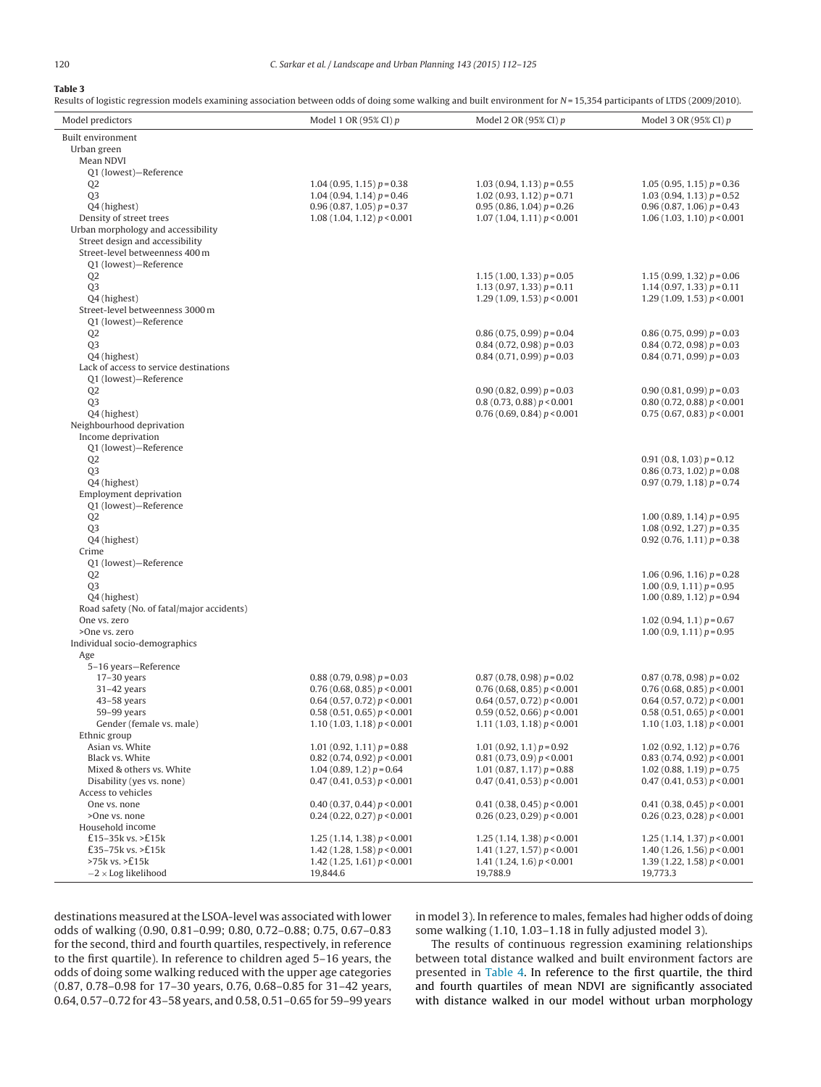$\overline{a}$ 

# <span id="page-8-0"></span>**Table 3**

Results of logistic regression models examining association between odds of doing some walking and built environment for  $N = 15,354$  participants of LTDS (2009/2010).

| Model predictors                                        | Model 1 OR (95% CI) p                                              | Model 2 OR (95% CI) $p$                                    | Model 3 OR (95% CI) p                                        |
|---------------------------------------------------------|--------------------------------------------------------------------|------------------------------------------------------------|--------------------------------------------------------------|
| Built environment                                       |                                                                    |                                                            |                                                              |
| Urban green                                             |                                                                    |                                                            |                                                              |
| Mean NDVI                                               |                                                                    |                                                            |                                                              |
| Q1 (lowest)-Reference<br>Q <sub>2</sub>                 | $1.04(0.95, 1.15)p = 0.38$                                         | $1.03(0.94, 1.13)p=0.55$                                   | $1.05(0.95, 1.15)p=0.36$                                     |
| Q <sub>3</sub>                                          | $1.04(0.94, 1.14)p = 0.46$                                         | 1.02 (0.93, 1.12) $p = 0.71$                               | 1.03 (0.94, 1.13) $p = 0.52$                                 |
| Q4 (highest)                                            | $0.96(0.87, 1.05) p = 0.37$                                        | $0.95(0.86, 1.04) p = 0.26$                                | $0.96(0.87, 1.06) p = 0.43$                                  |
| Density of street trees                                 | 1.08(1.04, 1.12) p < 0.001                                         | 1.07(1.04, 1.11)p < 0.001                                  | 1.06(1.03, 1.10) p < 0.001                                   |
| Urban morphology and accessibility                      |                                                                    |                                                            |                                                              |
| Street design and accessibility                         |                                                                    |                                                            |                                                              |
| Street-level betweenness 400 m<br>Q1 (lowest)-Reference |                                                                    |                                                            |                                                              |
| Q <sub>2</sub>                                          |                                                                    | $1.15(1.00, 1.33)p=0.05$                                   | 1.15 (0.99, 1.32) $p = 0.06$                                 |
| Q <sub>3</sub>                                          |                                                                    | 1.13 (0.97, 1.33) $p = 0.11$                               | $1.14(0.97, 1.33)p=0.11$                                     |
| Q4 (highest)                                            |                                                                    | 1.29 (1.09, 1.53) $p < 0.001$                              | 1.29(1.09, 1.53) p < 0.001                                   |
| Street-level betweenness 3000 m                         |                                                                    |                                                            |                                                              |
| 01 (lowest)-Reference                                   |                                                                    |                                                            |                                                              |
| Q <sub>2</sub><br>Q <sub>3</sub>                        |                                                                    | $0.86(0.75, 0.99) p = 0.04$<br>$0.84(0.72, 0.98) p = 0.03$ | $0.86(0.75, 0.99) p = 0.03$<br>$0.84(0.72, 0.98) p = 0.03$   |
| Q4 (highest)                                            |                                                                    | $0.84(0.71, 0.99) p = 0.03$                                | $0.84(0.71, 0.99) p = 0.03$                                  |
| Lack of access to service destinations                  |                                                                    |                                                            |                                                              |
| Q1 (lowest)-Reference                                   |                                                                    |                                                            |                                                              |
| Q <sub>2</sub>                                          |                                                                    | $0.90(0.82, 0.99) p = 0.03$                                | $0.90(0.81, 0.99) p = 0.03$                                  |
| Q <sub>3</sub>                                          |                                                                    | 0.8(0.73, 0.88) p < 0.001                                  | 0.80(0.72, 0.88) p < 0.001                                   |
| Q4 (highest)<br>Neighbourhood deprivation               |                                                                    | 0.76(0.69, 0.84)p < 0.001                                  | 0.75(0.67, 0.83)p < 0.001                                    |
| Income deprivation                                      |                                                                    |                                                            |                                                              |
| Q1 (lowest)-Reference                                   |                                                                    |                                                            |                                                              |
| Q <sub>2</sub>                                          |                                                                    |                                                            | $0.91(0.8, 1.03) p = 0.12$                                   |
| Q <sub>3</sub>                                          |                                                                    |                                                            | $0.86(0.73, 1.02) p = 0.08$                                  |
| Q4 (highest)                                            |                                                                    |                                                            | $0.97(0.79, 1.18) p = 0.74$                                  |
| <b>Employment deprivation</b><br>Q1 (lowest)-Reference  |                                                                    |                                                            |                                                              |
| Q <sub>2</sub>                                          |                                                                    |                                                            | 1.00 (0.89, 1.14) $p = 0.95$                                 |
| Q <sub>3</sub>                                          |                                                                    |                                                            | $1.08(0.92, 1.27) p = 0.35$                                  |
| Q4 (highest)                                            |                                                                    |                                                            | $0.92$ (0.76, 1.11) $p = 0.38$                               |
| Crime                                                   |                                                                    |                                                            |                                                              |
| Q1 (lowest)-Reference                                   |                                                                    |                                                            |                                                              |
| Q <sub>2</sub><br>Q <sub>3</sub>                        |                                                                    |                                                            | $1.06(0.96, 1.16) p = 0.28$<br>$1.00(0.9, 1.11)p = 0.95$     |
| Q4 (highest)                                            |                                                                    |                                                            | $1.00(0.89, 1.12)p=0.94$                                     |
| Road safety (No. of fatal/major accidents)              |                                                                    |                                                            |                                                              |
| One vs. zero                                            |                                                                    |                                                            | 1.02 (0.94, 1.1) $p = 0.67$                                  |
| >One vs. zero                                           |                                                                    |                                                            | $1.00(0.9, 1.11)p = 0.95$                                    |
| Individual socio-demographics                           |                                                                    |                                                            |                                                              |
| Age<br>5-16 years-Reference                             |                                                                    |                                                            |                                                              |
| $17-30$ years                                           | $0.88(0.79, 0.98) p = 0.03$                                        | $0.87(0.78, 0.98) p = 0.02$                                | $0.87(0.78, 0.98) p = 0.02$                                  |
| $31-42$ years                                           | 0.76(0.68, 0.85)p < 0.001                                          | 0.76(0.68, 0.85)p < 0.001                                  | 0.76(0.68, 0.85)p < 0.001                                    |
| $43-58$ years                                           | $0.64$ (0.57, 0.72) $p < 0.001$                                    | $0.64$ (0.57, 0.72) $p < 0.001$                            | $0.64$ (0.57, 0.72) $p < 0.001$                              |
| $59-99$ years                                           | 0.58(0.51, 0.65)p < 0.001                                          | 0.59(0.52, 0.66) p < 0.001                                 | 0.58(0.51, 0.65)p < 0.001                                    |
| Gender (female vs. male)<br>Ethnic group                | 1.10 (1.03, 1.18) $p < 0.001$                                      | 1.11 $(1.03, 1.18) p < 0.001$                              | 1.10 (1.03, 1.18) $p < 0.001$                                |
| Asian vs. White                                         | $1.01(0.92, 1.11)p = 0.88$                                         | 1.01 (0.92, 1.1) $p = 0.92$                                | $1.02$ (0.92, 1.12) $p = 0.76$                               |
| Black vs. White                                         | $0.82$ (0.74, 0.92) $p < 0.001$                                    | 0.81(0.73, 0.9) p < 0.001                                  | 0.83(0.74, 0.92)p < 0.001                                    |
| Mixed & others vs. White                                | 1.04 (0.89, 1.2) $p = 0.64$                                        | 1.01 (0.87, 1.17) $p = 0.88$                               | $1.02(0.88, 1.19) p = 0.75$                                  |
| Disability (yes vs. none)                               | $0.47$ (0.41, 0.53) $p < 0.001$                                    | 0.47(0.41, 0.53) p < 0.001                                 | 0.47(0.41, 0.53)p < 0.001                                    |
| Access to vehicles                                      |                                                                    |                                                            |                                                              |
| One vs. none                                            | $0.40$ (0.37, 0.44) $p < 0.001$<br>$0.24$ (0.22, 0.27) $p < 0.001$ | $0.41$ (0.38, 0.45) $p < 0.001$                            | $0.41$ (0.38, 0.45) $p < 0.001$<br>0.26(0.23, 0.28)p < 0.001 |
| >One vs. none<br>Household income                       |                                                                    | 0.26(0.23, 0.29) p < 0.001                                 |                                                              |
| £15-35k vs. >£15k                                       | 1.25 (1.14, 1.38) $p < 0.001$                                      | 1.25 (1.14, 1.38) $p < 0.001$                              | 1.25 (1.14, 1.37) $p < 0.001$                                |
| £35–75 $k$ vs. >£15 $k$                                 | 1.42 (1.28, 1.58) $p < 0.001$                                      | 1.41 $(1.27, 1.57) p < 0.001$                              | 1.40 (1.26, 1.56) $p < 0.001$                                |
| $>75k$ vs. $>E15k$                                      | 1.42 (1.25, 1.61) $p < 0.001$                                      | 1.41 $(1.24, 1.6) p < 0.001$                               | 1.39 (1.22, 1.58) $p < 0.001$                                |
| $-2 \times$ Log likelihood                              | 19,844.6                                                           | 19,788.9                                                   | 19,773.3                                                     |

destinations measured atthe LSOA-level was associated with lower odds of walking (0.90, 0.81–0.99; 0.80, 0.72–0.88; 0.75, 0.67–0.83 for the second, third and fourth quartiles, respectively, in reference to the first quartile). In reference to children aged 5–16 years, the odds of doing some walking reduced with the upper age categories (0.87, 0.78–0.98 for 17–30 years, 0.76, 0.68–0.85 for 31–42 years, 0.64, 0.57–0.72 for 43–58 years, and 0.58, 0.51–0.65 for 59–99 years in model 3). In reference to males, females had higher odds of doing some walking (1.10, 1.03–1.18 in fully adjusted model 3).

The results of continuous regression examining relationships between total distance walked and built environment factors are presented in [Table](#page-9-0) 4. In reference to the first quartile, the third and fourth quartiles of mean NDVI are significantly associated with distance walked in our model without urban morphology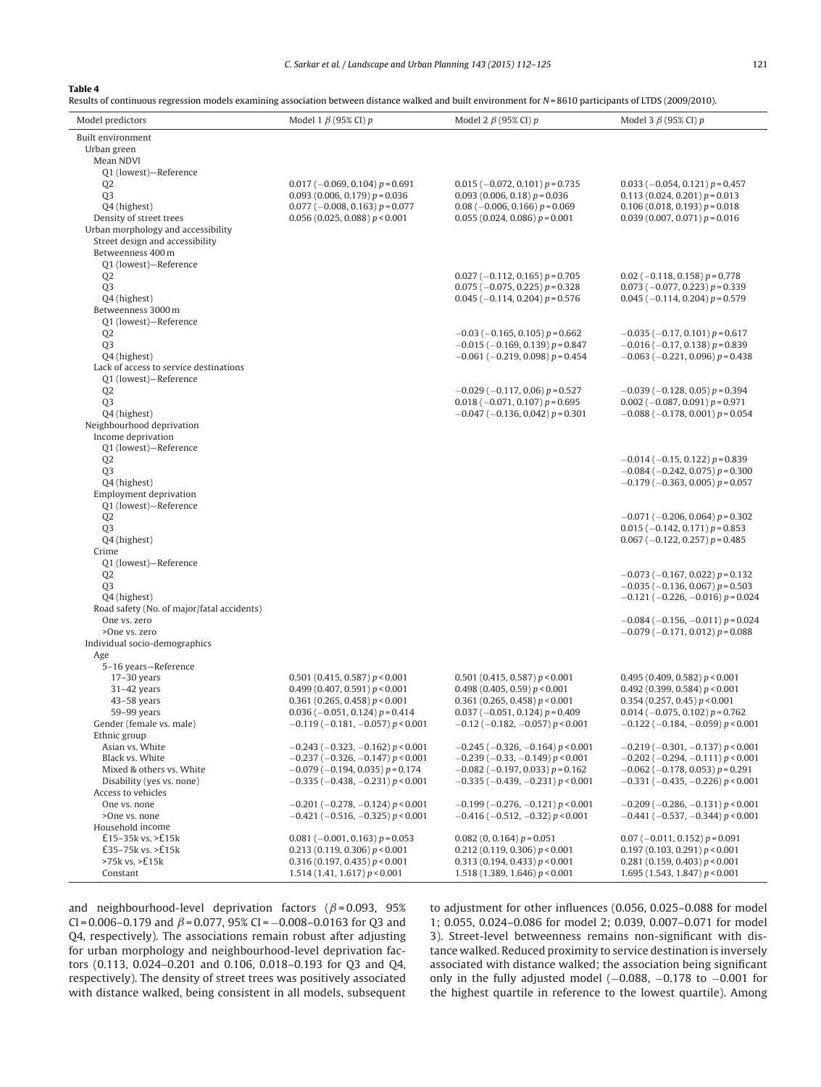# <span id="page-9-0"></span>**Table 4**

Results of continuous regression models examining association between distance walked and built environment for N=8610 participants of LTDS (2009/2010).

| Model predictors                           | Model 1 $\beta$ (95% CI) p                                                                   | Model 2 $\beta$ (95% CI) p                                                                  | Model 3 $\beta$ (95% CI) p                                                               |
|--------------------------------------------|----------------------------------------------------------------------------------------------|---------------------------------------------------------------------------------------------|------------------------------------------------------------------------------------------|
| <b>Built environment</b>                   |                                                                                              |                                                                                             |                                                                                          |
| Urban green                                |                                                                                              |                                                                                             |                                                                                          |
| Mean NDVI                                  |                                                                                              |                                                                                             |                                                                                          |
| Q1 (lowest)-Reference                      |                                                                                              |                                                                                             |                                                                                          |
| Q2<br>Q <sub>3</sub>                       | $0.017$ (-0.069, 0.104) $p = 0.691$<br>$0.093(0.006, 0.179) p = 0.036$                       | $0.015$ (-0.072, 0.101) $p = 0.735$<br>$0.093$ (0.006, 0.18) $p = 0.036$                    | $0.033 (-0.054, 0.121) p = 0.457$<br>$0.113(0.024, 0.201)p=0.013$                        |
| Q4 (highest)                               | $0.077$ (-0.008, 0.163) $p = 0.077$                                                          | $0.08$ (-0.006, 0.166) $p = 0.069$                                                          | $0.106(0.018, 0.193) p = 0.018$                                                          |
| Density of street trees                    | 0.056(0.025, 0.088)p < 0.001                                                                 | $0.055(0.024, 0.086) p = 0.001$                                                             | $0.039(0.007, 0.071)p = 0.016$                                                           |
| Urban morphology and accessibility         |                                                                                              |                                                                                             |                                                                                          |
| Street design and accessibility            |                                                                                              |                                                                                             |                                                                                          |
| Betweenness 400 m                          |                                                                                              |                                                                                             |                                                                                          |
| 01 (lowest)-Reference                      |                                                                                              |                                                                                             |                                                                                          |
| Q <sub>2</sub>                             |                                                                                              | $0.027$ (-0.112, 0.165) $p = 0.705$                                                         | $0.02$ (-0.118, 0.158) $p = 0.778$                                                       |
| Q <sub>3</sub><br>Q4 (highest)             |                                                                                              | $0.075$ (-0.075, 0.225) $p = 0.328$<br>$0.045$ (-0.114, 0.204) $p = 0.576$                  | $0.073$ (-0.077, 0.223) $p = 0.339$<br>$0.045$ (-0.114, 0.204) $p = 0.579$               |
| Betweenness 3000 m                         |                                                                                              |                                                                                             |                                                                                          |
| Q1 (lowest)-Reference                      |                                                                                              |                                                                                             |                                                                                          |
| Q <sub>2</sub>                             |                                                                                              | $-0.03$ ( $-0.165$ , 0.105) $p = 0.662$                                                     | $-0.035$ (-0.17, 0.101) $p = 0.617$                                                      |
| Q <sub>3</sub>                             |                                                                                              | $-0.015$ ( $-0.169$ , 0.139) $p = 0.847$                                                    | $-0.016$ ( $-0.17$ , 0.138) $p = 0.839$                                                  |
| Q4 (highest)                               |                                                                                              | $-0.061$ ( $-0.219$ , 0.098) $p = 0.454$                                                    | $-0.063$ ( $-0.221$ , 0.096) $p = 0.438$                                                 |
| Lack of access to service destinations     |                                                                                              |                                                                                             |                                                                                          |
| Q1 (lowest)-Reference                      |                                                                                              |                                                                                             |                                                                                          |
| Q <sub>2</sub>                             |                                                                                              | $-0.029$ ( $-0.117$ , 0.06) $p = 0.527$                                                     | $-0.039$ ( $-0.128$ , 0.05) $p = 0.394$                                                  |
| Q <sub>3</sub>                             |                                                                                              | $0.018$ (-0.071, 0.107) $p = 0.695$                                                         | $0.002$ (-0.087, 0.091) $p = 0.971$                                                      |
| Q4 (highest)<br>Neighbourhood deprivation  |                                                                                              | $-0.047$ ( $-0.136$ , 0.042) $p = 0.301$                                                    | $-0.088$ ( $-0.178$ , 0.001) $p = 0.054$                                                 |
| Income deprivation                         |                                                                                              |                                                                                             |                                                                                          |
| Q1 (lowest)-Reference                      |                                                                                              |                                                                                             |                                                                                          |
| Q <sub>2</sub>                             |                                                                                              |                                                                                             | $-0.014$ ( $-0.15$ , 0.122) $p = 0.839$                                                  |
| Q <sub>3</sub>                             |                                                                                              |                                                                                             | $-0.084$ ( $-0.242$ , 0.075) $p = 0.300$                                                 |
| Q4 (highest)                               |                                                                                              |                                                                                             | $-0.179$ ( $-0.363$ , 0.005) $p = 0.057$                                                 |
| Employment deprivation                     |                                                                                              |                                                                                             |                                                                                          |
| Q1 (lowest)-Reference                      |                                                                                              |                                                                                             |                                                                                          |
| Q <sub>2</sub>                             |                                                                                              |                                                                                             | $-0.071$ ( $-0.206$ , 0.064) $p = 0.302$                                                 |
| Q <sub>3</sub><br>Q4 (highest)             |                                                                                              |                                                                                             | $0.015 (-0.142, 0.171) p = 0.853$<br>$0.067$ (-0.122, 0.257) $p = 0.485$                 |
| Crime                                      |                                                                                              |                                                                                             |                                                                                          |
| Q1 (lowest)-Reference                      |                                                                                              |                                                                                             |                                                                                          |
| Q2                                         |                                                                                              |                                                                                             | $-0.073$ ( $-0.167$ , 0.022) $p = 0.132$                                                 |
| Q <sub>3</sub>                             |                                                                                              |                                                                                             | $-0.035$ ( $-0.136$ , 0.067) $p = 0.503$                                                 |
| Q4 (highest)                               |                                                                                              |                                                                                             | $-0.121$ ( $-0.226$ , $-0.016$ ) $p = 0.024$                                             |
| Road safety (No. of major/fatal accidents) |                                                                                              |                                                                                             |                                                                                          |
| One vs. zero                               |                                                                                              |                                                                                             | $-0.084$ ( $-0.156$ , $-0.011$ ) $p = 0.024$                                             |
| >One vs. zero                              |                                                                                              |                                                                                             | $-0.079$ ( $-0.171$ , 0.012) $p = 0.088$                                                 |
| Individual socio-demographics<br>Age       |                                                                                              |                                                                                             |                                                                                          |
| 5-16 years-Reference                       |                                                                                              |                                                                                             |                                                                                          |
| $17-30$ years                              | 0.501 (0.415, 0.587) $p < 0.001$                                                             | 0.501 (0.415, 0.587) $p < 0.001$                                                            | 0.495 (0.409, 0.582) $p < 0.001$                                                         |
| $31-42$ years                              | 0.499(0.407, 0.591)p < 0.001                                                                 | 0.498(0.405, 0.59)p < 0.001                                                                 | 0.492 (0.399, 0.584) $p < 0.001$                                                         |
| $43 - 58$ years                            | 0.361 (0.265, 0.458) $p < 0.001$                                                             | 0.361 (0.265, 0.458) $p < 0.001$                                                            | 0.354(0.257, 0.45)p < 0.001                                                              |
| $59-99$ years                              | $0.036$ (-0.051, 0.124) $p = 0.414$                                                          | $0.037 (-0.051, 0.124) p = 0.409$                                                           | $0.014 (-0.075, 0.102) p = 0.762$                                                        |
| Gender (female vs. male)                   | $-0.119$ ( $-0.181$ , $-0.057$ ) $p < 0.001$                                                 | $-0.12$ ( $-0.182$ , $-0.057$ ) $p < 0.001$                                                 | $-0.122$ ( $-0.184$ , $-0.059$ ) $p < 0.001$                                             |
| Ethnic group                               |                                                                                              |                                                                                             |                                                                                          |
| Asian vs. White<br>Black vs. White         | $-0.243$ ( $-0.323$ , $-0.162$ ) $p < 0.001$<br>$-0.237$ ( $-0.326$ , $-0.147$ ) $p < 0.001$ | $-0.245$ ( $-0.326$ , $-0.164$ ) $p < 0.001$<br>$-0.239$ ( $-0.33$ , $-0.149$ ) $p < 0.001$ | $-0.219$ ( $-0.301$ , $-0.137$ ) p < 0.001                                               |
| Mixed & others vs. White                   | $-0.079$ ( $-0.194$ , 0.035) $p = 0.174$                                                     | $-0.082$ ( $-0.197$ , 0.033) $p = 0.162$                                                    | $-0.202$ ( $-0.294$ , $-0.111$ ) $p < 0.001$<br>$-0.062$ ( $-0.178$ , 0.053) $p = 0.291$ |
| Disability (yes vs. none)                  | $-0.335$ ( $-0.438$ , $-0.231$ ) $p < 0.001$                                                 | $-0.335$ ( $-0.439$ , $-0.231$ ) $p < 0.001$                                                | $-0.331$ ( $-0.435$ , $-0.226$ ) $p < 0.001$                                             |
| Access to vehicles                         |                                                                                              |                                                                                             |                                                                                          |
| One vs. none                               | $-0.201$ ( $-0.278$ , $-0.124$ ) $p < 0.001$                                                 | $-0.199$ ( $-0.276$ , $-0.121$ ) $p < 0.001$                                                | $-0.209$ ( $-0.286$ , $-0.131$ ) $p < 0.001$                                             |
| >One vs. none                              | $-0.421$ ( $-0.516$ , $-0.325$ ) $p < 0.001$                                                 | $-0.416$ ( $-0.512$ , $-0.32$ ) $p < 0.001$                                                 | $-0.441$ ( $-0.537$ , $-0.344$ ) $p < 0.001$                                             |
| Household income                           |                                                                                              |                                                                                             |                                                                                          |
| £15-35k vs. >£15k                          | $0.081$ (-0.001, 0.163) $p = 0.053$                                                          | $0.082(0, 0.164) p = 0.051$                                                                 | $0.07$ (-0.011, 0.152) $p = 0.091$                                                       |
| £35-75 $k$ vs. >£15 $k$                    | 0.213(0.119, 0.306) p < 0.001                                                                | 0.212(0.119, 0.306) p < 0.001                                                               | 0.197(0.103, 0.291)p < 0.001                                                             |
| >75k vs. >£15k                             | 0.316(0.197, 0.435)p < 0.001                                                                 | 0.313(0.194, 0.433)p < 0.001                                                                | 0.281 (0.159, 0.403) $p < 0.001$                                                         |
| Constant                                   | 1.514(1.41, 1.617) p < 0.001                                                                 | 1.518 (1.389, 1.646) $p < 0.001$                                                            | 1.695 (1.543, 1.847) $p < 0.001$                                                         |

and neighbourhood-level deprivation factors ( $\beta$ =0.093, 95%) CI = 0.006–0.179 and  $\beta$  = 0.077, 95% CI = -0.008–0.0163 for Q3 and Q4, respectively). The associations remain robust after adjusting for urban morphology and neighbourhood-level deprivation factors (0.113, 0.024–0.201 and 0.106, 0.018–0.193 for Q3 and Q4, respectively). The density of street trees was positively associated with distance walked, being consistent in all models, subsequent to adjustment for other influences (0.056, 0.025–0.088 for model 1; 0.055, 0.024–0.086 for model 2; 0.039, 0.007–0.071 for model 3). Street-level betweenness remains non-significant with distance walked. Reduced proximity to service destination is inversely associated with distance walked; the association being significant only in the fully adjusted model (−0.088, −0.178 to −0.001 for the highest quartile in reference to the lowest quartile). Among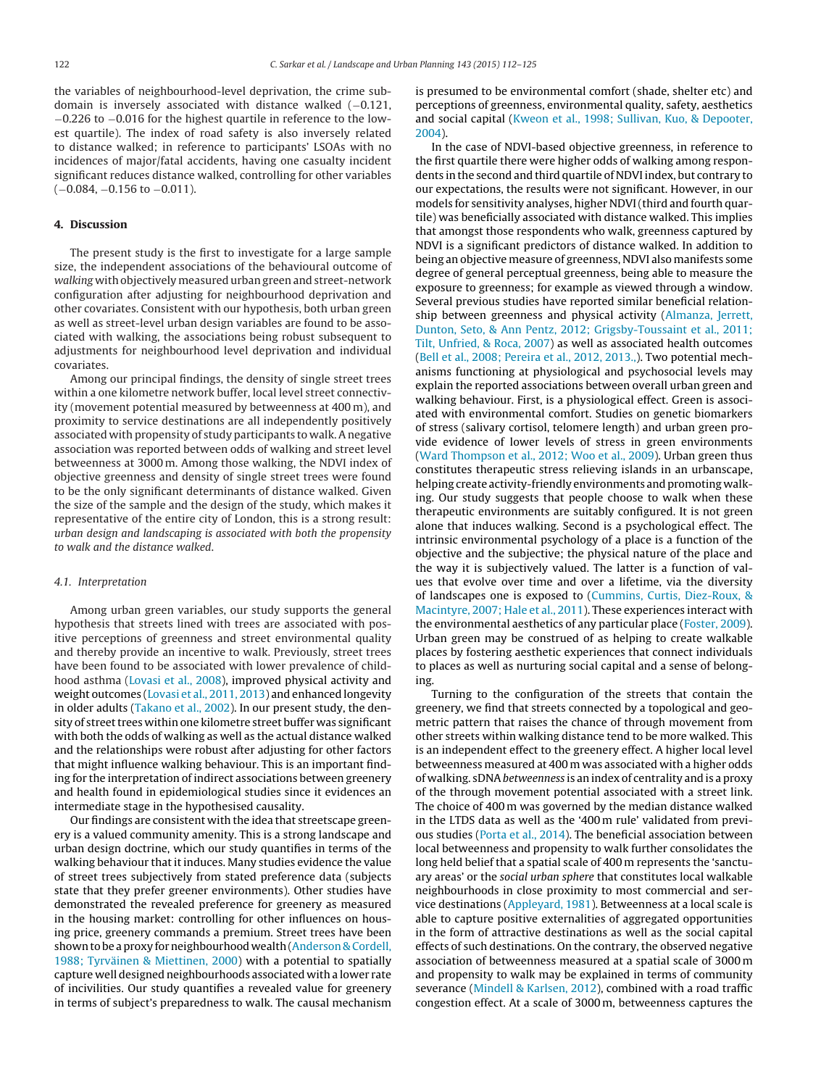the variables of neighbourhood-level deprivation, the crime subdomain is inversely associated with distance walked (−0.121, −0.226 to −0.016 for the highest quartile in reference to the lowest quartile). The index of road safety is also inversely related to distance walked; in reference to participants' LSOAs with no incidences of major/fatal accidents, having one casualty incident significant reduces distance walked, controlling for other variables (−0.084, −0.156 to −0.011).

# **4. Discussion**

The present study is the first to investigate for a large sample size, the independent associations of the behavioural outcome of walking with objectively measured urban green and street-network configuration after adjusting for neighbourhood deprivation and other covariates. Consistent with our hypothesis, both urban green as well as street-level urban design variables are found to be associated with walking, the associations being robust subsequent to adjustments for neighbourhood level deprivation and individual covariates.

Among our principal findings, the density of single street trees within a one kilometre network buffer, local level street connectivity (movement potential measured by betweenness at 400 m), and proximity to service destinations are all independently positively associated with propensity of study participants to walk. A negative association was reported between odds of walking and street level betweenness at 3000 m. Among those walking, the NDVI index of objective greenness and density of single street trees were found to be the only significant determinants of distance walked. Given the size of the sample and the design of the study, which makes it representative of the entire city of London, this is a strong result: urban design and landscaping is associated with both the propensity to walk and the distance walked.

### 4.1. Interpretation

Among urban green variables, our study supports the general hypothesis that streets lined with trees are associated with positive perceptions of greenness and street environmental quality and thereby provide an incentive to walk. Previously, street trees have been found to be associated with lower prevalence of childhood asthma ([Lovasi](#page-12-0) et [al.,](#page-12-0) [2008\),](#page-12-0) improved physical activity and weight outcomes ([Lovasi](#page-12-0) et [al.,](#page-12-0) [2011,](#page-12-0) [2013\)](#page-12-0) and enhanced longevity in older adults [\(Takano](#page-13-0) et [al.,](#page-13-0) [2002\).](#page-13-0) In our present study, the density of street trees within one kilometre street buffer was significant with both the odds of walking as well as the actual distance walked and the relationships were robust after adjusting for other factors that might influence walking behaviour. This is an important finding for the interpretation of indirect associations between greenery and health found in epidemiological studies since it evidences an intermediate stage in the hypothesised causality.

Our findings are consistent with the idea that streetscape greenery is a valued community amenity. This is a strong landscape and urban design doctrine, which our study quantifies in terms of the walking behaviour that it induces. Many studies evidence the value of street trees subjectively from stated preference data (subjects state that they prefer greener environments). Other studies have demonstrated the revealed preference for greenery as measured in the housing market: controlling for other influences on housing price, greenery commands a premium. Street trees have been shown to be a proxy for neighbourhood wealth [\(Anderson](#page-12-0) [&](#page-12-0) [Cordell,](#page-12-0) [1988;](#page-12-0) [Tyrväinen](#page-12-0) [&](#page-12-0) [Miettinen,](#page-12-0) [2000\)](#page-12-0) with a potential to spatially capture well designed neighbourhoods associated with a lower rate of incivilities. Our study quantifies a revealed value for greenery in terms of subject's preparedness to walk. The causal mechanism

is presumed to be environmental comfort (shade, shelter etc) and perceptions of greenness, environmental quality, safety, aesthetics and social capital [\(Kweon](#page-12-0) et [al.,](#page-12-0) [1998;](#page-12-0) [Sullivan,](#page-12-0) [Kuo,](#page-12-0) [&](#page-12-0) [Depooter,](#page-12-0) [2004\).](#page-12-0)

In the case of NDVI-based objective greenness, in reference to the first quartile there were higher odds of walking among respondents in the second and third quartile of NDVI index, but contrary to our expectations, the results were not significant. However, in our models for sensitivity analyses, higher NDVI(third and fourth quartile) was beneficially associated with distance walked. This implies that amongst those respondents who walk, greenness captured by NDVI is a significant predictors of distance walked. In addition to being an objective measure of greenness, NDVI also manifests some degree of general perceptual greenness, being able to measure the exposure to greenness; for example as viewed through a window. Several previous studies have reported similar beneficial relationship between greenness and physical activity ([Almanza,](#page-12-0) [Jerrett,](#page-12-0) [Dunton,](#page-12-0) [Seto,](#page-12-0) [&](#page-12-0) [Ann](#page-12-0) [Pentz,](#page-12-0) [2012;](#page-12-0) [Grigsby-Toussaint](#page-12-0) et [al.,](#page-12-0) [2011;](#page-12-0) [Tilt,](#page-12-0) [Unfried,](#page-12-0) [&](#page-12-0) [Roca,](#page-12-0) [2007\)](#page-12-0) as well as associated health outcomes [\(Bell](#page-12-0) et [al.,](#page-12-0) [2008;](#page-12-0) [Pereira](#page-12-0) et [al.,](#page-12-0) [2012,](#page-12-0) [2013.,\).](#page-12-0) Two potential mechanisms functioning at physiological and psychosocial levels may explain the reported associations between overall urban green and walking behaviour. First, is a physiological effect. Green is associated with environmental comfort. Studies on genetic biomarkers of stress (salivary cortisol, telomere length) and urban green provide evidence of lower levels of stress in green environments [\(Ward](#page-13-0) [Thompson](#page-13-0) et [al.,](#page-13-0) [2012;](#page-13-0) [Woo](#page-13-0) et [al.,](#page-13-0) [2009\).](#page-13-0) Urban green thus constitutes therapeutic stress relieving islands in an urbanscape, helping create activity-friendly environments and promoting walking. Our study suggests that people choose to walk when these therapeutic environments are suitably configured. It is not green alone that induces walking. Second is a psychological effect. The intrinsic environmental psychology of a place is a function of the objective and the subjective; the physical nature of the place and the way it is subjectively valued. The latter is a function of values that evolve over time and over a lifetime, via the diversity of landscapes one is exposed to ([Cummins,](#page-12-0) [Curtis,](#page-12-0) [Diez-Roux,](#page-12-0) [&](#page-12-0) [Macintyre,](#page-12-0) [2007;](#page-12-0) [Hale](#page-12-0) et [al.,](#page-12-0) [2011\).](#page-12-0) These experiences interact with the environmental aesthetics of any particular place ([Foster,](#page-12-0) [2009\).](#page-12-0) Urban green may be construed of as helping to create walkable places by fostering aesthetic experiences that connect individuals to places as well as nurturing social capital and a sense of belonging.

Turning to the configuration of the streets that contain the greenery, we find that streets connected by a topological and geometric pattern that raises the chance of through movement from other streets within walking distance tend to be more walked. This is an independent effect to the greenery effect. A higher local level betweenness measured at 400 m was associated with a higher odds of walking. sDNAbetweenness is an index of centrality and is a proxy of the through movement potential associated with a street link. The choice of 400 m was governed by the median distance walked in the LTDS data as well as the '400 m rule' validated from previous studies [\(Porta](#page-13-0) et [al.,](#page-13-0) [2014\).](#page-13-0) The beneficial association between local betweenness and propensity to walk further consolidates the long held belief that a spatial scale of 400 m represents the 'sanctuary areas' or the social urban sphere that constitutes local walkable neighbourhoods in close proximity to most commercial and service destinations [\(Appleyard,](#page-12-0) [1981\).](#page-12-0) Betweenness at a local scale is able to capture positive externalities of aggregated opportunities in the form of attractive destinations as well as the social capital effects of such destinations. On the contrary, the observed negative association of betweenness measured at a spatial scale of 3000 m and propensity to walk may be explained in terms of community severance ([Mindell](#page-12-0) [&](#page-12-0) [Karlsen,](#page-12-0) [2012\),](#page-12-0) combined with a road traffic congestion effect. At a scale of 3000 m, betweenness captures the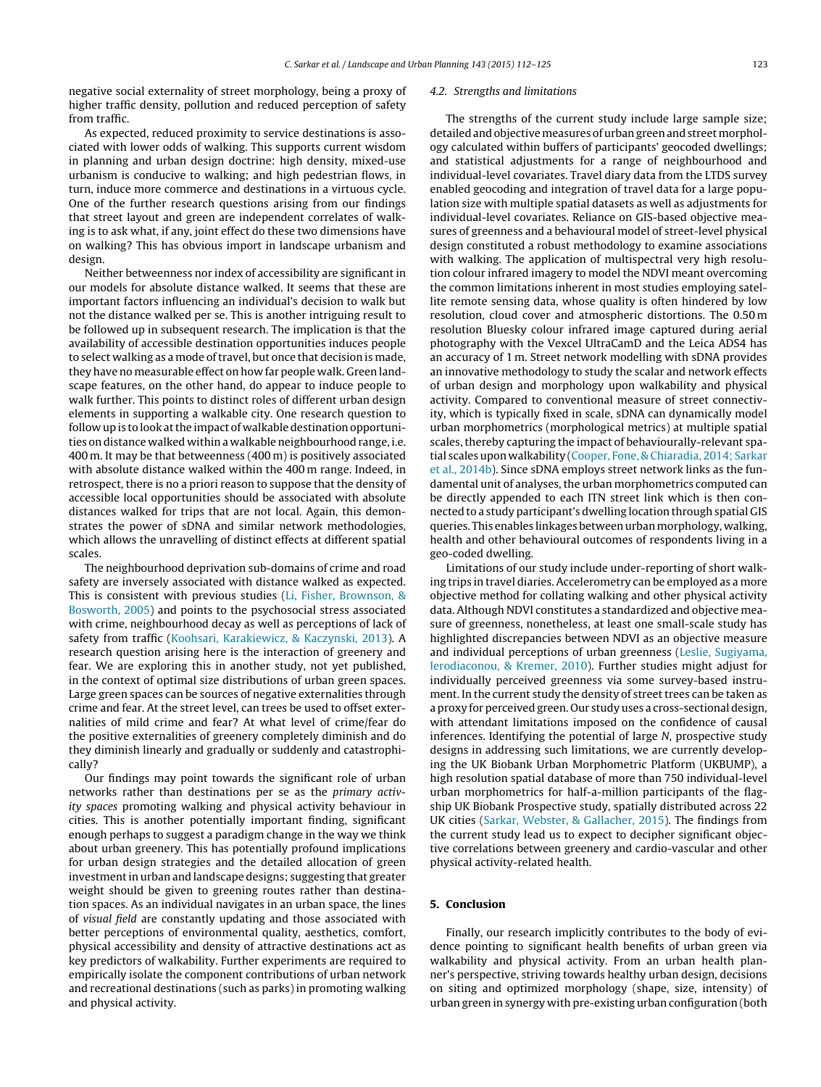negative social externality of street morphology, being a proxy of higher traffic density, pollution and reduced perception of safety from traffic.

As expected, reduced proximity to service destinations is associated with lower odds of walking. This supports current wisdom in planning and urban design doctrine: high density, mixed-use urbanism is conducive to walking; and high pedestrian flows, in turn, induce more commerce and destinations in a virtuous cycle. One of the further research questions arising from our findings that street layout and green are independent correlates of walking is to ask what, if any, joint effect do these two dimensions have on walking? This has obvious import in landscape urbanism and design.

Neither betweenness nor index of accessibility are significant in our models for absolute distance walked. It seems that these are important factors influencing an individual's decision to walk but not the distance walked per se. This is another intriguing result to be followed up in subsequent research. The implication is that the availability of accessible destination opportunities induces people to select walking as a mode of travel, but once that decision is made, they have no measurable effect on how far people walk. Green landscape features, on the other hand, do appear to induce people to walk further. This points to distinct roles of different urban design elements in supporting a walkable city. One research question to follow up is to look at the impact of walkable destination opportunities on distance walked within a walkable neighbourhood range, i.e. 400 m. It may be that betweenness (400 m) is positively associated with absolute distance walked within the 400 m range. Indeed, in retrospect, there is no a priori reason to suppose that the density of accessible local opportunities should be associated with absolute distances walked for trips that are not local. Again, this demonstrates the power of sDNA and similar network methodologies, which allows the unravelling of distinct effects at different spatial scales.

The neighbourhood deprivation sub-domains of crime and road safety are inversely associated with distance walked as expected. This is consistent with previous studies [\(Li,](#page-12-0) [Fisher,](#page-12-0) [Brownson,](#page-12-0) [&](#page-12-0) [Bosworth,](#page-12-0) [2005\)](#page-12-0) and points to the psychosocial stress associated with crime, neighbourhood decay as well as perceptions of lack of safety from traffic [\(Koohsari,](#page-12-0) [Karakiewicz,](#page-12-0) [&](#page-12-0) [Kaczynski,](#page-12-0) [2013\).](#page-12-0) A research question arising here is the interaction of greenery and fear. We are exploring this in another study, not yet published, in the context of optimal size distributions of urban green spaces. Large green spaces can be sources of negative externalities through crime and fear. At the street level, can trees be used to offset externalities of mild crime and fear? At what level of crime/fear do the positive externalities of greenery completely diminish and do they diminish linearly and gradually or suddenly and catastrophically?

Our findings may point towards the significant role of urban networks rather than destinations per se as the primary activity spaces promoting walking and physical activity behaviour in cities. This is another potentially important finding, significant enough perhaps to suggest a paradigm change in the way we think about urban greenery. This has potentially profound implications for urban design strategies and the detailed allocation of green investment in urban and landscape designs; suggesting that greater weight should be given to greening routes rather than destination spaces. As an individual navigates in an urban space, the lines of visual field are constantly updating and those associated with better perceptions of environmental quality, aesthetics, comfort, physical accessibility and density of attractive destinations act as key predictors of walkability. Further experiments are required to empirically isolate the component contributions of urban network and recreational destinations (such as parks) in promoting walking and physical activity.

#### 4.2. Strengths and limitations

The strengths of the current study include large sample size; detailed and objective measures of urban green and street morphology calculated within buffers of participants' geocoded dwellings; and statistical adjustments for a range of neighbourhood and individual-level covariates. Travel diary data from the LTDS survey enabled geocoding and integration of travel data for a large population size with multiple spatial datasets as well as adjustments for individual-level covariates. Reliance on GIS-based objective measures of greenness and a behavioural model of street-level physical design constituted a robust methodology to examine associations with walking. The application of multispectral very high resolution colour infrared imagery to model the NDVI meant overcoming the common limitations inherent in most studies employing satellite remote sensing data, whose quality is often hindered by low resolution, cloud cover and atmospheric distortions. The 0.50 m resolution Bluesky colour infrared image captured during aerial photography with the Vexcel UltraCamD and the Leica ADS4 has an accuracy of 1 m. Street network modelling with sDNA provides an innovative methodology to study the scalar and network effects of urban design and morphology upon walkability and physical activity. Compared to conventional measure of street connectivity, which is typically fixed in scale, sDNA can dynamically model urban morphometrics (morphological metrics) at multiple spatial scales, thereby capturing the impact of behaviourally-relevant spatial scales upon walkability ([Cooper,](#page-12-0) [Fone,](#page-12-0) [&](#page-12-0) [Chiaradia,](#page-12-0) [2014;](#page-12-0) [Sarkar](#page-13-0) et [al.,](#page-13-0) [2014b\).](#page-13-0) Since sDNA employs street network links as the fundamental unit of analyses, the urban morphometrics computed can be directly appended to each ITN street link which is then connected to a study participant's dwelling location through spatial GIS queries. This enables linkages betweenurbanmorphology, walking, health and other behavioural outcomes of respondents living in a geo-coded dwelling.

Limitations of our study include under-reporting of short walking trips in travel diaries. Accelerometry can be employed as a more objective method for collating walking and other physical activity data. Although NDVI constitutes a standardized and objective measure of greenness, nonetheless, at least one small-scale study has highlighted discrepancies between NDVI as an objective measure and individual perceptions of urban greenness [\(Leslie,](#page-12-0) [Sugiyama,](#page-12-0) [Ierodiaconou,](#page-12-0) [&](#page-12-0) [Kremer,](#page-12-0) [2010\).](#page-12-0) Further studies might adjust for individually perceived greenness via some survey-based instrument. In the current study the density of street trees can be taken as a proxy for perceived green. Our study uses a cross-sectional design, with attendant limitations imposed on the confidence of causal inferences. Identifying the potential of large N, prospective study designs in addressing such limitations, we are currently developing the UK Biobank Urban Morphometric Platform (UKBUMP), a high resolution spatial database of more than 750 individual-level urban morphometrics for half-a-million participants of the flagship UK Biobank Prospective study, spatially distributed across 22 UK cities [\(Sarkar,](#page-13-0) [Webster,](#page-13-0) [&](#page-13-0) [Gallacher,](#page-13-0) [2015\).](#page-13-0) The findings from the current study lead us to expect to decipher significant objective correlations between greenery and cardio-vascular and other physical activity-related health.

# **5. Conclusion**

Finally, our research implicitly contributes to the body of evidence pointing to significant health benefits of urban green via walkability and physical activity. From an urban health planner's perspective, striving towards healthy urban design, decisions on siting and optimized morphology (shape, size, intensity) of urban green in synergy with pre-existing urban configuration (both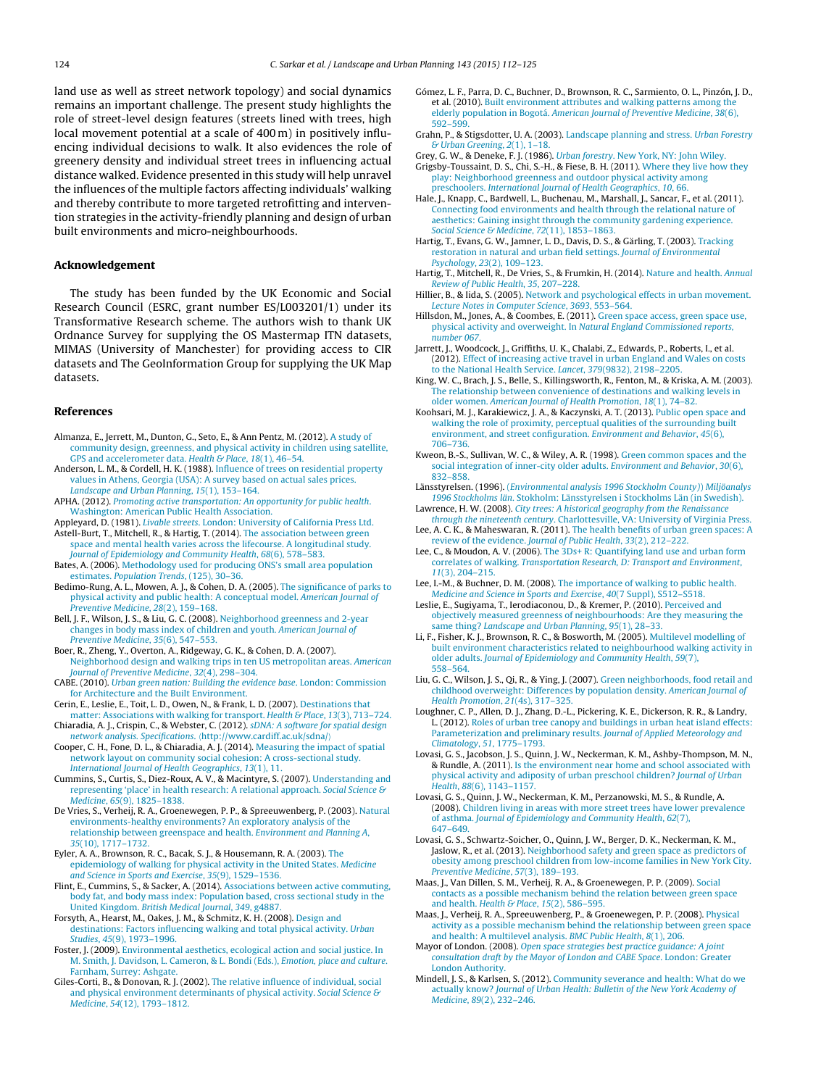<span id="page-12-0"></span>land use as well as street network topology) and social dynamics remains an important challenge. The present study highlights the role of street-level design features (streets lined with trees, high local movement potential at a scale of 400 m) in positively influencing individual decisions to walk. It also evidences the role of greenery density and individual street trees in influencing actual distance walked. Evidence presented in this study will help unravel the influences of the multiple factors affecting individuals' walking and thereby contribute to more targeted retrofitting and intervention strategies in the activity-friendly planning and design of urban built environments and micro-neighbourhoods.

# **Acknowledgement**

The study has been funded by the UK Economic and Social Research Council (ESRC, grant number ES/L003201/1) under its Transformative Research scheme. The authors wish to thank UK Ordnance Survey for supplying the OS Mastermap ITN datasets, MIMAS (University of Manchester) for providing access to CIR datasets and The GeoInformation Group for supplying the UK Map datasets.

#### **References**

- Almanza, E., Jerrett, M., Dunton, G., Seto, E., & Ann Pentz, M. (2012). [A](http://refhub.elsevier.com/S0169-2046(15)00138-3/sbref0005) [study](http://refhub.elsevier.com/S0169-2046(15)00138-3/sbref0005) [of](http://refhub.elsevier.com/S0169-2046(15)00138-3/sbref0005) [community](http://refhub.elsevier.com/S0169-2046(15)00138-3/sbref0005) [design,](http://refhub.elsevier.com/S0169-2046(15)00138-3/sbref0005) [greenness,](http://refhub.elsevier.com/S0169-2046(15)00138-3/sbref0005) [and](http://refhub.elsevier.com/S0169-2046(15)00138-3/sbref0005) [physical](http://refhub.elsevier.com/S0169-2046(15)00138-3/sbref0005) [activity](http://refhub.elsevier.com/S0169-2046(15)00138-3/sbref0005) [in](http://refhub.elsevier.com/S0169-2046(15)00138-3/sbref0005) [children](http://refhub.elsevier.com/S0169-2046(15)00138-3/sbref0005) [using](http://refhub.elsevier.com/S0169-2046(15)00138-3/sbref0005) [satellite,](http://refhub.elsevier.com/S0169-2046(15)00138-3/sbref0005) [GPS](http://refhub.elsevier.com/S0169-2046(15)00138-3/sbref0005) [and](http://refhub.elsevier.com/S0169-2046(15)00138-3/sbref0005) [accelerometer](http://refhub.elsevier.com/S0169-2046(15)00138-3/sbref0005) [data.](http://refhub.elsevier.com/S0169-2046(15)00138-3/sbref0005) [Health](http://refhub.elsevier.com/S0169-2046(15)00138-3/sbref0005) [&](http://refhub.elsevier.com/S0169-2046(15)00138-3/sbref0005) [Place](http://refhub.elsevier.com/S0169-2046(15)00138-3/sbref0005)[,](http://refhub.elsevier.com/S0169-2046(15)00138-3/sbref0005) [18](http://refhub.elsevier.com/S0169-2046(15)00138-3/sbref0005)[\(1\),](http://refhub.elsevier.com/S0169-2046(15)00138-3/sbref0005) [46–54.](http://refhub.elsevier.com/S0169-2046(15)00138-3/sbref0005)
- Anderson, L. M., & Cordell, H. K. (1988). [Influence](http://refhub.elsevier.com/S0169-2046(15)00138-3/sbref0010) [of](http://refhub.elsevier.com/S0169-2046(15)00138-3/sbref0010) [trees](http://refhub.elsevier.com/S0169-2046(15)00138-3/sbref0010) [on](http://refhub.elsevier.com/S0169-2046(15)00138-3/sbref0010) [residential](http://refhub.elsevier.com/S0169-2046(15)00138-3/sbref0010) [property](http://refhub.elsevier.com/S0169-2046(15)00138-3/sbref0010) [values](http://refhub.elsevier.com/S0169-2046(15)00138-3/sbref0010) [in](http://refhub.elsevier.com/S0169-2046(15)00138-3/sbref0010) [Athens,](http://refhub.elsevier.com/S0169-2046(15)00138-3/sbref0010) [Georgia](http://refhub.elsevier.com/S0169-2046(15)00138-3/sbref0010) [\(USA\):](http://refhub.elsevier.com/S0169-2046(15)00138-3/sbref0010) [A](http://refhub.elsevier.com/S0169-2046(15)00138-3/sbref0010) [survey](http://refhub.elsevier.com/S0169-2046(15)00138-3/sbref0010) [based](http://refhub.elsevier.com/S0169-2046(15)00138-3/sbref0010) [on](http://refhub.elsevier.com/S0169-2046(15)00138-3/sbref0010) [actual](http://refhub.elsevier.com/S0169-2046(15)00138-3/sbref0010) [sales](http://refhub.elsevier.com/S0169-2046(15)00138-3/sbref0010) [prices.](http://refhub.elsevier.com/S0169-2046(15)00138-3/sbref0010) [Landscape](http://refhub.elsevier.com/S0169-2046(15)00138-3/sbref0010) [and](http://refhub.elsevier.com/S0169-2046(15)00138-3/sbref0010) [Urban](http://refhub.elsevier.com/S0169-2046(15)00138-3/sbref0010) [Planning](http://refhub.elsevier.com/S0169-2046(15)00138-3/sbref0010)[,](http://refhub.elsevier.com/S0169-2046(15)00138-3/sbref0010) [15](http://refhub.elsevier.com/S0169-2046(15)00138-3/sbref0010)[\(1\),](http://refhub.elsevier.com/S0169-2046(15)00138-3/sbref0010) [153–164.](http://refhub.elsevier.com/S0169-2046(15)00138-3/sbref0010)
- APHA. (2012). [Promoting](http://refhub.elsevier.com/S0169-2046(15)00138-3/sbref0015) [active](http://refhub.elsevier.com/S0169-2046(15)00138-3/sbref0015) [transportation:](http://refhub.elsevier.com/S0169-2046(15)00138-3/sbref0015) [An](http://refhub.elsevier.com/S0169-2046(15)00138-3/sbref0015) [opportunity](http://refhub.elsevier.com/S0169-2046(15)00138-3/sbref0015) [for](http://refhub.elsevier.com/S0169-2046(15)00138-3/sbref0015) [public](http://refhub.elsevier.com/S0169-2046(15)00138-3/sbref0015) [health](http://refhub.elsevier.com/S0169-2046(15)00138-3/sbref0015)[.](http://refhub.elsevier.com/S0169-2046(15)00138-3/sbref0015) [Washington:](http://refhub.elsevier.com/S0169-2046(15)00138-3/sbref0015) [American](http://refhub.elsevier.com/S0169-2046(15)00138-3/sbref0015) [Public](http://refhub.elsevier.com/S0169-2046(15)00138-3/sbref0015) [Health](http://refhub.elsevier.com/S0169-2046(15)00138-3/sbref0015) [Association.](http://refhub.elsevier.com/S0169-2046(15)00138-3/sbref0015)
- Appleyard, D. (1981). [Livable](http://refhub.elsevier.com/S0169-2046(15)00138-3/sbref0020) [streets](http://refhub.elsevier.com/S0169-2046(15)00138-3/sbref0020)[.](http://refhub.elsevier.com/S0169-2046(15)00138-3/sbref0020) [London:](http://refhub.elsevier.com/S0169-2046(15)00138-3/sbref0020) [University](http://refhub.elsevier.com/S0169-2046(15)00138-3/sbref0020) [of](http://refhub.elsevier.com/S0169-2046(15)00138-3/sbref0020) [California](http://refhub.elsevier.com/S0169-2046(15)00138-3/sbref0020) [Press](http://refhub.elsevier.com/S0169-2046(15)00138-3/sbref0020) [Ltd.](http://refhub.elsevier.com/S0169-2046(15)00138-3/sbref0020) Astell-Burt, T., Mitchell, R., & Hartig, T. (2014). [The](http://refhub.elsevier.com/S0169-2046(15)00138-3/sbref0025) [association](http://refhub.elsevier.com/S0169-2046(15)00138-3/sbref0025) [between](http://refhub.elsevier.com/S0169-2046(15)00138-3/sbref0025) [green](http://refhub.elsevier.com/S0169-2046(15)00138-3/sbref0025) [space](http://refhub.elsevier.com/S0169-2046(15)00138-3/sbref0025) [and](http://refhub.elsevier.com/S0169-2046(15)00138-3/sbref0025) [mental](http://refhub.elsevier.com/S0169-2046(15)00138-3/sbref0025) [health](http://refhub.elsevier.com/S0169-2046(15)00138-3/sbref0025) [varies](http://refhub.elsevier.com/S0169-2046(15)00138-3/sbref0025) [across](http://refhub.elsevier.com/S0169-2046(15)00138-3/sbref0025) [the](http://refhub.elsevier.com/S0169-2046(15)00138-3/sbref0025) [lifecourse.](http://refhub.elsevier.com/S0169-2046(15)00138-3/sbref0025) [A](http://refhub.elsevier.com/S0169-2046(15)00138-3/sbref0025) [longitudinal](http://refhub.elsevier.com/S0169-2046(15)00138-3/sbref0025) [study.](http://refhub.elsevier.com/S0169-2046(15)00138-3/sbref0025)
- [Journal](http://refhub.elsevier.com/S0169-2046(15)00138-3/sbref0025) [of](http://refhub.elsevier.com/S0169-2046(15)00138-3/sbref0025) [Epidemiology](http://refhub.elsevier.com/S0169-2046(15)00138-3/sbref0025) [and](http://refhub.elsevier.com/S0169-2046(15)00138-3/sbref0025) [Community](http://refhub.elsevier.com/S0169-2046(15)00138-3/sbref0025) [Health](http://refhub.elsevier.com/S0169-2046(15)00138-3/sbref0025)[,](http://refhub.elsevier.com/S0169-2046(15)00138-3/sbref0025) [68](http://refhub.elsevier.com/S0169-2046(15)00138-3/sbref0025)[\(6\),](http://refhub.elsevier.com/S0169-2046(15)00138-3/sbref0025) [578](http://refhub.elsevier.com/S0169-2046(15)00138-3/sbref0025)–[583.](http://refhub.elsevier.com/S0169-2046(15)00138-3/sbref0025) Bates, A. (2006). [Methodology](http://refhub.elsevier.com/S0169-2046(15)00138-3/sbref0030) [used](http://refhub.elsevier.com/S0169-2046(15)00138-3/sbref0030) [for](http://refhub.elsevier.com/S0169-2046(15)00138-3/sbref0030) [producing](http://refhub.elsevier.com/S0169-2046(15)00138-3/sbref0030) [ONS's](http://refhub.elsevier.com/S0169-2046(15)00138-3/sbref0030) [small](http://refhub.elsevier.com/S0169-2046(15)00138-3/sbref0030) [area](http://refhub.elsevier.com/S0169-2046(15)00138-3/sbref0030) [population](http://refhub.elsevier.com/S0169-2046(15)00138-3/sbref0030)
- [estimates.](http://refhub.elsevier.com/S0169-2046(15)00138-3/sbref0030) [Population](http://refhub.elsevier.com/S0169-2046(15)00138-3/sbref0030) [Trends](http://refhub.elsevier.com/S0169-2046(15)00138-3/sbref0030), [\(125\),](http://refhub.elsevier.com/S0169-2046(15)00138-3/sbref0030) [30](http://refhub.elsevier.com/S0169-2046(15)00138-3/sbref0030)–[36.](http://refhub.elsevier.com/S0169-2046(15)00138-3/sbref0030)
- Bedimo-Rung, A. L., Mowen, A. J., & Cohen, D. A. (2005). [The](http://refhub.elsevier.com/S0169-2046(15)00138-3/sbref0035) [significance](http://refhub.elsevier.com/S0169-2046(15)00138-3/sbref0035) [of](http://refhub.elsevier.com/S0169-2046(15)00138-3/sbref0035) [parks](http://refhub.elsevier.com/S0169-2046(15)00138-3/sbref0035) [to](http://refhub.elsevier.com/S0169-2046(15)00138-3/sbref0035) [physical](http://refhub.elsevier.com/S0169-2046(15)00138-3/sbref0035) [activity](http://refhub.elsevier.com/S0169-2046(15)00138-3/sbref0035) [and](http://refhub.elsevier.com/S0169-2046(15)00138-3/sbref0035) [public](http://refhub.elsevier.com/S0169-2046(15)00138-3/sbref0035) [health:](http://refhub.elsevier.com/S0169-2046(15)00138-3/sbref0035) [A](http://refhub.elsevier.com/S0169-2046(15)00138-3/sbref0035) [conceptual](http://refhub.elsevier.com/S0169-2046(15)00138-3/sbref0035) [model.](http://refhub.elsevier.com/S0169-2046(15)00138-3/sbref0035) [American](http://refhub.elsevier.com/S0169-2046(15)00138-3/sbref0035) [Journal](http://refhub.elsevier.com/S0169-2046(15)00138-3/sbref0035) [of](http://refhub.elsevier.com/S0169-2046(15)00138-3/sbref0035) [Preventive](http://refhub.elsevier.com/S0169-2046(15)00138-3/sbref0035) [Medicine](http://refhub.elsevier.com/S0169-2046(15)00138-3/sbref0035)[,](http://refhub.elsevier.com/S0169-2046(15)00138-3/sbref0035) [28](http://refhub.elsevier.com/S0169-2046(15)00138-3/sbref0035)[\(2\),](http://refhub.elsevier.com/S0169-2046(15)00138-3/sbref0035) [159](http://refhub.elsevier.com/S0169-2046(15)00138-3/sbref0035)–[168.](http://refhub.elsevier.com/S0169-2046(15)00138-3/sbref0035)
- Bell, J. F., Wilson, J. S., & Liu, G. C. (2008). [Neighborhood](http://refhub.elsevier.com/S0169-2046(15)00138-3/sbref0040) [greenness](http://refhub.elsevier.com/S0169-2046(15)00138-3/sbref0040) [and](http://refhub.elsevier.com/S0169-2046(15)00138-3/sbref0040) [2-year](http://refhub.elsevier.com/S0169-2046(15)00138-3/sbref0040) [changes](http://refhub.elsevier.com/S0169-2046(15)00138-3/sbref0040) [in](http://refhub.elsevier.com/S0169-2046(15)00138-3/sbref0040) [body](http://refhub.elsevier.com/S0169-2046(15)00138-3/sbref0040) [mass](http://refhub.elsevier.com/S0169-2046(15)00138-3/sbref0040) [index](http://refhub.elsevier.com/S0169-2046(15)00138-3/sbref0040) [of](http://refhub.elsevier.com/S0169-2046(15)00138-3/sbref0040) [children](http://refhub.elsevier.com/S0169-2046(15)00138-3/sbref0040) [and](http://refhub.elsevier.com/S0169-2046(15)00138-3/sbref0040) [youth.](http://refhub.elsevier.com/S0169-2046(15)00138-3/sbref0040) [American](http://refhub.elsevier.com/S0169-2046(15)00138-3/sbref0040) [Journal](http://refhub.elsevier.com/S0169-2046(15)00138-3/sbref0040) [of](http://refhub.elsevier.com/S0169-2046(15)00138-3/sbref0040) [Preventive](http://refhub.elsevier.com/S0169-2046(15)00138-3/sbref0040) [Medicine](http://refhub.elsevier.com/S0169-2046(15)00138-3/sbref0040)[,](http://refhub.elsevier.com/S0169-2046(15)00138-3/sbref0040) [35](http://refhub.elsevier.com/S0169-2046(15)00138-3/sbref0040)[\(6\),](http://refhub.elsevier.com/S0169-2046(15)00138-3/sbref0040) [547](http://refhub.elsevier.com/S0169-2046(15)00138-3/sbref0040)–[553.](http://refhub.elsevier.com/S0169-2046(15)00138-3/sbref0040)
- Boer, R., Zheng, Y., Overton, A., Ridgeway, G. K., & Cohen, D. A. (2007). [Neighborhood](http://refhub.elsevier.com/S0169-2046(15)00138-3/sbref0045) [design](http://refhub.elsevier.com/S0169-2046(15)00138-3/sbref0045) [and](http://refhub.elsevier.com/S0169-2046(15)00138-3/sbref0045) [walking](http://refhub.elsevier.com/S0169-2046(15)00138-3/sbref0045) [trips](http://refhub.elsevier.com/S0169-2046(15)00138-3/sbref0045) [in](http://refhub.elsevier.com/S0169-2046(15)00138-3/sbref0045) [ten](http://refhub.elsevier.com/S0169-2046(15)00138-3/sbref0045) [US](http://refhub.elsevier.com/S0169-2046(15)00138-3/sbref0045) [metropolitan](http://refhub.elsevier.com/S0169-2046(15)00138-3/sbref0045) [areas.](http://refhub.elsevier.com/S0169-2046(15)00138-3/sbref0045) [American](http://refhub.elsevier.com/S0169-2046(15)00138-3/sbref0045)
- [Journal](http://refhub.elsevier.com/S0169-2046(15)00138-3/sbref0045) [of](http://refhub.elsevier.com/S0169-2046(15)00138-3/sbref0045) [Preventive](http://refhub.elsevier.com/S0169-2046(15)00138-3/sbref0045) [Medicine](http://refhub.elsevier.com/S0169-2046(15)00138-3/sbref0045)[,](http://refhub.elsevier.com/S0169-2046(15)00138-3/sbref0045) [32](http://refhub.elsevier.com/S0169-2046(15)00138-3/sbref0045)[\(4\),](http://refhub.elsevier.com/S0169-2046(15)00138-3/sbref0045) [298](http://refhub.elsevier.com/S0169-2046(15)00138-3/sbref0045)–[304.](http://refhub.elsevier.com/S0169-2046(15)00138-3/sbref0045) CABE. (2010). [Urban](http://refhub.elsevier.com/S0169-2046(15)00138-3/sbref0050) [green](http://refhub.elsevier.com/S0169-2046(15)00138-3/sbref0050) [nation:](http://refhub.elsevier.com/S0169-2046(15)00138-3/sbref0050) [Building](http://refhub.elsevier.com/S0169-2046(15)00138-3/sbref0050) [the](http://refhub.elsevier.com/S0169-2046(15)00138-3/sbref0050) [evidence](http://refhub.elsevier.com/S0169-2046(15)00138-3/sbref0050) [base](http://refhub.elsevier.com/S0169-2046(15)00138-3/sbref0050)[.](http://refhub.elsevier.com/S0169-2046(15)00138-3/sbref0050) [London:](http://refhub.elsevier.com/S0169-2046(15)00138-3/sbref0050) [Commission](http://refhub.elsevier.com/S0169-2046(15)00138-3/sbref0050) [for](http://refhub.elsevier.com/S0169-2046(15)00138-3/sbref0050) [Architecture](http://refhub.elsevier.com/S0169-2046(15)00138-3/sbref0050) [and](http://refhub.elsevier.com/S0169-2046(15)00138-3/sbref0050) [the](http://refhub.elsevier.com/S0169-2046(15)00138-3/sbref0050) [Built](http://refhub.elsevier.com/S0169-2046(15)00138-3/sbref0050) [Environment.](http://refhub.elsevier.com/S0169-2046(15)00138-3/sbref0050)
- Cerin, E., Leslie, E., Toit, L. D., Owen, N., & Frank, L. D. (2007). [Destinations](http://refhub.elsevier.com/S0169-2046(15)00138-3/sbref0055) [that](http://refhub.elsevier.com/S0169-2046(15)00138-3/sbref0055) [matter:](http://refhub.elsevier.com/S0169-2046(15)00138-3/sbref0055) [Associations](http://refhub.elsevier.com/S0169-2046(15)00138-3/sbref0055) [with](http://refhub.elsevier.com/S0169-2046(15)00138-3/sbref0055) [walking](http://refhub.elsevier.com/S0169-2046(15)00138-3/sbref0055) [for](http://refhub.elsevier.com/S0169-2046(15)00138-3/sbref0055) [transport.](http://refhub.elsevier.com/S0169-2046(15)00138-3/sbref0055) [Health](http://refhub.elsevier.com/S0169-2046(15)00138-3/sbref0055) [&](http://refhub.elsevier.com/S0169-2046(15)00138-3/sbref0055) [Place](http://refhub.elsevier.com/S0169-2046(15)00138-3/sbref0055)[,](http://refhub.elsevier.com/S0169-2046(15)00138-3/sbref0055) [13](http://refhub.elsevier.com/S0169-2046(15)00138-3/sbref0055)[\(3\),](http://refhub.elsevier.com/S0169-2046(15)00138-3/sbref0055) [713](http://refhub.elsevier.com/S0169-2046(15)00138-3/sbref0055)-[724.](http://refhub.elsevier.com/S0169-2046(15)00138-3/sbref0055)
- Chiaradia, A. J., Crispin, C., & Webster, C. (2012). [sDNA:](http://refhub.elsevier.com/S0169-2046(15)00138-3/sbref0060) [A](http://refhub.elsevier.com/S0169-2046(15)00138-3/sbref0060) [software](http://refhub.elsevier.com/S0169-2046(15)00138-3/sbref0060) [for](http://refhub.elsevier.com/S0169-2046(15)00138-3/sbref0060) [spatial](http://refhub.elsevier.com/S0169-2046(15)00138-3/sbref0060) [design](http://refhub.elsevier.com/S0169-2046(15)00138-3/sbref0060) [network](http://refhub.elsevier.com/S0169-2046(15)00138-3/sbref0060) [analysis.](http://refhub.elsevier.com/S0169-2046(15)00138-3/sbref0060) [Specifications](http://refhub.elsevier.com/S0169-2046(15)00138-3/sbref0060)[.](http://refhub.elsevier.com/S0169-2046(15)00138-3/sbref0060) [http://www.cardiff.ac.uk/sdna/](http://refhub.elsevier.com/S0169-2046(15)00138-3/sbref0060)
- Cooper, C. H., Fone, D. L., & Chiaradia, A. J. (2014). [Measuring](http://refhub.elsevier.com/S0169-2046(15)00138-3/sbref0065) [the](http://refhub.elsevier.com/S0169-2046(15)00138-3/sbref0065) [impact](http://refhub.elsevier.com/S0169-2046(15)00138-3/sbref0065) [of](http://refhub.elsevier.com/S0169-2046(15)00138-3/sbref0065) [spatial](http://refhub.elsevier.com/S0169-2046(15)00138-3/sbref0065) [network](http://refhub.elsevier.com/S0169-2046(15)00138-3/sbref0065) [layout](http://refhub.elsevier.com/S0169-2046(15)00138-3/sbref0065) [on](http://refhub.elsevier.com/S0169-2046(15)00138-3/sbref0065) [community](http://refhub.elsevier.com/S0169-2046(15)00138-3/sbref0065) [social](http://refhub.elsevier.com/S0169-2046(15)00138-3/sbref0065) [cohesion:](http://refhub.elsevier.com/S0169-2046(15)00138-3/sbref0065) [A](http://refhub.elsevier.com/S0169-2046(15)00138-3/sbref0065) [cross-sectional](http://refhub.elsevier.com/S0169-2046(15)00138-3/sbref0065) [study.](http://refhub.elsevier.com/S0169-2046(15)00138-3/sbref0065) [International](http://refhub.elsevier.com/S0169-2046(15)00138-3/sbref0065) [Journal](http://refhub.elsevier.com/S0169-2046(15)00138-3/sbref0065) [of](http://refhub.elsevier.com/S0169-2046(15)00138-3/sbref0065) [Health](http://refhub.elsevier.com/S0169-2046(15)00138-3/sbref0065) [Geographics](http://refhub.elsevier.com/S0169-2046(15)00138-3/sbref0065)[,](http://refhub.elsevier.com/S0169-2046(15)00138-3/sbref0065) [13](http://refhub.elsevier.com/S0169-2046(15)00138-3/sbref0065)[\(1\),](http://refhub.elsevier.com/S0169-2046(15)00138-3/sbref0065) [11.](http://refhub.elsevier.com/S0169-2046(15)00138-3/sbref0065)
- Cummins, S., Curtis, S., Diez-Roux, A. V., & Macintyre, S. (2007). [Understanding](http://refhub.elsevier.com/S0169-2046(15)00138-3/sbref0070) [and](http://refhub.elsevier.com/S0169-2046(15)00138-3/sbref0070) [representing](http://refhub.elsevier.com/S0169-2046(15)00138-3/sbref0070) ['place'](http://refhub.elsevier.com/S0169-2046(15)00138-3/sbref0070) [in](http://refhub.elsevier.com/S0169-2046(15)00138-3/sbref0070) [health](http://refhub.elsevier.com/S0169-2046(15)00138-3/sbref0070) [research:](http://refhub.elsevier.com/S0169-2046(15)00138-3/sbref0070) [A](http://refhub.elsevier.com/S0169-2046(15)00138-3/sbref0070) [relational](http://refhub.elsevier.com/S0169-2046(15)00138-3/sbref0070) [approach.](http://refhub.elsevier.com/S0169-2046(15)00138-3/sbref0070) [Social](http://refhub.elsevier.com/S0169-2046(15)00138-3/sbref0070) [Science](http://refhub.elsevier.com/S0169-2046(15)00138-3/sbref0070) [&](http://refhub.elsevier.com/S0169-2046(15)00138-3/sbref0070) [Medicine](http://refhub.elsevier.com/S0169-2046(15)00138-3/sbref0070)[,](http://refhub.elsevier.com/S0169-2046(15)00138-3/sbref0070) [65](http://refhub.elsevier.com/S0169-2046(15)00138-3/sbref0070)[\(9\),](http://refhub.elsevier.com/S0169-2046(15)00138-3/sbref0070) [1825–1838.](http://refhub.elsevier.com/S0169-2046(15)00138-3/sbref0070)
- De Vries, S., Verheij, R. A., Groenewegen, P. P., & Spreeuwenberg, P. (2003). [Natural](http://refhub.elsevier.com/S0169-2046(15)00138-3/sbref0075) [environments-healthy](http://refhub.elsevier.com/S0169-2046(15)00138-3/sbref0075) [environments?](http://refhub.elsevier.com/S0169-2046(15)00138-3/sbref0075) [An](http://refhub.elsevier.com/S0169-2046(15)00138-3/sbref0075) [exploratory](http://refhub.elsevier.com/S0169-2046(15)00138-3/sbref0075) [analysis](http://refhub.elsevier.com/S0169-2046(15)00138-3/sbref0075) [of](http://refhub.elsevier.com/S0169-2046(15)00138-3/sbref0075) [the](http://refhub.elsevier.com/S0169-2046(15)00138-3/sbref0075) [relationship](http://refhub.elsevier.com/S0169-2046(15)00138-3/sbref0075) [between](http://refhub.elsevier.com/S0169-2046(15)00138-3/sbref0075) [greenspace](http://refhub.elsevier.com/S0169-2046(15)00138-3/sbref0075) [and](http://refhub.elsevier.com/S0169-2046(15)00138-3/sbref0075) [health.](http://refhub.elsevier.com/S0169-2046(15)00138-3/sbref0075) [Environment](http://refhub.elsevier.com/S0169-2046(15)00138-3/sbref0075) [and](http://refhub.elsevier.com/S0169-2046(15)00138-3/sbref0075) [Planning](http://refhub.elsevier.com/S0169-2046(15)00138-3/sbref0075) [A](http://refhub.elsevier.com/S0169-2046(15)00138-3/sbref0075)[,](http://refhub.elsevier.com/S0169-2046(15)00138-3/sbref0075) [35](http://refhub.elsevier.com/S0169-2046(15)00138-3/sbref0075)[\(10\),](http://refhub.elsevier.com/S0169-2046(15)00138-3/sbref0075) [1717–1732.](http://refhub.elsevier.com/S0169-2046(15)00138-3/sbref0075)
- Eyler, A. A., Brownson, R. C., Bacak, S. J., & Housemann, R. A. (2003). [The](http://refhub.elsevier.com/S0169-2046(15)00138-3/sbref0080) [epidemiology](http://refhub.elsevier.com/S0169-2046(15)00138-3/sbref0080) [of](http://refhub.elsevier.com/S0169-2046(15)00138-3/sbref0080) [walking](http://refhub.elsevier.com/S0169-2046(15)00138-3/sbref0080) [for](http://refhub.elsevier.com/S0169-2046(15)00138-3/sbref0080) [physical](http://refhub.elsevier.com/S0169-2046(15)00138-3/sbref0080) [activity](http://refhub.elsevier.com/S0169-2046(15)00138-3/sbref0080) [in](http://refhub.elsevier.com/S0169-2046(15)00138-3/sbref0080) [the](http://refhub.elsevier.com/S0169-2046(15)00138-3/sbref0080) [United](http://refhub.elsevier.com/S0169-2046(15)00138-3/sbref0080) [States.](http://refhub.elsevier.com/S0169-2046(15)00138-3/sbref0080) [Medicine](http://refhub.elsevier.com/S0169-2046(15)00138-3/sbref0080) [and](http://refhub.elsevier.com/S0169-2046(15)00138-3/sbref0080) [Science](http://refhub.elsevier.com/S0169-2046(15)00138-3/sbref0080) [in](http://refhub.elsevier.com/S0169-2046(15)00138-3/sbref0080) [Sports](http://refhub.elsevier.com/S0169-2046(15)00138-3/sbref0080) [and](http://refhub.elsevier.com/S0169-2046(15)00138-3/sbref0080) [Exercise](http://refhub.elsevier.com/S0169-2046(15)00138-3/sbref0080)[,](http://refhub.elsevier.com/S0169-2046(15)00138-3/sbref0080) [35](http://refhub.elsevier.com/S0169-2046(15)00138-3/sbref0080)[\(9\),](http://refhub.elsevier.com/S0169-2046(15)00138-3/sbref0080) [1529–1536.](http://refhub.elsevier.com/S0169-2046(15)00138-3/sbref0080)
- Flint, E., Cummins, S., & Sacker, A. (2014). [Associations](http://refhub.elsevier.com/S0169-2046(15)00138-3/sbref0085) [between](http://refhub.elsevier.com/S0169-2046(15)00138-3/sbref0085) [active](http://refhub.elsevier.com/S0169-2046(15)00138-3/sbref0085) [commuting,](http://refhub.elsevier.com/S0169-2046(15)00138-3/sbref0085) [body](http://refhub.elsevier.com/S0169-2046(15)00138-3/sbref0085) [fat,](http://refhub.elsevier.com/S0169-2046(15)00138-3/sbref0085) [and](http://refhub.elsevier.com/S0169-2046(15)00138-3/sbref0085) [body](http://refhub.elsevier.com/S0169-2046(15)00138-3/sbref0085) [mass](http://refhub.elsevier.com/S0169-2046(15)00138-3/sbref0085) [index:](http://refhub.elsevier.com/S0169-2046(15)00138-3/sbref0085) [Population](http://refhub.elsevier.com/S0169-2046(15)00138-3/sbref0085) [based,](http://refhub.elsevier.com/S0169-2046(15)00138-3/sbref0085) [cross](http://refhub.elsevier.com/S0169-2046(15)00138-3/sbref0085) [sectional](http://refhub.elsevier.com/S0169-2046(15)00138-3/sbref0085) [study](http://refhub.elsevier.com/S0169-2046(15)00138-3/sbref0085) [in](http://refhub.elsevier.com/S0169-2046(15)00138-3/sbref0085) [the](http://refhub.elsevier.com/S0169-2046(15)00138-3/sbref0085) [United](http://refhub.elsevier.com/S0169-2046(15)00138-3/sbref0085) [Kingdom.](http://refhub.elsevier.com/S0169-2046(15)00138-3/sbref0085) [British](http://refhub.elsevier.com/S0169-2046(15)00138-3/sbref0085) [Medical](http://refhub.elsevier.com/S0169-2046(15)00138-3/sbref0085) [Journal](http://refhub.elsevier.com/S0169-2046(15)00138-3/sbref0085)[,](http://refhub.elsevier.com/S0169-2046(15)00138-3/sbref0085) [349](http://refhub.elsevier.com/S0169-2046(15)00138-3/sbref0085)[,](http://refhub.elsevier.com/S0169-2046(15)00138-3/sbref0085) [g4887.](http://refhub.elsevier.com/S0169-2046(15)00138-3/sbref0085)
- Forsyth, A., Hearst, M., Oakes, J. M., & Schmitz, K. H. (2008). [Design](http://refhub.elsevier.com/S0169-2046(15)00138-3/sbref0090) [and](http://refhub.elsevier.com/S0169-2046(15)00138-3/sbref0090) [destinations:](http://refhub.elsevier.com/S0169-2046(15)00138-3/sbref0090) [Factors](http://refhub.elsevier.com/S0169-2046(15)00138-3/sbref0090) [influencing](http://refhub.elsevier.com/S0169-2046(15)00138-3/sbref0090) [walking](http://refhub.elsevier.com/S0169-2046(15)00138-3/sbref0090) [and](http://refhub.elsevier.com/S0169-2046(15)00138-3/sbref0090) [total](http://refhub.elsevier.com/S0169-2046(15)00138-3/sbref0090) [physical](http://refhub.elsevier.com/S0169-2046(15)00138-3/sbref0090) [activity.](http://refhub.elsevier.com/S0169-2046(15)00138-3/sbref0090) [Urban](http://refhub.elsevier.com/S0169-2046(15)00138-3/sbref0090) [Studies](http://refhub.elsevier.com/S0169-2046(15)00138-3/sbref0090)[,](http://refhub.elsevier.com/S0169-2046(15)00138-3/sbref0090) [45](http://refhub.elsevier.com/S0169-2046(15)00138-3/sbref0090)[\(9\),](http://refhub.elsevier.com/S0169-2046(15)00138-3/sbref0090) [1973](http://refhub.elsevier.com/S0169-2046(15)00138-3/sbref0090)–[1996.](http://refhub.elsevier.com/S0169-2046(15)00138-3/sbref0090)
- Foster, J. (2009). [Environmental](http://refhub.elsevier.com/S0169-2046(15)00138-3/sbref0095) [aesthetics,](http://refhub.elsevier.com/S0169-2046(15)00138-3/sbref0095) [ecological](http://refhub.elsevier.com/S0169-2046(15)00138-3/sbref0095) [action](http://refhub.elsevier.com/S0169-2046(15)00138-3/sbref0095) [and](http://refhub.elsevier.com/S0169-2046(15)00138-3/sbref0095) [social](http://refhub.elsevier.com/S0169-2046(15)00138-3/sbref0095) [justice.](http://refhub.elsevier.com/S0169-2046(15)00138-3/sbref0095) [In](http://refhub.elsevier.com/S0169-2046(15)00138-3/sbref0095) [M.](http://refhub.elsevier.com/S0169-2046(15)00138-3/sbref0095) [Smith,](http://refhub.elsevier.com/S0169-2046(15)00138-3/sbref0095) [J.](http://refhub.elsevier.com/S0169-2046(15)00138-3/sbref0095) [Davidson,](http://refhub.elsevier.com/S0169-2046(15)00138-3/sbref0095) [L.](http://refhub.elsevier.com/S0169-2046(15)00138-3/sbref0095) [Cameron,](http://refhub.elsevier.com/S0169-2046(15)00138-3/sbref0095) [&](http://refhub.elsevier.com/S0169-2046(15)00138-3/sbref0095) [L.](http://refhub.elsevier.com/S0169-2046(15)00138-3/sbref0095) [Bondi](http://refhub.elsevier.com/S0169-2046(15)00138-3/sbref0095) [\(Eds.\),](http://refhub.elsevier.com/S0169-2046(15)00138-3/sbref0095) [Emotion,](http://refhub.elsevier.com/S0169-2046(15)00138-3/sbref0095) [place](http://refhub.elsevier.com/S0169-2046(15)00138-3/sbref0095) [and](http://refhub.elsevier.com/S0169-2046(15)00138-3/sbref0095) [culture](http://refhub.elsevier.com/S0169-2046(15)00138-3/sbref0095)[.](http://refhub.elsevier.com/S0169-2046(15)00138-3/sbref0095) [Farnham,](http://refhub.elsevier.com/S0169-2046(15)00138-3/sbref0095) [Surrey:](http://refhub.elsevier.com/S0169-2046(15)00138-3/sbref0095) [Ashgate.](http://refhub.elsevier.com/S0169-2046(15)00138-3/sbref0095)
- Giles-Corti, B., & Donovan, R. J. (2002). [The](http://refhub.elsevier.com/S0169-2046(15)00138-3/sbref0100) [relative](http://refhub.elsevier.com/S0169-2046(15)00138-3/sbref0100) [influence](http://refhub.elsevier.com/S0169-2046(15)00138-3/sbref0100) [of](http://refhub.elsevier.com/S0169-2046(15)00138-3/sbref0100) [individual,](http://refhub.elsevier.com/S0169-2046(15)00138-3/sbref0100) [social](http://refhub.elsevier.com/S0169-2046(15)00138-3/sbref0100) [and](http://refhub.elsevier.com/S0169-2046(15)00138-3/sbref0100) [physical](http://refhub.elsevier.com/S0169-2046(15)00138-3/sbref0100) [environment](http://refhub.elsevier.com/S0169-2046(15)00138-3/sbref0100) [determinants](http://refhub.elsevier.com/S0169-2046(15)00138-3/sbref0100) [of](http://refhub.elsevier.com/S0169-2046(15)00138-3/sbref0100) [physical](http://refhub.elsevier.com/S0169-2046(15)00138-3/sbref0100) [activity.](http://refhub.elsevier.com/S0169-2046(15)00138-3/sbref0100) [Social](http://refhub.elsevier.com/S0169-2046(15)00138-3/sbref0100) [Science](http://refhub.elsevier.com/S0169-2046(15)00138-3/sbref0100) [&](http://refhub.elsevier.com/S0169-2046(15)00138-3/sbref0100) [Medicine](http://refhub.elsevier.com/S0169-2046(15)00138-3/sbref0100)[,](http://refhub.elsevier.com/S0169-2046(15)00138-3/sbref0100) [54](http://refhub.elsevier.com/S0169-2046(15)00138-3/sbref0100)[\(12\),](http://refhub.elsevier.com/S0169-2046(15)00138-3/sbref0100) [1793](http://refhub.elsevier.com/S0169-2046(15)00138-3/sbref0100)–[1812.](http://refhub.elsevier.com/S0169-2046(15)00138-3/sbref0100)
- Gómez, L. F., Parra, D. C., Buchner, D., Brownson, R. C., Sarmiento, O. L., Pinzón, J. D., et al. (2010). [Built](http://refhub.elsevier.com/S0169-2046(15)00138-3/sbref0105) [environment](http://refhub.elsevier.com/S0169-2046(15)00138-3/sbref0105) [attributes](http://refhub.elsevier.com/S0169-2046(15)00138-3/sbref0105) [and](http://refhub.elsevier.com/S0169-2046(15)00138-3/sbref0105) [walking](http://refhub.elsevier.com/S0169-2046(15)00138-3/sbref0105) [patterns](http://refhub.elsevier.com/S0169-2046(15)00138-3/sbref0105) [among](http://refhub.elsevier.com/S0169-2046(15)00138-3/sbref0105) [the](http://refhub.elsevier.com/S0169-2046(15)00138-3/sbref0105) [elderly](http://refhub.elsevier.com/S0169-2046(15)00138-3/sbref0105) [population](http://refhub.elsevier.com/S0169-2046(15)00138-3/sbref0105) [in](http://refhub.elsevier.com/S0169-2046(15)00138-3/sbref0105) [Bogotá.](http://refhub.elsevier.com/S0169-2046(15)00138-3/sbref0105) [American](http://refhub.elsevier.com/S0169-2046(15)00138-3/sbref0105) [Journal](http://refhub.elsevier.com/S0169-2046(15)00138-3/sbref0105) [of](http://refhub.elsevier.com/S0169-2046(15)00138-3/sbref0105) [Preventive](http://refhub.elsevier.com/S0169-2046(15)00138-3/sbref0105) [Medicine](http://refhub.elsevier.com/S0169-2046(15)00138-3/sbref0105)[,](http://refhub.elsevier.com/S0169-2046(15)00138-3/sbref0105) [38](http://refhub.elsevier.com/S0169-2046(15)00138-3/sbref0105)[\(6\),](http://refhub.elsevier.com/S0169-2046(15)00138-3/sbref0105) [592](http://refhub.elsevier.com/S0169-2046(15)00138-3/sbref0105)–[599.](http://refhub.elsevier.com/S0169-2046(15)00138-3/sbref0105)
- Grahn, P., & Stigsdotter, U. A. (2003). [Landscape](http://refhub.elsevier.com/S0169-2046(15)00138-3/sbref0110) [planning](http://refhub.elsevier.com/S0169-2046(15)00138-3/sbref0110) [and](http://refhub.elsevier.com/S0169-2046(15)00138-3/sbref0110) [stress.](http://refhub.elsevier.com/S0169-2046(15)00138-3/sbref0110) [Urban](http://refhub.elsevier.com/S0169-2046(15)00138-3/sbref0110) [Forestry](http://refhub.elsevier.com/S0169-2046(15)00138-3/sbref0110) [&](http://refhub.elsevier.com/S0169-2046(15)00138-3/sbref0110) [Urban](http://refhub.elsevier.com/S0169-2046(15)00138-3/sbref0110) [Greening](http://refhub.elsevier.com/S0169-2046(15)00138-3/sbref0110), [2](http://refhub.elsevier.com/S0169-2046(15)00138-3/sbref0110)[\(1\),](http://refhub.elsevier.com/S0169-2046(15)00138-3/sbref0110) [1](http://refhub.elsevier.com/S0169-2046(15)00138-3/sbref0110)–[18.](http://refhub.elsevier.com/S0169-2046(15)00138-3/sbref0110)
- Grey, G. W., & Deneke, F. J. (1986). [Urban](http://refhub.elsevier.com/S0169-2046(15)00138-3/sbref0115) [forestry](http://refhub.elsevier.com/S0169-2046(15)00138-3/sbref0115)[.](http://refhub.elsevier.com/S0169-2046(15)00138-3/sbref0115) [New](http://refhub.elsevier.com/S0169-2046(15)00138-3/sbref0115) [York,](http://refhub.elsevier.com/S0169-2046(15)00138-3/sbref0115) [NY:](http://refhub.elsevier.com/S0169-2046(15)00138-3/sbref0115) [John](http://refhub.elsevier.com/S0169-2046(15)00138-3/sbref0115) [Wiley.](http://refhub.elsevier.com/S0169-2046(15)00138-3/sbref0115)
- Grigsby-Toussaint, D. S., Chi, S.-H., & Fiese, B. H. (2011). [Where](http://refhub.elsevier.com/S0169-2046(15)00138-3/sbref0120) [they](http://refhub.elsevier.com/S0169-2046(15)00138-3/sbref0120) [live](http://refhub.elsevier.com/S0169-2046(15)00138-3/sbref0120) [how](http://refhub.elsevier.com/S0169-2046(15)00138-3/sbref0120) [they](http://refhub.elsevier.com/S0169-2046(15)00138-3/sbref0120) [play:](http://refhub.elsevier.com/S0169-2046(15)00138-3/sbref0120) [Neighborhood](http://refhub.elsevier.com/S0169-2046(15)00138-3/sbref0120) [greenness](http://refhub.elsevier.com/S0169-2046(15)00138-3/sbref0120) [and](http://refhub.elsevier.com/S0169-2046(15)00138-3/sbref0120) [outdoor](http://refhub.elsevier.com/S0169-2046(15)00138-3/sbref0120) [physical](http://refhub.elsevier.com/S0169-2046(15)00138-3/sbref0120) [activity](http://refhub.elsevier.com/S0169-2046(15)00138-3/sbref0120) [among](http://refhub.elsevier.com/S0169-2046(15)00138-3/sbref0120) [preschoolers.](http://refhub.elsevier.com/S0169-2046(15)00138-3/sbref0120) [International](http://refhub.elsevier.com/S0169-2046(15)00138-3/sbref0120) [Journal](http://refhub.elsevier.com/S0169-2046(15)00138-3/sbref0120) [of](http://refhub.elsevier.com/S0169-2046(15)00138-3/sbref0120) [Health](http://refhub.elsevier.com/S0169-2046(15)00138-3/sbref0120) [Geographics](http://refhub.elsevier.com/S0169-2046(15)00138-3/sbref0120), [10](http://refhub.elsevier.com/S0169-2046(15)00138-3/sbref0120)[,](http://refhub.elsevier.com/S0169-2046(15)00138-3/sbref0120) [66.](http://refhub.elsevier.com/S0169-2046(15)00138-3/sbref0120)
- Hale, J., Knapp, C., Bardwell, L., Buchenau, M., Marshall, J., Sancar, F., et al. (2011). [Connecting](http://refhub.elsevier.com/S0169-2046(15)00138-3/sbref0125) [food](http://refhub.elsevier.com/S0169-2046(15)00138-3/sbref0125) [environments](http://refhub.elsevier.com/S0169-2046(15)00138-3/sbref0125) [and](http://refhub.elsevier.com/S0169-2046(15)00138-3/sbref0125) [health](http://refhub.elsevier.com/S0169-2046(15)00138-3/sbref0125) [through](http://refhub.elsevier.com/S0169-2046(15)00138-3/sbref0125) [the](http://refhub.elsevier.com/S0169-2046(15)00138-3/sbref0125) [relational](http://refhub.elsevier.com/S0169-2046(15)00138-3/sbref0125) [nature](http://refhub.elsevier.com/S0169-2046(15)00138-3/sbref0125) [of](http://refhub.elsevier.com/S0169-2046(15)00138-3/sbref0125) [aesthetics:](http://refhub.elsevier.com/S0169-2046(15)00138-3/sbref0125) [Gaining](http://refhub.elsevier.com/S0169-2046(15)00138-3/sbref0125) [insight](http://refhub.elsevier.com/S0169-2046(15)00138-3/sbref0125) [through](http://refhub.elsevier.com/S0169-2046(15)00138-3/sbref0125) [the](http://refhub.elsevier.com/S0169-2046(15)00138-3/sbref0125) [community](http://refhub.elsevier.com/S0169-2046(15)00138-3/sbref0125) [gardening](http://refhub.elsevier.com/S0169-2046(15)00138-3/sbref0125) [experience.](http://refhub.elsevier.com/S0169-2046(15)00138-3/sbref0125) [Social](http://refhub.elsevier.com/S0169-2046(15)00138-3/sbref0125) [Science](http://refhub.elsevier.com/S0169-2046(15)00138-3/sbref0125) [&](http://refhub.elsevier.com/S0169-2046(15)00138-3/sbref0125) [Medicine](http://refhub.elsevier.com/S0169-2046(15)00138-3/sbref0125)[,](http://refhub.elsevier.com/S0169-2046(15)00138-3/sbref0125) [72](http://refhub.elsevier.com/S0169-2046(15)00138-3/sbref0125)[\(11\),](http://refhub.elsevier.com/S0169-2046(15)00138-3/sbref0125) [1853–1863.](http://refhub.elsevier.com/S0169-2046(15)00138-3/sbref0125)
- Hartig, T., Evans, G. W., Jamner, L. D., Davis, D. S., & Gärling, T. (2003). [Tracking](http://refhub.elsevier.com/S0169-2046(15)00138-3/sbref0130) [restoration](http://refhub.elsevier.com/S0169-2046(15)00138-3/sbref0130) [in](http://refhub.elsevier.com/S0169-2046(15)00138-3/sbref0130) [natural](http://refhub.elsevier.com/S0169-2046(15)00138-3/sbref0130) [and](http://refhub.elsevier.com/S0169-2046(15)00138-3/sbref0130) [urban](http://refhub.elsevier.com/S0169-2046(15)00138-3/sbref0130) [field](http://refhub.elsevier.com/S0169-2046(15)00138-3/sbref0130) [settings.](http://refhub.elsevier.com/S0169-2046(15)00138-3/sbref0130) [Journal](http://refhub.elsevier.com/S0169-2046(15)00138-3/sbref0130) [of](http://refhub.elsevier.com/S0169-2046(15)00138-3/sbref0130) [Environmental](http://refhub.elsevier.com/S0169-2046(15)00138-3/sbref0130) [Psychology](http://refhub.elsevier.com/S0169-2046(15)00138-3/sbref0130)[,](http://refhub.elsevier.com/S0169-2046(15)00138-3/sbref0130) [23](http://refhub.elsevier.com/S0169-2046(15)00138-3/sbref0130)[\(2\),](http://refhub.elsevier.com/S0169-2046(15)00138-3/sbref0130) [109–123.](http://refhub.elsevier.com/S0169-2046(15)00138-3/sbref0130)
- Hartig, T., Mitchell, R., De Vries, S., & Frumkin, H. (2014). [Nature](http://refhub.elsevier.com/S0169-2046(15)00138-3/sbref0135) [and](http://refhub.elsevier.com/S0169-2046(15)00138-3/sbref0135) [health.](http://refhub.elsevier.com/S0169-2046(15)00138-3/sbref0135) [Annual](http://refhub.elsevier.com/S0169-2046(15)00138-3/sbref0135) [Review](http://refhub.elsevier.com/S0169-2046(15)00138-3/sbref0135) [of](http://refhub.elsevier.com/S0169-2046(15)00138-3/sbref0135) [Public](http://refhub.elsevier.com/S0169-2046(15)00138-3/sbref0135) [Health](http://refhub.elsevier.com/S0169-2046(15)00138-3/sbref0135)[,](http://refhub.elsevier.com/S0169-2046(15)00138-3/sbref0135) [35](http://refhub.elsevier.com/S0169-2046(15)00138-3/sbref0135)[,](http://refhub.elsevier.com/S0169-2046(15)00138-3/sbref0135) [207–228.](http://refhub.elsevier.com/S0169-2046(15)00138-3/sbref0135)
- Hillier, B., & Iida, S. (2005). [Network](http://refhub.elsevier.com/S0169-2046(15)00138-3/sbref0140) [and](http://refhub.elsevier.com/S0169-2046(15)00138-3/sbref0140) [psychological](http://refhub.elsevier.com/S0169-2046(15)00138-3/sbref0140) [effects](http://refhub.elsevier.com/S0169-2046(15)00138-3/sbref0140) [in](http://refhub.elsevier.com/S0169-2046(15)00138-3/sbref0140) [urban](http://refhub.elsevier.com/S0169-2046(15)00138-3/sbref0140) [movement.](http://refhub.elsevier.com/S0169-2046(15)00138-3/sbref0140) [Lecture](http://refhub.elsevier.com/S0169-2046(15)00138-3/sbref0140) [Notes](http://refhub.elsevier.com/S0169-2046(15)00138-3/sbref0140) [in](http://refhub.elsevier.com/S0169-2046(15)00138-3/sbref0140) [Computer](http://refhub.elsevier.com/S0169-2046(15)00138-3/sbref0140) [Science](http://refhub.elsevier.com/S0169-2046(15)00138-3/sbref0140)[,](http://refhub.elsevier.com/S0169-2046(15)00138-3/sbref0140) [3693](http://refhub.elsevier.com/S0169-2046(15)00138-3/sbref0140)[,](http://refhub.elsevier.com/S0169-2046(15)00138-3/sbref0140) [553–564.](http://refhub.elsevier.com/S0169-2046(15)00138-3/sbref0140)
- Hillsdon, M., Jones, A., & Coombes, E. (2011). [Green](http://refhub.elsevier.com/S0169-2046(15)00138-3/sbref0145) [space](http://refhub.elsevier.com/S0169-2046(15)00138-3/sbref0145) [access,](http://refhub.elsevier.com/S0169-2046(15)00138-3/sbref0145) [green](http://refhub.elsevier.com/S0169-2046(15)00138-3/sbref0145) [space](http://refhub.elsevier.com/S0169-2046(15)00138-3/sbref0145) [use,](http://refhub.elsevier.com/S0169-2046(15)00138-3/sbref0145) [physical](http://refhub.elsevier.com/S0169-2046(15)00138-3/sbref0145) [activity](http://refhub.elsevier.com/S0169-2046(15)00138-3/sbref0145) [and](http://refhub.elsevier.com/S0169-2046(15)00138-3/sbref0145) [overweight.](http://refhub.elsevier.com/S0169-2046(15)00138-3/sbref0145) [In](http://refhub.elsevier.com/S0169-2046(15)00138-3/sbref0145) [Natural](http://refhub.elsevier.com/S0169-2046(15)00138-3/sbref0145) [England](http://refhub.elsevier.com/S0169-2046(15)00138-3/sbref0145) [Commissioned](http://refhub.elsevier.com/S0169-2046(15)00138-3/sbref0145) [reports,](http://refhub.elsevier.com/S0169-2046(15)00138-3/sbref0145) [number](http://refhub.elsevier.com/S0169-2046(15)00138-3/sbref0145) [067](http://refhub.elsevier.com/S0169-2046(15)00138-3/sbref0145)[.](http://refhub.elsevier.com/S0169-2046(15)00138-3/sbref0145)
- Jarrett, J., Woodcock, J., Griffiths, U. K., Chalabi, Z., Edwards, P., Roberts, I., et al. (2012). [Effect](http://refhub.elsevier.com/S0169-2046(15)00138-3/sbref0150) [of](http://refhub.elsevier.com/S0169-2046(15)00138-3/sbref0150) [increasing](http://refhub.elsevier.com/S0169-2046(15)00138-3/sbref0150) [active](http://refhub.elsevier.com/S0169-2046(15)00138-3/sbref0150) [travel](http://refhub.elsevier.com/S0169-2046(15)00138-3/sbref0150) [in](http://refhub.elsevier.com/S0169-2046(15)00138-3/sbref0150) [urban](http://refhub.elsevier.com/S0169-2046(15)00138-3/sbref0150) [England](http://refhub.elsevier.com/S0169-2046(15)00138-3/sbref0150) [and](http://refhub.elsevier.com/S0169-2046(15)00138-3/sbref0150) [Wales](http://refhub.elsevier.com/S0169-2046(15)00138-3/sbref0150) [on](http://refhub.elsevier.com/S0169-2046(15)00138-3/sbref0150) [costs](http://refhub.elsevier.com/S0169-2046(15)00138-3/sbref0150) [to](http://refhub.elsevier.com/S0169-2046(15)00138-3/sbref0150) [the](http://refhub.elsevier.com/S0169-2046(15)00138-3/sbref0150) [National](http://refhub.elsevier.com/S0169-2046(15)00138-3/sbref0150) [Health](http://refhub.elsevier.com/S0169-2046(15)00138-3/sbref0150) [Service.](http://refhub.elsevier.com/S0169-2046(15)00138-3/sbref0150) [Lancet](http://refhub.elsevier.com/S0169-2046(15)00138-3/sbref0150)[,](http://refhub.elsevier.com/S0169-2046(15)00138-3/sbref0150) [379](http://refhub.elsevier.com/S0169-2046(15)00138-3/sbref0150)[\(9832\),](http://refhub.elsevier.com/S0169-2046(15)00138-3/sbref0150) [2198](http://refhub.elsevier.com/S0169-2046(15)00138-3/sbref0150)–[2205.](http://refhub.elsevier.com/S0169-2046(15)00138-3/sbref0150)
- King, W. C., Brach, J. S., Belle, S., Killingsworth, R., Fenton, M., & Kriska, A. M. (2003). [The](http://refhub.elsevier.com/S0169-2046(15)00138-3/sbref0155) [relationship](http://refhub.elsevier.com/S0169-2046(15)00138-3/sbref0155) [between](http://refhub.elsevier.com/S0169-2046(15)00138-3/sbref0155) [convenience](http://refhub.elsevier.com/S0169-2046(15)00138-3/sbref0155) [of](http://refhub.elsevier.com/S0169-2046(15)00138-3/sbref0155) [destinations](http://refhub.elsevier.com/S0169-2046(15)00138-3/sbref0155) [and](http://refhub.elsevier.com/S0169-2046(15)00138-3/sbref0155) [walking](http://refhub.elsevier.com/S0169-2046(15)00138-3/sbref0155) [levels](http://refhub.elsevier.com/S0169-2046(15)00138-3/sbref0155) [in](http://refhub.elsevier.com/S0169-2046(15)00138-3/sbref0155) [older](http://refhub.elsevier.com/S0169-2046(15)00138-3/sbref0155) [women.](http://refhub.elsevier.com/S0169-2046(15)00138-3/sbref0155) [American](http://refhub.elsevier.com/S0169-2046(15)00138-3/sbref0155) [Journal](http://refhub.elsevier.com/S0169-2046(15)00138-3/sbref0155) [of](http://refhub.elsevier.com/S0169-2046(15)00138-3/sbref0155) [Health](http://refhub.elsevier.com/S0169-2046(15)00138-3/sbref0155) [Promotion](http://refhub.elsevier.com/S0169-2046(15)00138-3/sbref0155)[,](http://refhub.elsevier.com/S0169-2046(15)00138-3/sbref0155) [18](http://refhub.elsevier.com/S0169-2046(15)00138-3/sbref0155)[\(1\),](http://refhub.elsevier.com/S0169-2046(15)00138-3/sbref0155) [74](http://refhub.elsevier.com/S0169-2046(15)00138-3/sbref0155)–[82.](http://refhub.elsevier.com/S0169-2046(15)00138-3/sbref0155)
- Koohsari, M. J., Karakiewicz, J. A., & Kaczynski, A. T. (2013). [Public](http://refhub.elsevier.com/S0169-2046(15)00138-3/sbref0160) [open](http://refhub.elsevier.com/S0169-2046(15)00138-3/sbref0160) [space](http://refhub.elsevier.com/S0169-2046(15)00138-3/sbref0160) [and](http://refhub.elsevier.com/S0169-2046(15)00138-3/sbref0160) [walking](http://refhub.elsevier.com/S0169-2046(15)00138-3/sbref0160) [the](http://refhub.elsevier.com/S0169-2046(15)00138-3/sbref0160) [role](http://refhub.elsevier.com/S0169-2046(15)00138-3/sbref0160) [of](http://refhub.elsevier.com/S0169-2046(15)00138-3/sbref0160) [proximity,](http://refhub.elsevier.com/S0169-2046(15)00138-3/sbref0160) [perceptual](http://refhub.elsevier.com/S0169-2046(15)00138-3/sbref0160) [qualities](http://refhub.elsevier.com/S0169-2046(15)00138-3/sbref0160) [of](http://refhub.elsevier.com/S0169-2046(15)00138-3/sbref0160) [the](http://refhub.elsevier.com/S0169-2046(15)00138-3/sbref0160) [surrounding](http://refhub.elsevier.com/S0169-2046(15)00138-3/sbref0160) [built](http://refhub.elsevier.com/S0169-2046(15)00138-3/sbref0160) [environment,](http://refhub.elsevier.com/S0169-2046(15)00138-3/sbref0160) [and](http://refhub.elsevier.com/S0169-2046(15)00138-3/sbref0160) [street](http://refhub.elsevier.com/S0169-2046(15)00138-3/sbref0160) [configuration.](http://refhub.elsevier.com/S0169-2046(15)00138-3/sbref0160) [Environment](http://refhub.elsevier.com/S0169-2046(15)00138-3/sbref0160) [and](http://refhub.elsevier.com/S0169-2046(15)00138-3/sbref0160) [Behavior](http://refhub.elsevier.com/S0169-2046(15)00138-3/sbref0160)[,](http://refhub.elsevier.com/S0169-2046(15)00138-3/sbref0160) [45](http://refhub.elsevier.com/S0169-2046(15)00138-3/sbref0160)[\(6\),](http://refhub.elsevier.com/S0169-2046(15)00138-3/sbref0160) [706–736.](http://refhub.elsevier.com/S0169-2046(15)00138-3/sbref0160)
- Kweon, B.-S., Sullivan, W. C., & Wiley, A. R. (1998). [Green](http://refhub.elsevier.com/S0169-2046(15)00138-3/sbref0165) [common](http://refhub.elsevier.com/S0169-2046(15)00138-3/sbref0165) [spaces](http://refhub.elsevier.com/S0169-2046(15)00138-3/sbref0165) [and](http://refhub.elsevier.com/S0169-2046(15)00138-3/sbref0165) [the](http://refhub.elsevier.com/S0169-2046(15)00138-3/sbref0165) [social](http://refhub.elsevier.com/S0169-2046(15)00138-3/sbref0165) [integration](http://refhub.elsevier.com/S0169-2046(15)00138-3/sbref0165) [of](http://refhub.elsevier.com/S0169-2046(15)00138-3/sbref0165) [inner-city](http://refhub.elsevier.com/S0169-2046(15)00138-3/sbref0165) [older](http://refhub.elsevier.com/S0169-2046(15)00138-3/sbref0165) [adults.](http://refhub.elsevier.com/S0169-2046(15)00138-3/sbref0165) [Environment](http://refhub.elsevier.com/S0169-2046(15)00138-3/sbref0165) [and](http://refhub.elsevier.com/S0169-2046(15)00138-3/sbref0165) [Behavior](http://refhub.elsevier.com/S0169-2046(15)00138-3/sbref0165)[,](http://refhub.elsevier.com/S0169-2046(15)00138-3/sbref0165) [30](http://refhub.elsevier.com/S0169-2046(15)00138-3/sbref0165)[\(6\),](http://refhub.elsevier.com/S0169-2046(15)00138-3/sbref0165) [832](http://refhub.elsevier.com/S0169-2046(15)00138-3/sbref0165)–[858.](http://refhub.elsevier.com/S0169-2046(15)00138-3/sbref0165)
- Länsstyrelsen. (1996). [\(](http://refhub.elsevier.com/S0169-2046(15)00138-3/sbref0170)[Environmental](http://refhub.elsevier.com/S0169-2046(15)00138-3/sbref0170) [analysis](http://refhub.elsevier.com/S0169-2046(15)00138-3/sbref0170) [1996](http://refhub.elsevier.com/S0169-2046(15)00138-3/sbref0170) [Stockholm](http://refhub.elsevier.com/S0169-2046(15)00138-3/sbref0170) [County\)](http://refhub.elsevier.com/S0169-2046(15)00138-3/sbref0170)[\)](http://refhub.elsevier.com/S0169-2046(15)00138-3/sbref0170) [Miljöanalys](http://refhub.elsevier.com/S0169-2046(15)00138-3/sbref0170) [1996](http://refhub.elsevier.com/S0169-2046(15)00138-3/sbref0170) [Stockholms](http://refhub.elsevier.com/S0169-2046(15)00138-3/sbref0170) [län](http://refhub.elsevier.com/S0169-2046(15)00138-3/sbref0170)[.](http://refhub.elsevier.com/S0169-2046(15)00138-3/sbref0170) [Stokholm:](http://refhub.elsevier.com/S0169-2046(15)00138-3/sbref0170) [Länsstyrelsen](http://refhub.elsevier.com/S0169-2046(15)00138-3/sbref0170) [i](http://refhub.elsevier.com/S0169-2046(15)00138-3/sbref0170) [Stockholms](http://refhub.elsevier.com/S0169-2046(15)00138-3/sbref0170) [Län](http://refhub.elsevier.com/S0169-2046(15)00138-3/sbref0170) [\(in](http://refhub.elsevier.com/S0169-2046(15)00138-3/sbref0170) [Swedish\).](http://refhub.elsevier.com/S0169-2046(15)00138-3/sbref0170)
- Lawrence, H. W. (2008). [City](http://refhub.elsevier.com/S0169-2046(15)00138-3/sbref0175) [trees:](http://refhub.elsevier.com/S0169-2046(15)00138-3/sbref0175) [A](http://refhub.elsevier.com/S0169-2046(15)00138-3/sbref0175) [historical](http://refhub.elsevier.com/S0169-2046(15)00138-3/sbref0175) [geography](http://refhub.elsevier.com/S0169-2046(15)00138-3/sbref0175) [from](http://refhub.elsevier.com/S0169-2046(15)00138-3/sbref0175) [the](http://refhub.elsevier.com/S0169-2046(15)00138-3/sbref0175) [Renaissance](http://refhub.elsevier.com/S0169-2046(15)00138-3/sbref0175) [through](http://refhub.elsevier.com/S0169-2046(15)00138-3/sbref0175) [the](http://refhub.elsevier.com/S0169-2046(15)00138-3/sbref0175) [nineteenth](http://refhub.elsevier.com/S0169-2046(15)00138-3/sbref0175) [century](http://refhub.elsevier.com/S0169-2046(15)00138-3/sbref0175)[.](http://refhub.elsevier.com/S0169-2046(15)00138-3/sbref0175) [Charlottesville,](http://refhub.elsevier.com/S0169-2046(15)00138-3/sbref0175) [VA:](http://refhub.elsevier.com/S0169-2046(15)00138-3/sbref0175) [University](http://refhub.elsevier.com/S0169-2046(15)00138-3/sbref0175) [of](http://refhub.elsevier.com/S0169-2046(15)00138-3/sbref0175) [Virginia](http://refhub.elsevier.com/S0169-2046(15)00138-3/sbref0175) [Press.](http://refhub.elsevier.com/S0169-2046(15)00138-3/sbref0175)
- Lee, A. C. K., & Maheswaran, R. (2011). [The](http://refhub.elsevier.com/S0169-2046(15)00138-3/sbref0180) [health](http://refhub.elsevier.com/S0169-2046(15)00138-3/sbref0180) [benefits](http://refhub.elsevier.com/S0169-2046(15)00138-3/sbref0180) [of](http://refhub.elsevier.com/S0169-2046(15)00138-3/sbref0180) [urban](http://refhub.elsevier.com/S0169-2046(15)00138-3/sbref0180) [green](http://refhub.elsevier.com/S0169-2046(15)00138-3/sbref0180) [spaces:](http://refhub.elsevier.com/S0169-2046(15)00138-3/sbref0180) [A](http://refhub.elsevier.com/S0169-2046(15)00138-3/sbref0180) [review](http://refhub.elsevier.com/S0169-2046(15)00138-3/sbref0180) [of](http://refhub.elsevier.com/S0169-2046(15)00138-3/sbref0180) [the](http://refhub.elsevier.com/S0169-2046(15)00138-3/sbref0180) [evidence.](http://refhub.elsevier.com/S0169-2046(15)00138-3/sbref0180) [Journal](http://refhub.elsevier.com/S0169-2046(15)00138-3/sbref0180) [of](http://refhub.elsevier.com/S0169-2046(15)00138-3/sbref0180) [Public](http://refhub.elsevier.com/S0169-2046(15)00138-3/sbref0180) [Health](http://refhub.elsevier.com/S0169-2046(15)00138-3/sbref0180)[,](http://refhub.elsevier.com/S0169-2046(15)00138-3/sbref0180) [33](http://refhub.elsevier.com/S0169-2046(15)00138-3/sbref0180)[\(2\),](http://refhub.elsevier.com/S0169-2046(15)00138-3/sbref0180) [212–222.](http://refhub.elsevier.com/S0169-2046(15)00138-3/sbref0180)
- Lee, C., & Moudon, A. V. (2006). [The](http://refhub.elsevier.com/S0169-2046(15)00138-3/sbref0185) [3Ds+](http://refhub.elsevier.com/S0169-2046(15)00138-3/sbref0185) [R:](http://refhub.elsevier.com/S0169-2046(15)00138-3/sbref0185) [Quantifying](http://refhub.elsevier.com/S0169-2046(15)00138-3/sbref0185) [land](http://refhub.elsevier.com/S0169-2046(15)00138-3/sbref0185) [use](http://refhub.elsevier.com/S0169-2046(15)00138-3/sbref0185) [and](http://refhub.elsevier.com/S0169-2046(15)00138-3/sbref0185) [urban](http://refhub.elsevier.com/S0169-2046(15)00138-3/sbref0185) [form](http://refhub.elsevier.com/S0169-2046(15)00138-3/sbref0185) [correlates](http://refhub.elsevier.com/S0169-2046(15)00138-3/sbref0185) [of](http://refhub.elsevier.com/S0169-2046(15)00138-3/sbref0185) [walking.](http://refhub.elsevier.com/S0169-2046(15)00138-3/sbref0185) [Transportation](http://refhub.elsevier.com/S0169-2046(15)00138-3/sbref0185) [Research,](http://refhub.elsevier.com/S0169-2046(15)00138-3/sbref0185) [D:](http://refhub.elsevier.com/S0169-2046(15)00138-3/sbref0185) [Transport](http://refhub.elsevier.com/S0169-2046(15)00138-3/sbref0185) [and](http://refhub.elsevier.com/S0169-2046(15)00138-3/sbref0185) [Environment](http://refhub.elsevier.com/S0169-2046(15)00138-3/sbref0185)[,](http://refhub.elsevier.com/S0169-2046(15)00138-3/sbref0185) [11](http://refhub.elsevier.com/S0169-2046(15)00138-3/sbref0185)[\(3\),](http://refhub.elsevier.com/S0169-2046(15)00138-3/sbref0185) [204–215.](http://refhub.elsevier.com/S0169-2046(15)00138-3/sbref0185)
- Lee, I.-M., & Buchner, D. M. (2008). [The](http://refhub.elsevier.com/S0169-2046(15)00138-3/sbref0190) [importance](http://refhub.elsevier.com/S0169-2046(15)00138-3/sbref0190) [of](http://refhub.elsevier.com/S0169-2046(15)00138-3/sbref0190) [walking](http://refhub.elsevier.com/S0169-2046(15)00138-3/sbref0190) [to](http://refhub.elsevier.com/S0169-2046(15)00138-3/sbref0190) [public](http://refhub.elsevier.com/S0169-2046(15)00138-3/sbref0190) [health.](http://refhub.elsevier.com/S0169-2046(15)00138-3/sbref0190) [Medicine](http://refhub.elsevier.com/S0169-2046(15)00138-3/sbref0190) [and](http://refhub.elsevier.com/S0169-2046(15)00138-3/sbref0190) [Science](http://refhub.elsevier.com/S0169-2046(15)00138-3/sbref0190) [in](http://refhub.elsevier.com/S0169-2046(15)00138-3/sbref0190) [Sports](http://refhub.elsevier.com/S0169-2046(15)00138-3/sbref0190) [and](http://refhub.elsevier.com/S0169-2046(15)00138-3/sbref0190) [Exercise](http://refhub.elsevier.com/S0169-2046(15)00138-3/sbref0190)[,](http://refhub.elsevier.com/S0169-2046(15)00138-3/sbref0190) [40](http://refhub.elsevier.com/S0169-2046(15)00138-3/sbref0190)[\(7](http://refhub.elsevier.com/S0169-2046(15)00138-3/sbref0190) [Suppl\),](http://refhub.elsevier.com/S0169-2046(15)00138-3/sbref0190) [S512–S518.](http://refhub.elsevier.com/S0169-2046(15)00138-3/sbref0190)
- Leslie, E., Sugiyama, T., Ierodiaconou, D., & Kremer, P. (2010). [Perceived](http://refhub.elsevier.com/S0169-2046(15)00138-3/sbref0195) [and](http://refhub.elsevier.com/S0169-2046(15)00138-3/sbref0195) [objectively](http://refhub.elsevier.com/S0169-2046(15)00138-3/sbref0195) [measured](http://refhub.elsevier.com/S0169-2046(15)00138-3/sbref0195) [greenness](http://refhub.elsevier.com/S0169-2046(15)00138-3/sbref0195) [of](http://refhub.elsevier.com/S0169-2046(15)00138-3/sbref0195) [neighbourhoods:](http://refhub.elsevier.com/S0169-2046(15)00138-3/sbref0195) [Are](http://refhub.elsevier.com/S0169-2046(15)00138-3/sbref0195) [they](http://refhub.elsevier.com/S0169-2046(15)00138-3/sbref0195) [measuring](http://refhub.elsevier.com/S0169-2046(15)00138-3/sbref0195) [the](http://refhub.elsevier.com/S0169-2046(15)00138-3/sbref0195) [same](http://refhub.elsevier.com/S0169-2046(15)00138-3/sbref0195) [thing?](http://refhub.elsevier.com/S0169-2046(15)00138-3/sbref0195) [Landscape](http://refhub.elsevier.com/S0169-2046(15)00138-3/sbref0195) [and](http://refhub.elsevier.com/S0169-2046(15)00138-3/sbref0195) [Urban](http://refhub.elsevier.com/S0169-2046(15)00138-3/sbref0195) [Planning](http://refhub.elsevier.com/S0169-2046(15)00138-3/sbref0195)[,](http://refhub.elsevier.com/S0169-2046(15)00138-3/sbref0195) [95](http://refhub.elsevier.com/S0169-2046(15)00138-3/sbref0195)[\(1\),](http://refhub.elsevier.com/S0169-2046(15)00138-3/sbref0195) [28–33.](http://refhub.elsevier.com/S0169-2046(15)00138-3/sbref0195)
- Li, F., Fisher, K. J., Brownson, R. C., & Bosworth, M. (2005). [Multilevel](http://refhub.elsevier.com/S0169-2046(15)00138-3/sbref0200) [modelling](http://refhub.elsevier.com/S0169-2046(15)00138-3/sbref0200) [of](http://refhub.elsevier.com/S0169-2046(15)00138-3/sbref0200) [built](http://refhub.elsevier.com/S0169-2046(15)00138-3/sbref0200) [environment](http://refhub.elsevier.com/S0169-2046(15)00138-3/sbref0200) [characteristics](http://refhub.elsevier.com/S0169-2046(15)00138-3/sbref0200) [related](http://refhub.elsevier.com/S0169-2046(15)00138-3/sbref0200) [to](http://refhub.elsevier.com/S0169-2046(15)00138-3/sbref0200) [neighbourhood](http://refhub.elsevier.com/S0169-2046(15)00138-3/sbref0200) [walking](http://refhub.elsevier.com/S0169-2046(15)00138-3/sbref0200) [activity](http://refhub.elsevier.com/S0169-2046(15)00138-3/sbref0200) [in](http://refhub.elsevier.com/S0169-2046(15)00138-3/sbref0200) [older](http://refhub.elsevier.com/S0169-2046(15)00138-3/sbref0200) [adults.](http://refhub.elsevier.com/S0169-2046(15)00138-3/sbref0200) [Journal](http://refhub.elsevier.com/S0169-2046(15)00138-3/sbref0200) [of](http://refhub.elsevier.com/S0169-2046(15)00138-3/sbref0200) [Epidemiology](http://refhub.elsevier.com/S0169-2046(15)00138-3/sbref0200) [and](http://refhub.elsevier.com/S0169-2046(15)00138-3/sbref0200) [Community](http://refhub.elsevier.com/S0169-2046(15)00138-3/sbref0200) [Health](http://refhub.elsevier.com/S0169-2046(15)00138-3/sbref0200)[,](http://refhub.elsevier.com/S0169-2046(15)00138-3/sbref0200) [59](http://refhub.elsevier.com/S0169-2046(15)00138-3/sbref0200)[\(7\),](http://refhub.elsevier.com/S0169-2046(15)00138-3/sbref0200) [558–564.](http://refhub.elsevier.com/S0169-2046(15)00138-3/sbref0200)
- Liu, G. C., Wilson, J. S., Qi, R., & Ying, J. (2007). [Green](http://refhub.elsevier.com/S0169-2046(15)00138-3/sbref0205) [neighborhoods,](http://refhub.elsevier.com/S0169-2046(15)00138-3/sbref0205) [food](http://refhub.elsevier.com/S0169-2046(15)00138-3/sbref0205) [retail](http://refhub.elsevier.com/S0169-2046(15)00138-3/sbref0205) [and](http://refhub.elsevier.com/S0169-2046(15)00138-3/sbref0205) [childhood](http://refhub.elsevier.com/S0169-2046(15)00138-3/sbref0205) [overweight:](http://refhub.elsevier.com/S0169-2046(15)00138-3/sbref0205) [Differences](http://refhub.elsevier.com/S0169-2046(15)00138-3/sbref0205) [by](http://refhub.elsevier.com/S0169-2046(15)00138-3/sbref0205) [population](http://refhub.elsevier.com/S0169-2046(15)00138-3/sbref0205) [density.](http://refhub.elsevier.com/S0169-2046(15)00138-3/sbref0205) [American](http://refhub.elsevier.com/S0169-2046(15)00138-3/sbref0205) [Journal](http://refhub.elsevier.com/S0169-2046(15)00138-3/sbref0205) [of](http://refhub.elsevier.com/S0169-2046(15)00138-3/sbref0205) [Health](http://refhub.elsevier.com/S0169-2046(15)00138-3/sbref0205) [Promotion](http://refhub.elsevier.com/S0169-2046(15)00138-3/sbref0205)[,](http://refhub.elsevier.com/S0169-2046(15)00138-3/sbref0205) [21](http://refhub.elsevier.com/S0169-2046(15)00138-3/sbref0205)[\(4s\),](http://refhub.elsevier.com/S0169-2046(15)00138-3/sbref0205) [317–325.](http://refhub.elsevier.com/S0169-2046(15)00138-3/sbref0205)
- Loughner, C. P., Allen, D. J., Zhang, D.-L., Pickering, K. E., Dickerson, R. R., & Landry, L. (2012). [Roles](http://refhub.elsevier.com/S0169-2046(15)00138-3/sbref0210) [of](http://refhub.elsevier.com/S0169-2046(15)00138-3/sbref0210) [urban](http://refhub.elsevier.com/S0169-2046(15)00138-3/sbref0210) [tree](http://refhub.elsevier.com/S0169-2046(15)00138-3/sbref0210) [canopy](http://refhub.elsevier.com/S0169-2046(15)00138-3/sbref0210) [and](http://refhub.elsevier.com/S0169-2046(15)00138-3/sbref0210) [buildings](http://refhub.elsevier.com/S0169-2046(15)00138-3/sbref0210) [in](http://refhub.elsevier.com/S0169-2046(15)00138-3/sbref0210) [urban](http://refhub.elsevier.com/S0169-2046(15)00138-3/sbref0210) [heat](http://refhub.elsevier.com/S0169-2046(15)00138-3/sbref0210) [island](http://refhub.elsevier.com/S0169-2046(15)00138-3/sbref0210) [effects:](http://refhub.elsevier.com/S0169-2046(15)00138-3/sbref0210) [Parameterization](http://refhub.elsevier.com/S0169-2046(15)00138-3/sbref0210) [and](http://refhub.elsevier.com/S0169-2046(15)00138-3/sbref0210) [preliminary](http://refhub.elsevier.com/S0169-2046(15)00138-3/sbref0210) [results.](http://refhub.elsevier.com/S0169-2046(15)00138-3/sbref0210) [Journal](http://refhub.elsevier.com/S0169-2046(15)00138-3/sbref0210) [of](http://refhub.elsevier.com/S0169-2046(15)00138-3/sbref0210) [Applied](http://refhub.elsevier.com/S0169-2046(15)00138-3/sbref0210) [Meteorology](http://refhub.elsevier.com/S0169-2046(15)00138-3/sbref0210) [and](http://refhub.elsevier.com/S0169-2046(15)00138-3/sbref0210) [Climatology](http://refhub.elsevier.com/S0169-2046(15)00138-3/sbref0210), [51](http://refhub.elsevier.com/S0169-2046(15)00138-3/sbref0210)[,](http://refhub.elsevier.com/S0169-2046(15)00138-3/sbref0210) [1775](http://refhub.elsevier.com/S0169-2046(15)00138-3/sbref0210)–[1793.](http://refhub.elsevier.com/S0169-2046(15)00138-3/sbref0210)
- Lovasi, G. S., Jacobson, J. S., Quinn, J. W., Neckerman, K. M., Ashby-Thompson, M. N., & Rundle, A. (2011). [Is](http://refhub.elsevier.com/S0169-2046(15)00138-3/sbref0215) [the](http://refhub.elsevier.com/S0169-2046(15)00138-3/sbref0215) [environment](http://refhub.elsevier.com/S0169-2046(15)00138-3/sbref0215) [near](http://refhub.elsevier.com/S0169-2046(15)00138-3/sbref0215) [home](http://refhub.elsevier.com/S0169-2046(15)00138-3/sbref0215) [and](http://refhub.elsevier.com/S0169-2046(15)00138-3/sbref0215) [school](http://refhub.elsevier.com/S0169-2046(15)00138-3/sbref0215) [associated](http://refhub.elsevier.com/S0169-2046(15)00138-3/sbref0215) [with](http://refhub.elsevier.com/S0169-2046(15)00138-3/sbref0215) [physical](http://refhub.elsevier.com/S0169-2046(15)00138-3/sbref0215) [activity](http://refhub.elsevier.com/S0169-2046(15)00138-3/sbref0215) [and](http://refhub.elsevier.com/S0169-2046(15)00138-3/sbref0215) [adiposity](http://refhub.elsevier.com/S0169-2046(15)00138-3/sbref0215) [of](http://refhub.elsevier.com/S0169-2046(15)00138-3/sbref0215) [urban](http://refhub.elsevier.com/S0169-2046(15)00138-3/sbref0215) [preschool](http://refhub.elsevier.com/S0169-2046(15)00138-3/sbref0215) [children?](http://refhub.elsevier.com/S0169-2046(15)00138-3/sbref0215) [Journal](http://refhub.elsevier.com/S0169-2046(15)00138-3/sbref0215) [of](http://refhub.elsevier.com/S0169-2046(15)00138-3/sbref0215) [Urban](http://refhub.elsevier.com/S0169-2046(15)00138-3/sbref0215) [Health](http://refhub.elsevier.com/S0169-2046(15)00138-3/sbref0215)[,](http://refhub.elsevier.com/S0169-2046(15)00138-3/sbref0215) [88](http://refhub.elsevier.com/S0169-2046(15)00138-3/sbref0215)[\(6\),](http://refhub.elsevier.com/S0169-2046(15)00138-3/sbref0215) [1143](http://refhub.elsevier.com/S0169-2046(15)00138-3/sbref0215)–[1157.](http://refhub.elsevier.com/S0169-2046(15)00138-3/sbref0215)
- Lovasi, G. S., Quinn, J. W., Neckerman, K. M., Perzanowski, M. S., & Rundle, A. (2008). [Children](http://refhub.elsevier.com/S0169-2046(15)00138-3/sbref0220) [living](http://refhub.elsevier.com/S0169-2046(15)00138-3/sbref0220) [in](http://refhub.elsevier.com/S0169-2046(15)00138-3/sbref0220) [areas](http://refhub.elsevier.com/S0169-2046(15)00138-3/sbref0220) [with](http://refhub.elsevier.com/S0169-2046(15)00138-3/sbref0220) [more](http://refhub.elsevier.com/S0169-2046(15)00138-3/sbref0220) [street](http://refhub.elsevier.com/S0169-2046(15)00138-3/sbref0220) [trees](http://refhub.elsevier.com/S0169-2046(15)00138-3/sbref0220) [have](http://refhub.elsevier.com/S0169-2046(15)00138-3/sbref0220) [lower](http://refhub.elsevier.com/S0169-2046(15)00138-3/sbref0220) [prevalence](http://refhub.elsevier.com/S0169-2046(15)00138-3/sbref0220) [of](http://refhub.elsevier.com/S0169-2046(15)00138-3/sbref0220) [asthma.](http://refhub.elsevier.com/S0169-2046(15)00138-3/sbref0220) [Journal](http://refhub.elsevier.com/S0169-2046(15)00138-3/sbref0220) [of](http://refhub.elsevier.com/S0169-2046(15)00138-3/sbref0220) [Epidemiology](http://refhub.elsevier.com/S0169-2046(15)00138-3/sbref0220) [and](http://refhub.elsevier.com/S0169-2046(15)00138-3/sbref0220) [Community](http://refhub.elsevier.com/S0169-2046(15)00138-3/sbref0220) [Health](http://refhub.elsevier.com/S0169-2046(15)00138-3/sbref0220)[,](http://refhub.elsevier.com/S0169-2046(15)00138-3/sbref0220) [62](http://refhub.elsevier.com/S0169-2046(15)00138-3/sbref0220)[\(7\),](http://refhub.elsevier.com/S0169-2046(15)00138-3/sbref0220) [647–649.](http://refhub.elsevier.com/S0169-2046(15)00138-3/sbref0220)
- Lovasi, G. S., Schwartz-Soicher, O., Quinn, J. W., Berger, D. K., Neckerman, K. M., Jaslow, R., et al. (2013). [Neighborhood](http://refhub.elsevier.com/S0169-2046(15)00138-3/sbref0225) [safety](http://refhub.elsevier.com/S0169-2046(15)00138-3/sbref0225) [and](http://refhub.elsevier.com/S0169-2046(15)00138-3/sbref0225) [green](http://refhub.elsevier.com/S0169-2046(15)00138-3/sbref0225) [space](http://refhub.elsevier.com/S0169-2046(15)00138-3/sbref0225) [as](http://refhub.elsevier.com/S0169-2046(15)00138-3/sbref0225) [predictors](http://refhub.elsevier.com/S0169-2046(15)00138-3/sbref0225) [of](http://refhub.elsevier.com/S0169-2046(15)00138-3/sbref0225) [obesity](http://refhub.elsevier.com/S0169-2046(15)00138-3/sbref0225) [among](http://refhub.elsevier.com/S0169-2046(15)00138-3/sbref0225) [preschool](http://refhub.elsevier.com/S0169-2046(15)00138-3/sbref0225) [children](http://refhub.elsevier.com/S0169-2046(15)00138-3/sbref0225) [from](http://refhub.elsevier.com/S0169-2046(15)00138-3/sbref0225) [low-income](http://refhub.elsevier.com/S0169-2046(15)00138-3/sbref0225) [families](http://refhub.elsevier.com/S0169-2046(15)00138-3/sbref0225) [in](http://refhub.elsevier.com/S0169-2046(15)00138-3/sbref0225) [New](http://refhub.elsevier.com/S0169-2046(15)00138-3/sbref0225) [York](http://refhub.elsevier.com/S0169-2046(15)00138-3/sbref0225) [City.](http://refhub.elsevier.com/S0169-2046(15)00138-3/sbref0225) [Preventive](http://refhub.elsevier.com/S0169-2046(15)00138-3/sbref0225) [Medicine](http://refhub.elsevier.com/S0169-2046(15)00138-3/sbref0225), [57](http://refhub.elsevier.com/S0169-2046(15)00138-3/sbref0225)[\(3\),](http://refhub.elsevier.com/S0169-2046(15)00138-3/sbref0225) [189](http://refhub.elsevier.com/S0169-2046(15)00138-3/sbref0225)–[193.](http://refhub.elsevier.com/S0169-2046(15)00138-3/sbref0225)
- Maas, J., Van Dillen, S. M., Verheij, R. A., & Groenewegen, P. P. (2009). [Social](http://refhub.elsevier.com/S0169-2046(15)00138-3/sbref0230) [contacts](http://refhub.elsevier.com/S0169-2046(15)00138-3/sbref0230) [as](http://refhub.elsevier.com/S0169-2046(15)00138-3/sbref0230) [a](http://refhub.elsevier.com/S0169-2046(15)00138-3/sbref0230) [possible](http://refhub.elsevier.com/S0169-2046(15)00138-3/sbref0230) [mechanism](http://refhub.elsevier.com/S0169-2046(15)00138-3/sbref0230) [behind](http://refhub.elsevier.com/S0169-2046(15)00138-3/sbref0230) [the](http://refhub.elsevier.com/S0169-2046(15)00138-3/sbref0230) [relation](http://refhub.elsevier.com/S0169-2046(15)00138-3/sbref0230) [between](http://refhub.elsevier.com/S0169-2046(15)00138-3/sbref0230) [green](http://refhub.elsevier.com/S0169-2046(15)00138-3/sbref0230) [space](http://refhub.elsevier.com/S0169-2046(15)00138-3/sbref0230) [and](http://refhub.elsevier.com/S0169-2046(15)00138-3/sbref0230) [health.](http://refhub.elsevier.com/S0169-2046(15)00138-3/sbref0230) [Health](http://refhub.elsevier.com/S0169-2046(15)00138-3/sbref0230) [&](http://refhub.elsevier.com/S0169-2046(15)00138-3/sbref0230) [Place](http://refhub.elsevier.com/S0169-2046(15)00138-3/sbref0230)[,](http://refhub.elsevier.com/S0169-2046(15)00138-3/sbref0230) [15](http://refhub.elsevier.com/S0169-2046(15)00138-3/sbref0230)[\(2\),](http://refhub.elsevier.com/S0169-2046(15)00138-3/sbref0230) 586-595.
- Maas, J., Verheij, R. A., Spreeuwenberg, P., & Groenewegen, P. P. (2008). [Physical](http://refhub.elsevier.com/S0169-2046(15)00138-3/sbref0235) [activity](http://refhub.elsevier.com/S0169-2046(15)00138-3/sbref0235) [as](http://refhub.elsevier.com/S0169-2046(15)00138-3/sbref0235) [a](http://refhub.elsevier.com/S0169-2046(15)00138-3/sbref0235) [possible](http://refhub.elsevier.com/S0169-2046(15)00138-3/sbref0235) [mechanism](http://refhub.elsevier.com/S0169-2046(15)00138-3/sbref0235) [behind](http://refhub.elsevier.com/S0169-2046(15)00138-3/sbref0235) [the](http://refhub.elsevier.com/S0169-2046(15)00138-3/sbref0235) [relationship](http://refhub.elsevier.com/S0169-2046(15)00138-3/sbref0235) [between](http://refhub.elsevier.com/S0169-2046(15)00138-3/sbref0235) [green](http://refhub.elsevier.com/S0169-2046(15)00138-3/sbref0235) [space](http://refhub.elsevier.com/S0169-2046(15)00138-3/sbref0235) [and](http://refhub.elsevier.com/S0169-2046(15)00138-3/sbref0235) [health:](http://refhub.elsevier.com/S0169-2046(15)00138-3/sbref0235) [A](http://refhub.elsevier.com/S0169-2046(15)00138-3/sbref0235) [multilevel](http://refhub.elsevier.com/S0169-2046(15)00138-3/sbref0235) [analysis.](http://refhub.elsevier.com/S0169-2046(15)00138-3/sbref0235) [BMC](http://refhub.elsevier.com/S0169-2046(15)00138-3/sbref0235) [Public](http://refhub.elsevier.com/S0169-2046(15)00138-3/sbref0235) [Health](http://refhub.elsevier.com/S0169-2046(15)00138-3/sbref0235), [8](http://refhub.elsevier.com/S0169-2046(15)00138-3/sbref0235)[\(1\),](http://refhub.elsevier.com/S0169-2046(15)00138-3/sbref0235) [206.](http://refhub.elsevier.com/S0169-2046(15)00138-3/sbref0235)
- Mayor of London. (2008). [Open](http://refhub.elsevier.com/S0169-2046(15)00138-3/sbref0240) [space](http://refhub.elsevier.com/S0169-2046(15)00138-3/sbref0240) [strategies](http://refhub.elsevier.com/S0169-2046(15)00138-3/sbref0240) [best](http://refhub.elsevier.com/S0169-2046(15)00138-3/sbref0240) [practice](http://refhub.elsevier.com/S0169-2046(15)00138-3/sbref0240) [guidance:](http://refhub.elsevier.com/S0169-2046(15)00138-3/sbref0240) [A](http://refhub.elsevier.com/S0169-2046(15)00138-3/sbref0240) [joint](http://refhub.elsevier.com/S0169-2046(15)00138-3/sbref0240) [consultation](http://refhub.elsevier.com/S0169-2046(15)00138-3/sbref0240) [draft](http://refhub.elsevier.com/S0169-2046(15)00138-3/sbref0240) [by](http://refhub.elsevier.com/S0169-2046(15)00138-3/sbref0240) [the](http://refhub.elsevier.com/S0169-2046(15)00138-3/sbref0240) [Mayor](http://refhub.elsevier.com/S0169-2046(15)00138-3/sbref0240) [of](http://refhub.elsevier.com/S0169-2046(15)00138-3/sbref0240) [London](http://refhub.elsevier.com/S0169-2046(15)00138-3/sbref0240) [and](http://refhub.elsevier.com/S0169-2046(15)00138-3/sbref0240) [CABE](http://refhub.elsevier.com/S0169-2046(15)00138-3/sbref0240) [Space](http://refhub.elsevier.com/S0169-2046(15)00138-3/sbref0240). [London:](http://refhub.elsevier.com/S0169-2046(15)00138-3/sbref0240) [Greater](http://refhub.elsevier.com/S0169-2046(15)00138-3/sbref0240) [London](http://refhub.elsevier.com/S0169-2046(15)00138-3/sbref0240) [Authority.](http://refhub.elsevier.com/S0169-2046(15)00138-3/sbref0240)
- Mindell, J. S., & Karlsen, S. (2012). [Community](http://refhub.elsevier.com/S0169-2046(15)00138-3/sbref0245) [severance](http://refhub.elsevier.com/S0169-2046(15)00138-3/sbref0245) [and](http://refhub.elsevier.com/S0169-2046(15)00138-3/sbref0245) [health:](http://refhub.elsevier.com/S0169-2046(15)00138-3/sbref0245) [What](http://refhub.elsevier.com/S0169-2046(15)00138-3/sbref0245) [do](http://refhub.elsevier.com/S0169-2046(15)00138-3/sbref0245) [we](http://refhub.elsevier.com/S0169-2046(15)00138-3/sbref0245) [actually](http://refhub.elsevier.com/S0169-2046(15)00138-3/sbref0245) [know?](http://refhub.elsevier.com/S0169-2046(15)00138-3/sbref0245) [Journal](http://refhub.elsevier.com/S0169-2046(15)00138-3/sbref0245) [of](http://refhub.elsevier.com/S0169-2046(15)00138-3/sbref0245) [Urban](http://refhub.elsevier.com/S0169-2046(15)00138-3/sbref0245) [Health:](http://refhub.elsevier.com/S0169-2046(15)00138-3/sbref0245) [Bulletin](http://refhub.elsevier.com/S0169-2046(15)00138-3/sbref0245) [of](http://refhub.elsevier.com/S0169-2046(15)00138-3/sbref0245) [the](http://refhub.elsevier.com/S0169-2046(15)00138-3/sbref0245) [New](http://refhub.elsevier.com/S0169-2046(15)00138-3/sbref0245) [York](http://refhub.elsevier.com/S0169-2046(15)00138-3/sbref0245) [Academy](http://refhub.elsevier.com/S0169-2046(15)00138-3/sbref0245) [of](http://refhub.elsevier.com/S0169-2046(15)00138-3/sbref0245) [Medicine](http://refhub.elsevier.com/S0169-2046(15)00138-3/sbref0245)[,](http://refhub.elsevier.com/S0169-2046(15)00138-3/sbref0245) [89](http://refhub.elsevier.com/S0169-2046(15)00138-3/sbref0245)[\(2\),](http://refhub.elsevier.com/S0169-2046(15)00138-3/sbref0245) [232–246.](http://refhub.elsevier.com/S0169-2046(15)00138-3/sbref0245)